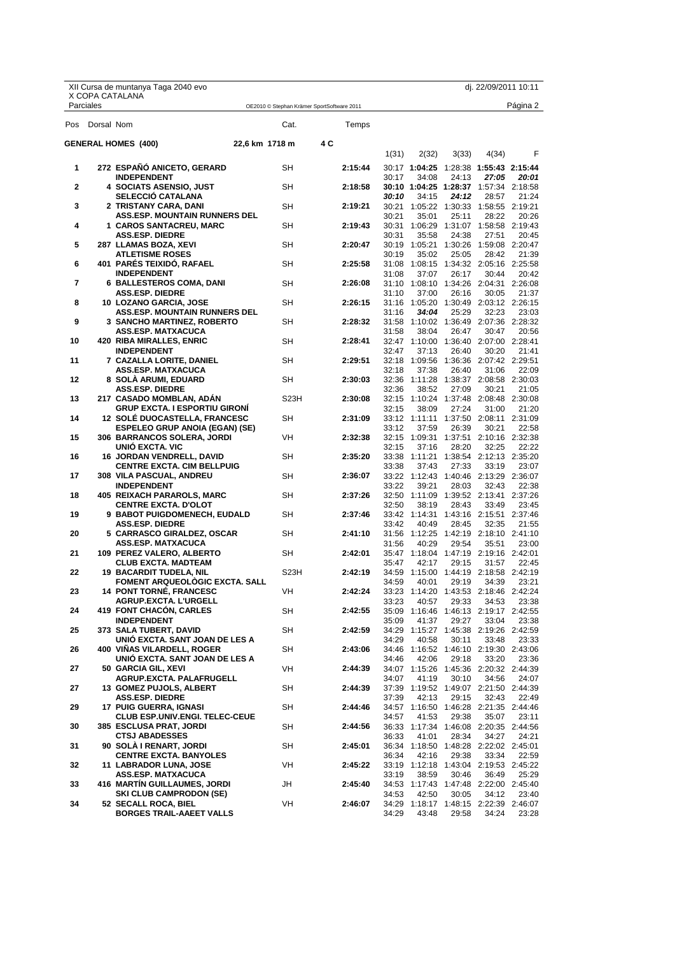|           |            | XII Cursa de muntanya Taga 2040 evo<br>X COPA CATALANA                                                   |                |                                            |     |                    |                |                        |                | dj. 22/09/2011 10:11                                                      |                |
|-----------|------------|----------------------------------------------------------------------------------------------------------|----------------|--------------------------------------------|-----|--------------------|----------------|------------------------|----------------|---------------------------------------------------------------------------|----------------|
| Parciales |            |                                                                                                          |                | OE2010 © Stephan Krämer SportSoftware 2011 |     |                    |                |                        |                |                                                                           | Página 2       |
| Pos       | Dorsal Nom |                                                                                                          |                | Cat.                                       |     | Temps              |                |                        |                |                                                                           |                |
|           |            | <b>GENERAL HOMES (400)</b>                                                                               | 22,6 km 1718 m |                                            | 4 C |                    | 1(31)          | 2(32)                  | 3(33)          | 4(34)                                                                     | F              |
| 1         |            | 272 ESPAÑO ANICETO, GERARD<br><b>INDEPENDENT</b>                                                         |                | SH                                         |     | 2:15:44            | 30:17          | 34:08                  | 24:13          | 30:17 1:04:25 1:28:38 1:55:43 2:15:44<br>27:05                            | 20:01          |
| 2         |            | 4 SOCIATS ASENSIO, JUST<br><b>SELECCIO CATALANA</b>                                                      |                | SH                                         |     | 2:18:58            | 30:10          | 34:15                  | 24:12          | 30:10 1:04:25 1:28:37 1:57:34 2:18:58<br>28:57                            | 21:24          |
| 3         |            | 2 TRISTANY CARA, DANI<br><b>ASS.ESP. MOUNTAIN RUNNERS DEL</b>                                            |                | SH                                         |     | 2:19:21            | 30:21          | 35:01                  | 25:11          | 30:21  1:05:22  1:30:33  1:58:55  2:19:21<br>28:22                        | 20:26          |
| 4         |            | 1 CAROS SANTACREU, MARC<br><b>ASS.ESP. DIEDRE</b>                                                        |                | SH                                         |     | 2:19:43            | 30:31          | 30:31 1:06:29<br>35:58 | 24:38          | 1:31:07 1:58:58 2:19:43<br>27:51                                          | 20:45          |
| 5         |            | 287 LLAMAS BOZA, XEVI<br><b>ATLETISME ROSES</b>                                                          |                | SH                                         |     | 2:20:47            | 30:19          | 35:02                  | 25:05          | 30:19  1:05:21  1:30:26  1:59:08  2:20:47<br>28:42                        | 21:39          |
| 6         |            | 401 PARES TEIXIDO, RAFAEL<br><b>INDEPENDENT</b>                                                          |                | SH                                         |     | 2:25:58            | 31:08          | 37:07                  | 26:17          | 31:08  1:08:15  1:34:32  2:05:16  2:25:58<br>30:44                        | 20:42          |
| 7         |            | <b>6 BALLESTEROS COMA, DANI</b><br><b>ASS.ESP. DIEDRE</b>                                                |                | SH                                         |     | 2:26:08            | 31:10          | 37:00                  | 26:16          | 31:10 1:08:10 1:34:26 2:04:31 2:26:08<br>30:05                            | 21:37          |
| 8         |            | 10 LOZANO GARCIA, JOSE<br><b>ASS.ESP. MOUNTAIN RUNNERS DEL</b>                                           |                | <b>SH</b>                                  |     | 2:26:15            | 31:16          | 34:04                  | 25:29          | 31:16 1:05:20 1:30:49 2:03:12 2:26:15<br>32:23                            | 23:03          |
| 9         |            | <b>3 SANCHO MARTINEZ, ROBERTO</b><br><b>ASS.ESP. MATXACUCA</b>                                           |                | SН                                         |     | 2:28:32            | 31:58          | 38:04                  | 26:47          | 31:58 1:10:02 1:36:49 2:07:36 2:28:32<br>30:47                            | 20:56          |
| 10        |            | 420 RIBA MIRALLES, ENRIC<br><b>INDEPENDENT</b>                                                           |                | SH                                         |     | 2:28:41            | 32:47          | 37:13                  | 26:40          | 32:47 1:10:00 1:36:40 2:07:00 2:28:41<br>30:20                            | 21:41          |
| 11        |            | 7 CAZALLA LORITE, DANIEL<br><b>ASS.ESP. MATXACUCA</b>                                                    |                | SH                                         |     | 2:29:51            | 32:18          | 32:18 1:09:56<br>37:38 | 26:40          | 1:36:36 2:07:42 2:29:51<br>31:06                                          | 22:09          |
| 12        |            | 8 SOLA ARUMI, EDUARD<br>ASS.ESP. DIEDRE                                                                  |                | SH                                         |     | 2:30:03            | 32:36          | 38:52                  | 27:09          | 32:36 1:11:28 1:38:37 2:08:58 2:30:03<br>30:21                            | 21:05          |
| 13        |            | 217 CASADO MOMBLAN, ADAN<br><b>GRUP EXCTA. I ESPORTIU GIRONI</b>                                         |                | S <sub>23</sub> H                          |     | 2:30:08            | 32:15          | 38:09                  | 27:24          | 32:15 1:10:24 1:37:48 2:08:48 2:30:08<br>31:00                            | 21:20          |
| 14        |            | <b>12 SOLE DUOCASTELLA, FRANCESC</b><br><b>ESPELEO GRUP ANOIA (EGAN) (SE)</b>                            |                | <b>SH</b>                                  |     | 2:31:09            | 33:12          | 37:59                  | 26:39          | 33:12 1:11:11 1:37:50 2:08:11 2:31:09<br>30:21                            | 22:58          |
| 15        |            | <b>306 BARRANCOS SOLERA, JORDI</b><br><b>UNIO EXCTA. VIC</b>                                             |                | VH                                         |     | 2:32:38            | 32:15          | 37:16                  | 28:20          | 32:15 1:09:31 1:37:51 2:10:16 2:32:38<br>32:25                            | 22:22          |
| 16<br>17  |            | <b>16 JORDAN VENDRELL, DAVID</b><br><b>CENTRE EXCTA. CIM BELLPUIG</b><br><b>308 VILA PASCUAL, ANDREU</b> |                | SH<br><b>SH</b>                            |     | 2:35:20<br>2:36:07 | 33:38          | 33:38 1:11:21<br>37:43 | 27:33          | 1:38:54 2:12:13 2:35:20<br>33:19<br>33:22 1:12:43 1:40:46 2:13:29 2:36:07 | 23:07          |
| 18        |            | <b>INDEPENDENT</b><br>405 REIXACH PARAROLS, MARC                                                         |                | SH                                         |     | 2:37:26            | 33:22          | 39:21                  | 28:03          | 32:43<br>32:50 1:11:09 1:39:52 2:13:41 2:37:26                            | 22:38          |
| 19        |            | <b>CENTRE EXCTA. D'OLOT</b><br>9 BABOT PUIGDOMENECH, EUDALD                                              |                | SH                                         |     | 2:37:46            | 32:50          | 38:19                  | 28:43          | 33:49<br>33:42 1:14:31 1:43:16 2:15:51 2:37:46                            | 23:45          |
| 20        |            | <b>ASS.ESP. DIEDRE</b><br>5 CARRASCO GIRALDEZ, OSCAR                                                     |                | SН                                         |     | 2:41:10            | 33:42          | 40:49<br>31:56 1:12:25 | 28:45          | 32:35<br>1:42:19 2:18:10 2:41:10                                          | 21:55          |
| 21        |            | <b>ASS.ESP. MATXACUCA</b><br>109 PEREZ VALERO, ALBERTO                                                   |                | SH                                         |     | 2:42:01            | 31:56          | 40:29                  | 29:54          | 35:51<br>35:47  1:18:04  1:47:19  2:19:16  2:42:01                        | 23:00          |
| 22        |            | <b>CLUB EXCTA. MADTEAM</b><br><b>19 BACARDIT TUDELA, NIL</b>                                             |                | S <sub>23</sub> H                          |     | 2:42:19            | 35:47          | 42:17                  | 29:15          | 31:57                                                                     | 22:45          |
| 23        |            | <b>FOMENT ARQUEOLOGIC EXCTA. SALL</b><br><b>14 PONT TORNÉ, FRANCESC</b>                                  |                | VH                                         |     | 2:42:24            | 34:59          | 40:01                  | 29:19          | 34:39<br>33:23 1:14:20 1:43:53 2:18:46 2:42:24                            | 23:21          |
| 24        |            | AGRUP.EXCTA. L'URGELL<br>419 FONT CHACON, CARLES                                                         |                | SH                                         |     | 2:42:55            | 33:23          | 40:57                  | 29:33          | 34:53<br>35:09 1:16:46 1:46:13 2:19:17 2:42:55                            | 23:38          |
| 25        |            | <b>INDEPENDENT</b><br>373 SALA TUBERT, DAVID                                                             |                | SH                                         |     | 2:42:59            | 35:09          | 41:37                  | 29:27          | 33:04<br>34:29 1:15:27 1:45:38 2:19:26 2:42:59                            | 23:38          |
| 26        |            | UNIÓ EXCTA. SANT JOAN DE LES A<br>400 VIÑAS VILARDELL, ROGER                                             |                | SH                                         |     | 2:43:06            | 34:29          | 40:58                  | 30:11          | 33:48<br>34:46 1:16:52 1:46:10 2:19:30 2:43:06                            | 23:33          |
| 27        |            | UNIÓ EXCTA. SANT JOAN DE LES A<br>50 GARCIA GIL, XEVI                                                    |                | VH                                         |     | 2:44:39            | 34:46          | 42:06                  | 29:18          | 33:20<br>34:07 1:15:26 1:45:36 2:20:32 2:44:39                            | 23:36          |
| 27        |            | AGRUP.EXCTA. PALAFRUGELL<br>13 GOMEZ PUJOLS, ALBERT                                                      |                | SH                                         |     | 2:44:39            | 34:07          | 41:19                  | 30:10          | 34:56<br>37:39 1:19:52 1:49:07 2:21:50 2:44:39                            | 24:07          |
| 29        |            | <b>ASS.ESP. DIEDRE</b><br><b>17 PUIG GUERRA, IGNASI</b>                                                  |                | SH                                         |     | 2:44:46            | 37:39          | 42:13                  | 29:15          | 32:43<br>34:57 1:16:50 1:46:28 2:21:35 2:44:46                            | 22:49          |
| 30        |            | <b>CLUB ESP.UNIV.ENGI. TELEC-CEUE</b><br><b>385 ESCLUSA PRAT, JORDI</b><br><b>CTSJ ABADESSES</b>         |                | SH                                         |     | 2:44:56            | 34:57<br>36:33 | 41:53                  | 29:38          | 35:07<br>36:33 1:17:34 1:46:08 2:20:35 2:44:56                            | 23:11          |
| 31        |            | 90 SOLA I RENART, JORDI<br><b>CENTRE EXCTA. BANYOLES</b>                                                 |                | SH                                         |     | 2:45:01            | 36:34          | 41:01<br>42:16         | 28:34<br>29:38 | 34:27<br>36:34 1:18:50 1:48:28 2:22:02 2:45:01<br>33:34                   | 24:21<br>22:59 |
| 32        |            | 11 LABRADOR LUNA, JOSE<br><b>ASS.ESP. MATXACUCA</b>                                                      |                | VH                                         |     | 2:45:22            | 33:19          | 38:59                  | 30:46          | 33:19 1:12:18 1:43:04 2:19:53 2:45:22<br>36:49                            | 25:29          |
| 33        |            | 416 MARTIN GUILLAUMES, JORDI<br><b>SKI CLUB CAMPRODON (SE)</b>                                           |                | JH                                         |     | 2:45:40            | 34:53          | 42:50                  | 30:05          | 34:53 1:17:43 1:47:48 2:22:00 2:45:40<br>34:12                            | 23:40          |
| 34        |            | 52 SECALL ROCA, BIEL<br><b>BORGES TRAIL-AAEET VALLS</b>                                                  |                | VH                                         |     | 2:46:07            | 34:29          | 43:48                  | 29:58          | 34:29 1:18:17 1:48:15 2:22:39 2:46:07<br>34:24                            | 23:28          |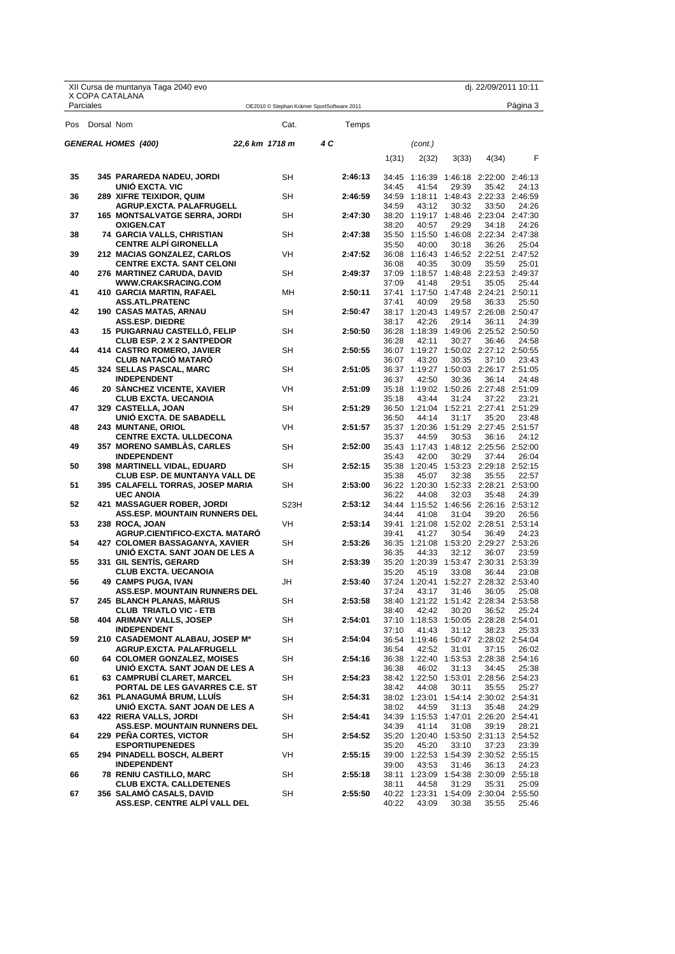|     |            | XII Cursa de muntanya Taga 2040 evo                                    |                                            |     |         |       |         |       | dj. 22/09/2011 10:11                           |                  |
|-----|------------|------------------------------------------------------------------------|--------------------------------------------|-----|---------|-------|---------|-------|------------------------------------------------|------------------|
|     | Parciales  | X COPA CATALANA                                                        | OE2010 © Stephan Krämer SportSoftware 2011 |     |         |       |         |       |                                                | Página 3         |
| Pos | Dorsal Nom |                                                                        | Cat.                                       |     | Temps   |       |         |       |                                                |                  |
|     |            | <b>GENERAL HOMES (400)</b>                                             | 22.6 km 1718 m                             | 4 C |         |       | (cont.) |       |                                                |                  |
|     |            |                                                                        |                                            |     |         | 1(31) | 2(32)   | 3(33) | 4(34)                                          | F                |
| 35  |            | 345 PARAREDA NADEU, JORDI                                              | <b>SH</b>                                  |     | 2:46:13 | 34:45 | 1:16:39 |       | 1:46:18 2:22:00 2:46:13                        |                  |
| 36  |            | <b>UNIO EXCTA. VIC</b><br>289 XIFRE TEIXIDOR, QUIM                     | SΗ                                         |     | 2:46:59 | 34:45 | 41:54   | 29:39 | 35:42<br>34:59 1:18:11 1:48:43 2:22:33 2:46:59 | 24:13            |
|     |            | AGRUP.EXCTA. PALAFRUGELL                                               |                                            |     |         | 34:59 | 43:12   | 30:32 | 33:50                                          | 24:26            |
| 37  |            | <b>165 MONTSALVATGE SERRA, JORDI</b><br><b>OXIGEN.CAT</b>              | SH                                         |     | 2:47:30 | 38:20 | 40:57   | 29:29 | 38:20 1:19:17 1:48:46 2:23:04 2:47:30<br>34:18 | 24:26            |
| 38  |            | <b>74 GARCIA VALLS, CHRISTIAN</b>                                      | SH                                         |     | 2:47:38 |       |         |       | 35:50 1:15:50 1:46:08 2:22:34 2:47:38          |                  |
|     |            | <b>CENTRE ALPI GIRONELLA</b>                                           |                                            |     |         | 35:50 | 40:00   | 30:18 | 36:26                                          | 25:04            |
| 39  |            | <b>212 MACIAS GONZALEZ, CARLOS</b><br><b>CENTRE EXCTA. SANT CELONI</b> | VH                                         |     | 2:47:52 | 36:08 | 40:35   | 30:09 | 36:08 1:16:43 1:46:52 2:22:51<br>35:59         | 2:47:52<br>25:01 |
| 40  |            | 276 MARTINEZ CARUDA, DAVID                                             | SH                                         |     | 2:49:37 |       |         |       | 37:09 1:18:57 1:48:48 2:23:53 2:49:37          |                  |
| 41  |            | <b>WWW.CRAKSRACING.COM</b><br>410 GARCIA MARTIN, RAFAEL                | MН                                         |     | 2:50:11 | 37:09 | 41:48   | 29:51 | 35:05<br>37:41 1:17:50 1:47:48 2:24:21 2:50:11 | 25:44            |
|     |            | <b>ASS.ATL.PRATENC</b>                                                 |                                            |     |         | 37:41 | 40:09   | 29:58 | 36:33                                          | 25:50            |
| 42  |            | 190  CASAS MATAS, ARNAU                                                | SH                                         |     | 2:50:47 |       |         |       | 38:17 1:20:43 1:49:57 2:26:08 2:50:47          |                  |
| 43  |            | <b>ASS.ESP. DIEDRE</b><br><b>15 PUIGARNAU CASTELLO, FELIP</b>          | SH                                         |     | 2:50:50 | 38:17 | 42:26   | 29:14 | 36:11<br>36:28 1:18:39 1:49:06 2:25:52 2:50:50 | 24:39            |
|     |            | <b>CLUB ESP. 2 X 2 SANTPEDOR</b>                                       |                                            |     |         | 36:28 | 42:11   | 30:27 | 36:46                                          | 24:58            |
| 44  |            | 414 CASTRO ROMERO, JAVIER                                              | <b>SH</b>                                  |     | 2:50:55 |       |         |       | 36:07 1:19:27 1:50:02 2:27:12 2:50:55          |                  |
| 45  |            | <b>CLUB NATACIO MATARO</b><br>324 SELLAS PASCAL, MARC                  | SH                                         |     | 2:51:05 | 36:07 | 43:20   | 30:35 | 37:10<br>36:37 1:19:27 1:50:03 2:26:17 2:51:05 | 23:43            |
|     |            | <b>INDEPENDENT</b>                                                     |                                            |     |         | 36:37 | 42:50   | 30:36 | 36:14                                          | 24:48            |
| 46  |            | 20 SANCHEZ VICENTE, XAVIER                                             | VH                                         |     | 2:51:09 |       |         |       | 35:18  1:19:02  1:50:26  2:27:48  2:51:09      |                  |
| 47  |            | <b>CLUB EXCTA. UECANOIA</b><br>329 CASTELLA, JOAN                      | <b>SH</b>                                  |     | 2:51:29 | 35:18 | 43:44   | 31:24 | 37:22<br>36:50 1:21:04 1:52:21 2:27:41 2:51:29 | 23:21            |
|     |            | UNIO EXCTA. DE SABADELL                                                |                                            |     |         | 36:50 | 44:14   | 31:17 | 35:20                                          | 23:48            |
| 48  |            | <b>243 MUNTANE, ORIOL</b><br><b>CENTRE EXCTA. ULLDECONA</b>            | VH                                         |     | 2:51:57 | 35:37 | 44:59   | 30:53 | 35:37 1:20:36 1:51:29 2:27:45 2:51:57<br>36:16 | 24:12            |
| 49  |            | <b>357 MORENO SAMBLAS, CARLES</b>                                      | SH                                         |     | 2:52:00 |       |         |       | 35:43 1:17:43 1:48:12 2:25:56 2:52:00          |                  |
|     |            | <b>INDEPENDENT</b>                                                     |                                            |     |         | 35:43 | 42:00   | 30:29 | 37:44                                          | 26:04            |
| 50  |            | 398 MARTINELL VIDAL, EDUARD<br><b>CLUB ESP. DE MUNTANYA VALL DE</b>    | SH                                         |     | 2:52:15 | 35:38 | 45:07   | 32:38 | 35:38 1:20:45 1:53:23 2:29:18 2:52:15<br>35:55 | 22:57            |
| 51  |            | 395 CALAFELL TORRAS, JOSEP MARIA                                       | SH                                         |     | 2:53:00 |       |         |       | 36:22 1:20:30 1:52:33 2:28:21                  | 2:53:00          |
| 52  |            | <b>UEC ANOIA</b><br>421 MASSAGUER ROBER, JORDI                         | S <sub>23</sub> H                          |     | 2:53:12 | 36:22 | 44:08   | 32:03 | 35:48<br>34:44 1:15:52 1:46:56 2:26:16 2:53:12 | 24:39            |
|     |            | <b>ASS.ESP. MOUNTAIN RUNNERS DEL</b>                                   |                                            |     |         | 34:44 | 41:08   | 31:04 | 39:20                                          | 26:56            |
| 53  |            | 238 ROCA, JOAN                                                         | <b>VH</b>                                  |     | 2:53:14 |       |         |       | 39:41 1:21:08 1:52:02 2:28:51 2:53:14          |                  |
| 54  |            | AGRUP.CIENTIFICO-EXCTA, MATARO<br>427 COLOMER BASSAGANYA, XAVIER       | SH                                         |     | 2:53:26 | 39:41 | 41:27   | 30:54 | 36:49<br>36:35 1:21:08 1:53:20 2:29:27 2:53:26 | 24:23            |
|     |            | UNIÓ EXCTA. SANT JOAN DE LES A                                         |                                            |     |         | 36:35 | 44:33   | 32:12 | 36:07                                          | 23:59            |
| 55  |            | 331 GIL SENTIS, GERARD<br><b>CLUB EXCTA, UECANOIA</b>                  | SH                                         |     | 2:53:39 |       |         |       | 35:20 1:20:39 1:53:47 2:30:31 2:53:39          | 23:08            |
| 56  |            | 49 CAMPS PUGA, IVAN                                                    | JH                                         |     | 2:53:40 | 35:20 | 45:19   | 33:08 | 36:44<br>37:24 1:20:41 1:52:27 2:28:32 2:53:40 |                  |
|     |            | ASS.ESP. MOUNTAIN RUNNERS DEL                                          |                                            |     |         | 37:24 | 43:17   | 31:46 | 36:05                                          | 25:08            |
| 57  |            | <b>245 BLANCH PLANAS, MARIUS</b><br><b>CLUB TRIATLO VIC - ETB</b>      | SH                                         |     | 2:53:58 | 38:40 | 42:42   | 30:20 | 38:40 1:21:22 1:51:42 2:28:34 2:53:58<br>36:52 | 25:24            |
| 58  |            | 404 ARIMANY VALLS, JOSEP                                               | <b>SH</b>                                  |     | 2:54:01 |       |         |       | 37:10 1:18:53 1:50:05 2:28:28 2:54:01          |                  |
|     |            | <b>INDEPENDENT</b>                                                     |                                            |     |         | 37:10 | 41:43   | 31:12 | 38:23                                          | 25:33            |
| 59  |            | 210 CASADEMONT ALABAU, JOSEP Ma<br>AGRUP.EXCTA. PALAFRUGELL            | SH                                         |     | 2:54:04 | 36:54 | 42:52   | 31:01 | 36:54 1:19:46 1:50:47 2:28:02 2:54:04<br>37:15 | 26:02            |
| 60  |            | <b>64 COLOMER GONZALEZ, MOISES</b>                                     | SH                                         |     | 2:54:16 |       |         |       | 36:38 1:22:40 1:53:53 2:28:38 2:54:16          |                  |
| 61  |            | UNIÓ EXCTA. SANT JOAN DE LES A<br>63 CAMPRUBI CLARET, MARCEL           | SH                                         |     | 2:54:23 | 36:38 | 46:02   | 31:13 | 34:45<br>38:42 1:22:50 1:53:01 2:28:56 2:54:23 | 25:38            |
|     |            | PORTAL DE LES GAVARRES C.E. ST                                         |                                            |     |         | 38:42 | 44:08   | 30:11 | 35:55                                          | 25:27            |
| 62  |            | 361 PLANAGUMA BRUM, LLUIS                                              | SH                                         |     | 2:54:31 |       |         |       | 38:02 1:23:01 1:54:14 2:30:02 2:54:31          |                  |
| 63  |            | UNIÓ EXCTA. SANT JOAN DE LES A<br><b>422 RIERA VALLS, JORDI</b>        | SH                                         |     | 2:54:41 | 38:02 | 44:59   | 31:13 | 35:48<br>34:39 1:15:53 1:47:01 2:26:20 2:54:41 | 24:29            |
|     |            | <b>ASS.ESP. MOUNTAIN RUNNERS DEL</b>                                   |                                            |     |         | 34:39 | 41:14   | 31:08 | 39:19                                          | 28:21            |
| 64  |            | 229 PEÑA CORTES, VICTOR                                                | SH                                         |     | 2:54:52 |       |         |       | 35:20 1:20:40 1:53:50 2:31:13 2:54:52          |                  |
| 65  |            | <b>ESPORTIUPENEDES</b><br>294 PINADELL BOSCH, ALBERT                   | VH                                         |     | 2:55:15 | 35:20 | 45:20   | 33:10 | 37:23<br>39:00 1:22:53 1:54:39 2:30:52 2:55:15 | 23:39            |
|     |            | <b>INDEPENDENT</b>                                                     |                                            |     |         | 39:00 | 43:53   | 31:46 | 36:13                                          | 24:23            |
| 66  |            | <b>78 RENIU CASTILLO, MARC</b><br><b>CLUB EXCTA. CALLDETENES</b>       | SH                                         |     | 2:55:18 | 38:11 | 44:58   | 31:29 | 38:11 1:23:09 1:54:38 2:30:09 2:55:18<br>35:31 | 25:09            |
| 67  |            | 356 SALAMO CASALS, DAVID                                               | SH                                         |     | 2:55:50 |       |         |       | 40:22 1:23:31 1:54:09 2:30:04 2:55:50          |                  |
|     |            | ASS.ESP. CENTRE ALPI VALL DEL                                          |                                            |     |         | 40:22 | 43:09   | 30:38 | 35:55                                          | 25:46            |

X Copa Catalana<br>DE CURSES DE MUNTANYA Federació d'Entitats<br>FEEC Federació Catalana d'Alpinisme i Escalada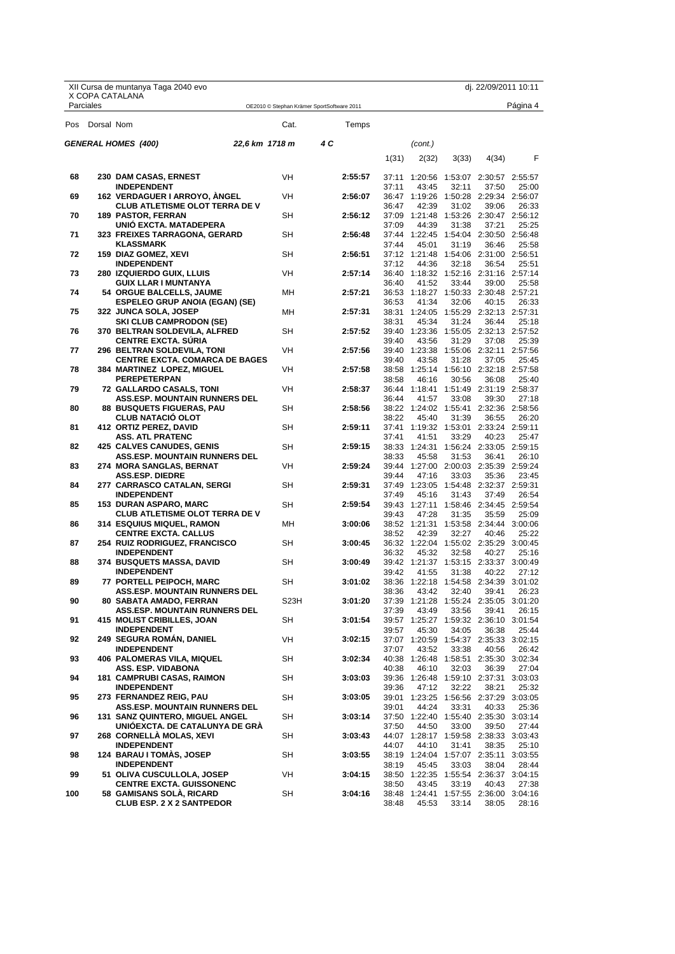|     |            | XII Cursa de muntanya Taga 2040 evo                                    |                                            |                   |     |         |       |                        |       | dj. 22/09/2011 10:11                           |          |
|-----|------------|------------------------------------------------------------------------|--------------------------------------------|-------------------|-----|---------|-------|------------------------|-------|------------------------------------------------|----------|
|     | Parciales  | X COPA CATALANA                                                        | OE2010 © Stephan Krämer SportSoftware 2011 |                   |     |         |       |                        |       |                                                | Página 4 |
| Pos | Dorsal Nom |                                                                        |                                            | Cat.              |     | Temps   |       |                        |       |                                                |          |
|     |            | <b>GENERAL HOMES (400)</b>                                             | 22.6 km 1718 m                             |                   | 4 C |         |       | (cont.)                |       |                                                |          |
|     |            |                                                                        |                                            |                   |     |         | 1(31) | 2(32)                  | 3(33) | 4(34)                                          | F        |
| 68  |            | 230 DAM CASAS, ERNEST                                                  |                                            | VH                |     | 2:55:57 |       |                        |       | 37:11 1:20:56 1:53:07 2:30:57 2:55:57          |          |
| 69  |            | <b>INDEPENDENT</b>                                                     |                                            | <b>VH</b>         |     | 2:56:07 | 37:11 | 43:45                  | 32:11 | 37:50<br>36:47 1:19:26 1:50:28 2:29:34 2:56:07 | 25:00    |
|     |            | 162 VERDAGUER I ARROYO, ANGEL<br><b>CLUB ATLETISME OLOT TERRA DE V</b> |                                            |                   |     |         | 36:47 | 42:39                  | 31:02 | 39:06                                          | 26:33    |
| 70  |            | <b>189 PASTOR, FERRAN</b>                                              |                                            | SH                |     | 2:56:12 |       |                        |       | 37:09 1:21:48 1:53:26 2:30:47 2:56:12          |          |
|     |            | UNIO EXCTA. MATADEPERA                                                 |                                            |                   |     |         | 37:09 | 44:39                  | 31:38 | 37:21                                          | 25:25    |
| 71  |            | 323 FREIXES TARRAGONA, GERARD<br><b>KLASSMARK</b>                      |                                            | SH                |     | 2:56:48 | 37:44 | 45:01                  | 31:19 | 37:44 1:22:45 1:54:04 2:30:50 2:56:48<br>36:46 | 25:58    |
| 72  |            | 159 DIAZ GOMEZ, XEVI                                                   |                                            | SH                |     | 2:56:51 |       |                        |       | 37:12 1:21:48 1:54:06 2:31:00 2:56:51          |          |
|     |            | <b>INDEPENDENT</b>                                                     |                                            |                   |     |         | 37:12 | 44:36                  | 32:18 | 36:54                                          | 25:51    |
| 73  |            | <b>280 IZQUIERDO GUIX, LLUIS</b>                                       |                                            | VH                |     | 2:57:14 | 36:40 | 41:52                  | 33:44 | 36:40 1:18:32 1:52:16 2:31:16 2:57:14<br>39:00 | 25:58    |
| 74  |            | <b>GUIX LLAR I MUNTANYA</b><br>54 ORGUE BALCELLS, JAUME                |                                            | MН                |     | 2:57:21 |       |                        |       | 36:53 1:18:27 1:50:33 2:30:48 2:57:21          |          |
|     |            | <b>ESPELEO GRUP ANOIA (EGAN) (SE)</b>                                  |                                            |                   |     |         | 36:53 | 41:34                  | 32:06 | 40:15                                          | 26:33    |
| 75  |            | 322 JUNCA SOLA, JOSEP                                                  |                                            | MН                |     | 2:57:31 |       |                        |       | 38:31 1:24:05 1:55:29 2:32:13 2:57:31          |          |
| 76  |            | <b>SKI CLUB CAMPRODON (SE)</b><br>370  BELTRAN SOLDEVILA, ALFRED       |                                            | SH                |     | 2:57:52 | 38:31 | 45:34<br>39:40 1:23:36 | 31:24 | 36:44<br>1:55:05 2:32:13 2:57:52               | 25:18    |
|     |            | <b>CENTRE EXCTA. SURIA</b>                                             |                                            |                   |     |         | 39:40 | 43:56                  | 31:29 | 37:08                                          | 25:39    |
| 77  |            | 296 BELTRAN SOLDEVILA, TONI                                            |                                            | VH                |     | 2:57:56 |       |                        |       | 39:40 1:23:38 1:55:06 2:32:11 2:57:56          |          |
|     |            | <b>CENTRE EXCTA. COMARCA DE BAGES</b>                                  |                                            |                   |     |         | 39:40 | 43:58                  | 31:28 | 37:05                                          | 25:45    |
| 78  |            | 384 MARTINEZ LOPEZ, MIGUEL<br><b>PEREPETERPAN</b>                      |                                            | VH                |     | 2:57:58 | 38:58 | 46:16                  | 30:56 | 38:58 1:25:14 1:56:10 2:32:18 2:57:58<br>36:08 | 25:40    |
| 79  |            | 72 GALLARDO CASALS, TONI                                               |                                            | VH                |     | 2:58:37 |       |                        |       | 36:44 1:18:41 1:51:49 2:31:19 2:58:37          |          |
|     |            | <b>ASS.ESP. MOUNTAIN RUNNERS DEL</b>                                   |                                            |                   |     |         | 36:44 | 41:57                  | 33:08 | 39:30                                          | 27:18    |
| 80  |            | <b>88 BUSQUETS FIGUERAS, PAU</b>                                       |                                            | SH                |     | 2:58:56 |       |                        |       | 38:22 1:24:02 1:55:41 2:32:36 2:58:56          |          |
| 81  |            | <b>CLUB NATACIO OLOT</b><br>412 ORTIZ PEREZ, DAVID                     |                                            | SH                |     | 2:59:11 | 38:22 | 45:40                  | 31:39 | 36:55<br>37:41 1:19:32 1:53:01 2:33:24 2:59:11 | 26:20    |
|     |            | <b>ASS. ATL PRATENC</b>                                                |                                            |                   |     |         | 37:41 | 41:51                  | 33:29 | 40:23                                          | 25:47    |
| 82  |            | <b>425 CALVES CANUDES, GENIS</b>                                       |                                            | SH                |     | 2:59:15 |       | 38:33 1:24:31          |       | 1:56:24 2:33:05 2:59:15                        |          |
| 83  |            | <b>ASS.ESP. MOUNTAIN RUNNERS DEL</b>                                   |                                            | VH                |     | 2:59:24 | 38:33 | 45:58                  | 31:53 | 36:41<br>39:44 1:27:00 2:00:03 2:35:39 2:59:24 | 26:10    |
|     |            | 274 MORA SANGLAS, BERNAT<br><b>ASS.ESP. DIEDRE</b>                     |                                            |                   |     |         | 39:44 | 47:16                  | 33:03 | 35:36                                          | 23:45    |
| 84  |            | 277 CARRASCO CATALAN, SERGI                                            |                                            | SH                |     | 2:59:31 |       |                        |       | 37:49 1:23:05 1:54:48 2:32:37 2:59:31          |          |
|     |            | <b>INDEPENDENT</b>                                                     |                                            |                   |     |         | 37:49 | 45:16                  | 31:43 | 37:49                                          | 26:54    |
| 85  |            | 153 DURAN ASPARO, MARC<br><b>CLUB ATLETISME OLOT TERRA DE V</b>        |                                            | SH                |     | 2:59:54 | 39:43 | 47:28                  | 31:35 | 39:43 1:27:11 1:58:46 2:34:45 2:59:54<br>35:59 | 25:09    |
| 86  |            | <b>314 ESQUIUS MIQUEL, RAMON</b>                                       |                                            | MН                |     | 3:00:06 |       | 38:52 1:21:31          |       | 1:53:58 2:34:44 3:00:06                        |          |
|     |            | <b>CENTRE EXCTA. CALLUS</b>                                            |                                            |                   |     |         | 38:52 | 42:39                  | 32:27 | 40:46                                          | 25:22    |
| 87  |            | <b>254 RUIZ RODRIGUEZ, FRANCISCO</b>                                   |                                            | SН                |     | 3:00:45 |       |                        |       | 36:32 1:22:04 1:55:02 2:35:29 3:00:45          |          |
| 88  |            | <b>INDEPENDENT</b><br><b>374 BUSQUETS MASSA, DAVID</b>                 |                                            | SH                |     | 3:00:49 | 36:32 | 45:32                  | 32:58 | 40:27<br>39:42 1:21:37 1:53:15 2:33:37 3:00:49 | 25:16    |
|     |            | <b>INDEPENDENT</b>                                                     |                                            |                   |     |         | 39:42 | 41:55                  | 31:38 | 40:22                                          | 27:12    |
| 89  |            | 77 PORTELL PEIPOCH, MARC                                               |                                            | SH                |     | 3:01:02 |       |                        |       | 38:36 1:22:18 1:54:58 2:34:39 3:01:02          |          |
|     |            | ASS.ESP. MOUNTAIN RUNNERS DEL                                          |                                            |                   |     |         | 38:36 | 43:42                  | 32:40 | 39:41                                          | 26:23    |
| 90  |            | 80 SABATA AMADO, FERRAN<br><b>ASS.ESP. MOUNTAIN RUNNERS DEL</b>        |                                            | S <sub>23</sub> H |     | 3:01:20 | 37:39 | 43:49                  | 33:56 | 37:39 1:21:28 1:55:24 2:35:05 3:01:20<br>39:41 | 26:15    |
| 91  |            | <b>415 MOLIST CRIBILLES, JOAN</b>                                      |                                            | SH                |     | 3:01:54 |       |                        |       | 39:57 1:25:27 1:59:32 2:36:10 3:01:54          |          |
|     |            | <b>INDEPENDENT</b>                                                     |                                            |                   |     |         | 39:57 | 45:30                  | 34:05 | 36:38                                          | 25:44    |
| 92  |            | 249 SEGURA ROMÁN, DANIEL<br><b>INDEPENDENT</b>                         |                                            | VH                |     | 3:02:15 | 37:07 | 43:52                  | 33:38 | 37:07 1:20:59 1:54:37 2:35:33 3:02:15<br>40:56 | 26:42    |
| 93  |            | <b>406 PALOMERAS VILA, MIQUEL</b>                                      |                                            | SH                |     | 3:02:34 |       |                        |       | 40:38 1:26:48 1:58:51 2:35:30 3:02:34          |          |
|     |            | ASS. ESP. VIDABONA                                                     |                                            |                   |     |         | 40:38 | 46:10                  | 32:03 | 36:39                                          | 27:04    |
| 94  |            | <b>181 CAMPRUBI CASAS, RAIMON</b>                                      |                                            | SH                |     | 3:03:03 |       |                        |       | 39:36 1:26:48 1:59:10 2:37:31 3:03:03          |          |
| 95  |            | <b>INDEPENDENT</b><br>273 FERNANDEZ REIG, PAU                          |                                            | <b>SH</b>         |     | 3:03:05 | 39:36 | 47:12                  | 32:22 | 38:21<br>39:01 1:23:25 1:56:56 2:37:29 3:03:05 | 25:32    |
|     |            | <b>ASS.ESP. MOUNTAIN RUNNERS DEL</b>                                   |                                            |                   |     |         | 39:01 | 44:24                  | 33:31 | 40:33                                          | 25:36    |
| 96  |            | <b>131 SANZ QUINTERO, MIGUEL ANGEL</b>                                 |                                            | SH                |     | 3:03:14 |       |                        |       | 37:50 1:22:40 1:55:40 2:35:30 3:03:14          |          |
|     |            | UNIOEXCTA. DE CATALUNYA DE GRA                                         |                                            |                   |     |         | 37:50 | 44:50                  | 33:00 | 39:50                                          | 27:44    |
| 97  |            | <b>268 CORNELLA MOLAS, XEVI</b><br><b>INDEPENDENT</b>                  |                                            | SH                |     | 3:03:43 | 44:07 | 44:10                  | 31:41 | 44:07 1:28:17 1:59:58 2:38:33 3:03:43<br>38:35 | 25:10    |
| 98  |            | 124 BARAU I TOMAS, JOSEP                                               |                                            | <b>SH</b>         |     | 3:03:55 |       |                        |       | 38:19 1:24:04 1:57:07 2:35:11 3:03:55          |          |
|     |            | <b>INDEPENDENT</b>                                                     |                                            |                   |     |         | 38:19 | 45:45                  | 33:03 | 38:04                                          | 28:44    |
| 99  |            | 51 OLIVA CUSCULLOLA, JOSEP                                             |                                            | VH                |     | 3:04:15 |       |                        |       | 38:50 1:22:35 1:55:54 2:36:37 3:04:15          |          |
| 100 |            | <b>CENTRE EXCTA. GUISSONENC</b><br>58 GAMISANS SOLA, RICARD            |                                            | SH                |     | 3:04:16 | 38:50 | 43:45                  | 33:19 | 40:43<br>38:48 1:24:41 1:57:55 2:36:00 3:04:16 | 27:38    |
|     |            | <b>CLUB ESP. 2 X 2 SANTPEDOR</b>                                       |                                            |                   |     |         | 38:48 | 45:53                  | 33:14 | 38:05                                          | 28:16    |
|     |            |                                                                        |                                            |                   |     |         |       |                        |       |                                                |          |

X Copa Catalana<br>DE CURSES DE MUNTANYA Federació d'Entitats<br>FEEC Federació Catalana d'Alpinisme i Escalada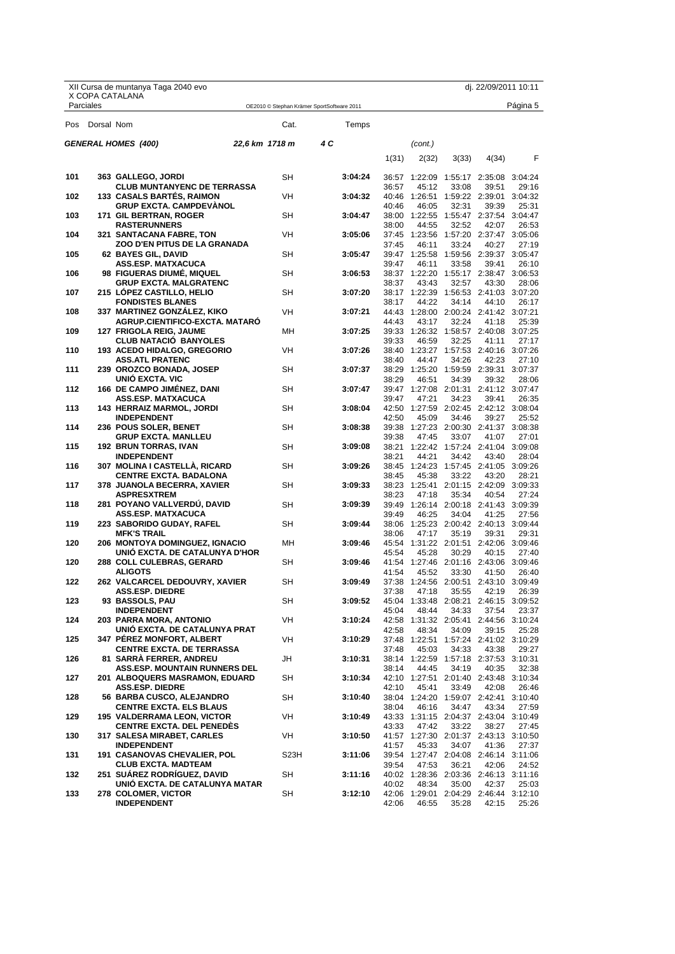|     |                | XII Cursa de muntanya Taga 2040 evo                                    |                   |                                            |       |                                                |       | dj. 22/09/2011 10:11 |                  |
|-----|----------------|------------------------------------------------------------------------|-------------------|--------------------------------------------|-------|------------------------------------------------|-------|----------------------|------------------|
|     | Parciales      | X COPA CATALANA                                                        |                   | OE2010 © Stephan Krämer SportSoftware 2011 |       |                                                |       |                      | Página 5         |
|     | Pos Dorsal Nom |                                                                        | Cat.              | Temps                                      |       |                                                |       |                      |                  |
|     |                | <b>GENERAL HOMES (400)</b>                                             | 22,6 km 1718 m    | 4 C                                        |       | (cont.)                                        |       |                      |                  |
|     |                |                                                                        |                   |                                            | 1(31) | 2(32)                                          | 3(33) | 4(34)                | F                |
| 101 |                | 363 GALLEGO, JORDI                                                     | <b>SH</b>         | 3:04:24                                    |       | 36:57 1:22:09 1:55:17 2:35:08 3:04:24          |       |                      |                  |
|     |                | <b>CLUB MUNTANYENC DE TERRASSA</b>                                     |                   |                                            | 36:57 | 45:12                                          | 33:08 | 39:51                | 29:16            |
| 102 |                | <b>133 CASALS BARTES, RAIMON</b><br><b>GRUP EXCTA. CAMPDEVANOL</b>     | <b>VH</b>         | 3:04:32                                    | 40:46 | 40:46 1:26:51 1:59:22 2:39:01<br>46:05         | 32:31 | 39:39                | 3:04:32<br>25:31 |
| 103 |                | 171 GIL BERTRAN, ROGER                                                 | SH                | 3:04:47                                    |       | 38:00 1:22:55 1:55:47 2:37:54 3:04:47          |       |                      |                  |
| 104 |                | <b>RASTERUNNERS</b><br>321  SANTACANA FABRE, TON                       | VH                | 3:05:06                                    | 38:00 | 44:55<br>37:45 1:23:56 1:57:20 2:37:47 3:05:06 | 32:52 | 42:07                | 26:53            |
|     |                | ZOO D'EN PITUS DE LA GRANADA                                           |                   |                                            | 37:45 | 46:11                                          | 33:24 | 40:27                | 27:19            |
| 105 |                | 62 BAYES GIL, DAVID                                                    | SН                | 3:05:47                                    |       | 39:47 1:25:58 1:59:56 2:39:37 3:05:47          |       |                      |                  |
| 106 |                | ASS.ESP. MATXACUCA<br>98 FIGUERAS DIUME, MIQUEL                        | SН                | 3:06:53                                    | 39:47 | 46:11<br>38:37 1:22:20 1:55:17 2:38:47 3:06:53 | 33:58 | 39:41                | 26:10            |
|     |                | <b>GRUP EXCTA. MALGRATENC</b>                                          |                   |                                            | 38:37 | 43:43                                          | 32:57 | 43:30                | 28:06            |
| 107 |                | 215 LOPEZ CASTILLO, HELIO<br><b>FONDISTES BLANES</b>                   | <b>SH</b>         | 3:07:20                                    | 38:17 | 38:17 1:22:39 1:56:53 2:41:03 3:07:20<br>44:22 | 34:14 | 44:10                | 26:17            |
| 108 |                | 337 MARTINEZ GONZÁLEZ, KIKO                                            | <b>VH</b>         | 3:07:21                                    |       | 44:43 1:28:00 2:00:24 2:41:42 3:07:21          |       |                      |                  |
|     |                | AGRUP.CIENTIFICO-EXCTA. MATARO                                         |                   |                                            | 44:43 | 43:17                                          | 32:24 | 41:18                | 25:39            |
| 109 |                | <b>127 FRIGOLA REIG, JAUME</b><br><b>CLUB NATACIO BANYOLES</b>         | MН                | 3:07:25                                    | 39:33 | 39:33 1:26:32 1:58:57 2:40:08 3:07:25<br>46:59 | 32:25 | 41:11                | 27:17            |
| 110 |                | 193 ACEDO HIDALGO, GREGORIO                                            | VH                | 3:07:26                                    |       | 38:40 1:23:27 1:57:53 2:40:16 3:07:26          |       |                      |                  |
| 111 |                | <b>ASS.ATL PRATENC</b><br>239 OROZCO BONADA, JOSEP                     | SН                | 3:07:37                                    | 38:40 | 44:47<br>38:29 1:25:20 1:59:59 2:39:31 3:07:37 | 34:26 | 42:23                | 27:10            |
|     |                | <b>UNIO EXCTA. VIC</b>                                                 |                   |                                            | 38:29 | 46:51                                          | 34:39 | 39:32                | 28:06            |
| 112 |                | <b>166 DE CAMPO JIMÉNEZ, DANI</b>                                      | SН                | 3:07:47                                    |       | 39:47 1:27:08 2:01:31 2:41:12 3:07:47          |       |                      |                  |
| 113 |                | <b>ASS.ESP. MATXACUCA</b><br>143 HERRAIZ MARMOL, JORDI                 | <b>SH</b>         | 3:08:04                                    | 39:47 | 47:21<br>42:50 1:27:59 2:02:45 2:42:12 3:08:04 | 34:23 | 39:41                | 26:35            |
|     |                | <b>INDEPENDENT</b>                                                     |                   |                                            | 42:50 | 45:09                                          | 34:46 | 39:27                | 25:52            |
| 114 |                | 236 POUS SOLER, BENET<br><b>GRUP EXCTA. MANLLEU</b>                    | SH                | 3:08:38                                    | 39:38 | 39:38 1:27:23 2:00:30 2:41:37 3:08:38<br>47:45 | 33:07 |                      | 27:01            |
| 115 |                | <b>192 BRUN TORRAS, IVAN</b>                                           | SH                | 3:09:08                                    |       | 38:21 1:22:42 1:57:24 2:41:04                  |       | 41:07                | 3:09:08          |
|     |                | <b>INDEPENDENT</b>                                                     |                   |                                            | 38:21 | 44:21                                          | 34:42 | 43:40                | 28:04            |
| 116 |                | 307 MOLINA I CASTELLA, RICARD<br><b>CENTRE EXCTA. BADALONA</b>         | SН                | 3:09:26                                    | 38:45 | 38:45 1:24:23 1:57:45 2:41:05 3:09:26<br>45:38 | 33:22 | 43:20                | 28:21            |
| 117 |                | 378  JUANOLA BECERRA, XAVIER                                           | SН                | 3:09:33                                    |       | 38:23 1:25:41 2:01:15 2:42:09 3:09:33          |       |                      |                  |
| 118 |                | <b>ASPRESXTREM</b><br>281 POYANO VALLVERDU, DAVID                      | SН                | 3:09:39                                    | 38:23 | 47:18<br>39:49 1:26:14 2:00:18 2:41:43 3:09:39 | 35:34 | 40:54                | 27:24            |
|     |                | ASS.ESP. MATXACUCA                                                     |                   |                                            | 39:49 | 46:25                                          | 34:04 | 41:25                | 27:56            |
| 119 |                | 223 SABORIDO GUDAY, RAFEL                                              | <b>SH</b>         | 3:09:44                                    |       | 38:06 1:25:23 2:00:42 2:40:13 3:09:44          |       |                      |                  |
| 120 |                | <b>MFK'S TRAIL</b><br>206 MONTOYA DOMINGUEZ, IGNACIO                   | MН                | 3:09:46                                    | 38:06 | 47:17<br>45:54 1:31:22 2:01:51 2:42:06 3:09:46 | 35:19 | 39:31                | 29:31            |
|     |                | UNIÓ EXCTA. DE CATALUNYA D'HOR                                         |                   |                                            | 45:54 | 45:28                                          | 30:29 | 40:15                | 27:40            |
| 120 |                | <b>288 COLL CULEBRAS, GERARD</b><br><b>ALIGOTS</b>                     | SH                | 3:09:46                                    | 41:54 | 41:54 1:27:46 2:01:16 2:43:06<br>45:52         | 33:30 | 41:50                | 3:09:46<br>26:40 |
| 122 |                | 262 VALCARCEL DEDOUVRY, XAVIER                                         | SH                | 3:09:49                                    |       | 37:38 1:24:56 2:00:51 2:43:10 3:09:49          |       |                      |                  |
|     |                | <b>ASS.ESP. DIEDRE</b>                                                 |                   |                                            | 37:38 | 47:18                                          | 35:55 | 42:19                | 26:39            |
| 123 |                | 93 BASSOLS, PAU<br><b>INDEPENDENT</b>                                  | SH                | 3:09:52                                    | 45:04 | 45:04 1:33:48 2:08:21 2:46:15 3:09:52<br>48:44 | 34:33 | 37:54                | 23:37            |
| 124 |                | 203 PARRA MORA, ANTONIO                                                | VH                | 3:10:24                                    |       | 42:58 1:31:32 2:05:41 2:44:56 3:10:24          |       |                      |                  |
| 125 |                | UNIO EXCTA. DE CATALUNYA PRAT<br><b>347 PEREZ MONFORT, ALBERT</b>      | VH                | 3:10:29                                    | 42:58 | 48:34<br>37:48 1:22:51 1:57:24 2:41:02 3:10:29 | 34:09 | 39:15                | 25:28            |
|     |                | <b>CENTRE EXCTA. DE TERRASSA</b>                                       |                   |                                            | 37:48 | 45:03                                          | 34:33 | 43:38                | 29:27            |
| 126 |                | 81 SARRA FERRER, ANDREU                                                | JH                | 3:10:31                                    |       | 38:14 1:22:59 1:57:18 2:37:53 3:10:31          |       |                      |                  |
| 127 |                | <b>ASS.ESP. MOUNTAIN RUNNERS DEL</b><br>201 ALBOQUERS MASRAMON, EDUARD | SН                | 3:10:34                                    | 38:14 | 44:45<br>42:10 1:27:51 2:01:40 2:43:48 3:10:34 | 34:19 | 40:35                | 32:38            |
|     |                | <b>ASS.ESP. DIEDRE</b>                                                 |                   |                                            | 42:10 | 45:41                                          | 33:49 | 42:08                | 26:46            |
| 128 |                | 56 BARBA CUSCO, ALEJANDRO<br><b>CENTRE EXCTA. ELS BLAUS</b>            | SH                | 3:10:40                                    | 38:04 | 38:04 1:24:20 1:59:07 2:42:41 3:10:40<br>46:16 | 34:47 | 43:34                | 27:59            |
| 129 |                | <b>195 VALDERRAMA LEON, VICTOR</b>                                     | VH                | 3:10:49                                    |       | 43:33 1:31:15 2:04:37 2:43:04 3:10:49          |       |                      |                  |
|     |                | <b>CENTRE EXCTA. DEL PENEDES</b>                                       | VH                |                                            | 43:33 | 47:42                                          | 33:22 | 38:27                | 27:45            |
| 130 |                | 317 SALESA MIRABET, CARLES<br><b>INDEPENDENT</b>                       |                   | 3:10:50                                    | 41:57 | 41:57 1:27:30 2:01:37 2:43:13 3:10:50<br>45:33 | 34:07 | 41:36                | 27:37            |
| 131 |                | 191 CASANOVAS CHEVALIER, POL                                           | S <sub>23</sub> H | 3:11:06                                    |       | 39:54 1:27:47 2:04:08 2:46:14 3:11:06          |       |                      |                  |
| 132 |                | <b>CLUB EXCTA. MADTEAM</b><br><b>251 SUAREZ RODRIGUEZ, DAVID</b>       | SН                | 3:11:16                                    | 39:54 | 47:53<br>40:02 1:28:36 2:03:36 2:46:13 3:11:16 | 36:21 | 42:06                | 24:52            |
|     |                | UNIÓ EXCTA. DE CATALUNYA MATAR                                         |                   |                                            | 40:02 | 48:34                                          | 35:00 | 42:37                | 25:03            |
| 133 |                | 278 COLOMER, VICTOR                                                    | SН                | 3:12:10                                    |       | 42:06 1:29:01 2:04:29 2:46:44 3:12:10          |       |                      |                  |
|     |                | <b>INDEPENDENT</b>                                                     |                   |                                            | 42:06 | 46:55                                          | 35:28 | 42:15                | 25:26            |

Federació d'Entitats<br>FEEC Federació Catalana d'Alpinisme i Escalada

X Copa Catalana<br>DE CURSES DE MUNTANYA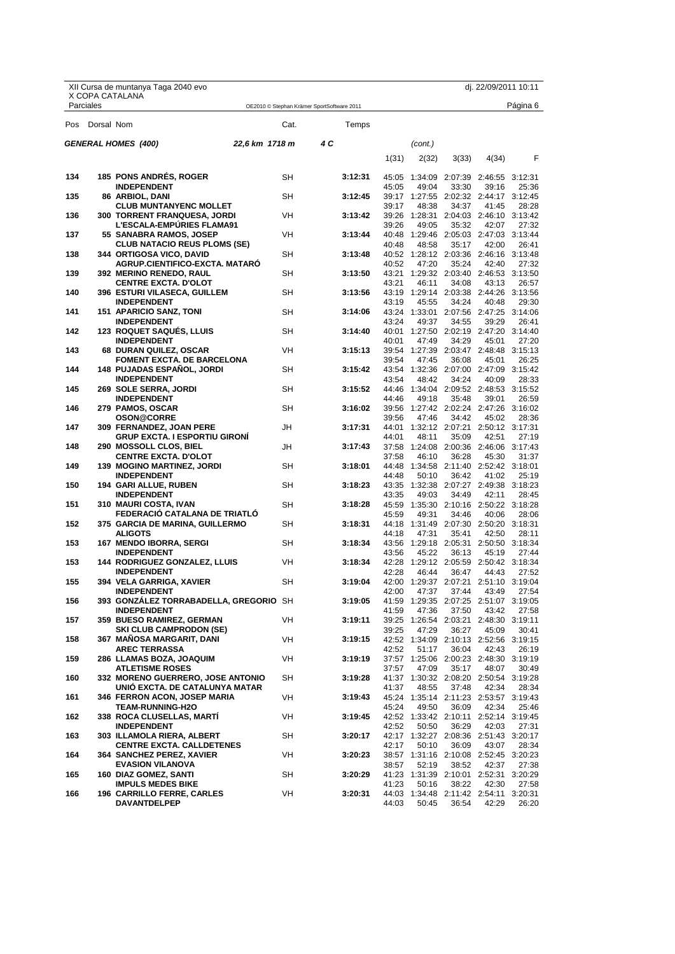| X COPA CATALANA<br>Parciales<br>Página 6<br>OE2010 © Stephan Krämer SportSoftware 2011<br>Pos Dorsal Nom<br>Cat.<br>Temps<br><b>GENERAL HOMES (400)</b><br>22,6 km 1718 m<br>4 C<br>(cont.)<br>F<br>1(31)<br>4(34)<br>2(32)<br>3(33)<br><b>185 PONS ANDRES, ROGER</b><br>134<br><b>SH</b><br>3:12:31<br>45:05 1:34:09 2:07:39 2:46:55 3:12:31<br><b>INDEPENDENT</b><br>49:04<br>45:05<br>33:30<br>39:16<br>25:36<br>135<br>86 ARBIOL, DANI<br>SH<br>3:12:45<br>39:17 1:27:55 2:02:32 2:44:17 3:12:45<br><b>CLUB MUNTANYENC MOLLET</b><br>39:17<br>48:38<br>34:37<br>28:28<br>41:45<br>136<br><b>300 TORRENT FRANQUESA, JORDI</b><br>3:13:42<br>VH<br>39:26 1:28:31 2:04:03 2:46:10 3:13:42<br><b>L'ESCALA-EMPURIES FLAMA91</b><br>39:26<br>49:05<br>35:32<br>42:07<br>27:32<br>137<br>55 SANABRA RAMOS, JOSEP<br>VH<br>3:13:44<br>40:48 1:29:46 2:05:03 2:47:03 3:13:44<br><b>CLUB NATACIO REUS PLOMS (SE)</b><br>40:48<br>48:58<br>35:17<br>42:00<br>26:41<br>344  ORTIGOSA VICO, DAVID<br>SΗ<br>40:52 1:28:12 2:03:36 2:46:16 3:13:48<br>138<br>3:13:48<br><b>AGRUP.CIENTIFICO-EXCTA. MATARO</b><br>40:52<br>47:20<br>35:24<br>42:40<br>27:32<br>139<br><b>392 MERINO RENEDO, RAUL</b><br>SΗ<br>3:13:50<br>43:21 1:29:32 2:03:40 2:46:53 3:13:50<br>43:21<br><b>CENTRE EXCTA. D'OLOT</b><br>46:11<br>34:08<br>43:13<br>26:57<br><b>SH</b><br>140<br>396 ESTURI VILASECA, GUILLEM<br>43:19 1:29:14 2:03:38 2:44:26 3:13:56<br>3:13:56<br><b>INDEPENDENT</b><br>43:19<br>45:55<br>34:24<br>40:48<br>29:30<br>141<br>SΗ<br>43:24 1:33:01 2:07:56 2:47:25<br><b>151 APARICIO SANZ, TONI</b><br>3:14:06<br>3:14:06<br><b>INDEPENDENT</b><br>43:24<br>49:37<br>34:55<br>39:29<br>26:41<br>142<br><b>123 ROQUET SAQUES, LLUIS</b><br>SΗ<br>3:14:40<br>40:01 1:27:50 2:02:19 2:47:20 3:14:40<br><b>INDEPENDENT</b><br>40:01<br>47:49<br>34:29<br>45:01<br>27:20<br>143<br>68 DURAN QUILEZ, OSCAR<br>VH<br>3:15:13<br>39:54 1:27:39 2:03:47 2:48:48 3:15:13<br><b>FOMENT EXCTA. DE BARCELONA</b><br>39:54<br>47:45<br>36:08<br>45:01<br>26:25<br><b>148 PUJADAS ESPANOL, JORDI</b><br>SΗ<br>3:15:42<br>43:54 1:32:36 2:07:00 2:47:09 3:15:42<br>144<br><b>INDEPENDENT</b><br>43:54<br>48:42<br>34:24<br>28:33<br>40:09<br>145<br>3:15:52<br>269 SOLE SERRA, JORDI<br>SΗ<br>44:46 1:34:04 2:09:52 2:48:53 3:15:52<br>44:46<br><b>INDEPENDENT</b><br>49:18<br>35:48<br>39:01<br>26:59<br><b>SH</b><br>146<br>279 PAMOS, OSCAR<br>39:56 1:27:42 2:02:24 2:47:26 3:16:02<br>3:16:02<br><b>OSON@CORRE</b><br>39:56<br>47:46<br>34:42<br>45:02<br>28:36<br>147<br>JH<br>3:17:31<br>44:01 1:32:12 2:07:21 2:50:12 3:17:31<br>309 FERNANDEZ, JOAN PERE<br>GRUP EXCTA. I ESPORTIU GIRONI<br>44:01<br>48:11<br>42:51<br>27:19<br>35:09<br>148<br>290 MOSSOLL CLOS, BIEL<br>JH<br>3:17:43<br>37:58 1:24:08 2:00:36 2:46:06 3:17:43<br><b>CENTRE EXCTA. D'OLOT</b><br>37:58<br>46:10<br>36:28<br>45:30<br>31:37<br><b>SH</b><br>149<br>44:48 1:34:58 2:11:40 2:52:42 3:18:01<br><b>139 MOGINO MARTINEZ, JORDI</b><br>3:18:01<br><b>INDEPENDENT</b><br>44:48<br>50:10<br>36:42<br>41:02<br>25:19<br>150<br>SΗ<br>43:35 1:32:38 2:07:27 2:49:38 3:18:23<br>194 GARI ALLUE, RUBEN<br>3:18:23<br>43:35<br>49:03<br>42:11<br>28:45<br><b>INDEPENDENT</b><br>34:49<br>151<br>SΗ<br>45:59 1:35:30 2:10:16 2:50:22 3:18:28<br>310 MAURI COSTA, IVAN<br>3:18:28<br>FEDERACIO CATALANA DE TRIATLO<br>45:59<br>49:31<br>34:46<br>28:06<br>40:06<br><b>SH</b><br>152<br>44:18 1:31:49 2:07:30 2:50:20 3:18:31<br>375 GARCIA DE MARINA, GUILLERMO<br>3:18:31<br>44:18<br>47:31<br>35:41<br>42:50<br>28:11<br><b>ALIGOTS</b><br>153<br>167 MENDO IBORRA, SERGI<br>SΗ<br>3:18:34<br>43:56 1:29:18 2:05:31 2:50:50 3:18:34<br><b>INDEPENDENT</b><br>43:56<br>45:22<br>36:13<br>45:19<br>27:44<br>153<br><b>144 RODRIGUEZ GONZALEZ, LLUIS</b><br>VH<br>3:18:34<br>42:28 1:29:12 2:05:59 2:50:42 3:18:34<br>42:28<br>46:44<br><b>INDEPENDENT</b><br>36:47<br>44:43<br>27:52<br>SΗ<br>3:19:04<br>155<br>394  VELA GARRIGA, XAVIER<br>42:00 1:29:37 2:07:21 2:51:10 3:19:04<br><b>INDEPENDENT</b><br>42:00<br>47:37<br>37:44<br>43:49<br>393 GONZÁLEZ TORRABADELLA, GREGORIO SH<br>156<br>3:19:05<br>41:59 1:29:35 2:07:25 2:51:07 3:19:05<br><b>INDEPENDENT</b><br>41:59<br>47:36<br>37:50<br>43:42<br>27:58<br>157<br>359 BUESO RAMIREZ, GERMAN<br>VH<br>3:19:11<br>39:25 1:26:54 2:03:21 2:48:30 3:19:11<br><b>SKI CLUB CAMPRODON (SE)</b><br>39:25<br>47:29<br>36:27<br>45:09<br>30:41<br>158<br>367 MAÑOSA MARGARIT, DANI<br>VH<br>3:19:15<br>42:52 1:34:09 2:10:13 2:52:56 3:19:15<br><b>AREC TERRASSA</b><br>42:52<br>51:17<br>36:04<br>42:43<br>26:19<br>159<br>286 LLAMAS BOZA, JOAQUIM<br>VH<br>3:19:19<br>37:57 1:25:06 2:00:23 2:48:30 3:19:19<br><b>ATLETISME ROSES</b><br>37:57<br>47:09<br>35:17<br>48:07<br>160<br>332 MORENO GUERRERO, JOSE ANTONIO<br>SН<br>3:19:28<br>41:37 1:30:32 2:08:20 2:50:54 3:19:28<br>UNIO EXCTA. DE CATALUNYA MATAR<br>41:37<br>48:55<br>42:34<br>37:48<br>28:34<br>161<br>346 FERRON ACON, JOSEP MARIA<br>VH<br>3:19:43<br>45:24 1:35:14 2:11:23 2:53:57 3:19:43<br><b>TEAM-RUNNING-H2O</b><br>45:24<br>49:50<br>42:34<br>25:46<br>36:09<br>162<br>338 ROCA CLUSELLAS, MARTI<br>VH<br>42:52 1:33:42 2:10:11 2:52:14 3:19:45<br>3:19:45<br><b>INDEPENDENT</b><br>42:52<br>50:50<br>36:29<br>42:03<br>27:31<br>163<br>303 ILLAMOLA RIERA, ALBERT<br>SН<br>42:17 1:32:27 2:08:36 2:51:43 3:20:17<br>3:20:17<br><b>CENTRE EXCTA. CALLDETENES</b><br>42:17<br>50:10<br>36:09<br>43:07<br>28:34<br>164<br>VH<br>364 SANCHEZ PEREZ, XAVIER<br>3:20:23<br>38:57 1:31:16 2:10:08 2:52:45 3:20:23<br><b>EVASION VILANOVA</b><br>38:57<br>52:19<br>38:52<br>42:37<br>27:38<br>160 DIAZ GOMEZ, SANTI<br>165<br>SН<br>3:20:29<br>41:23 1:31:39 2:10:01 2:52:31 3:20:29<br><b>IMPULS MEDES BIKE</b><br>41:23<br>50:16<br>38:22<br>42:30<br>166<br>VH<br>3:20:31<br>44:03 1:34:48 2:11:42 2:54:11 3:20:31<br><b>196 CARRILLO FERRE, CARLES</b><br><b>DAVANTDELPEP</b><br>44:03<br>50:45<br>42:29<br>36:54 |  | XII Cursa de muntanya Taga 2040 evo |  |  | dj. 22/09/2011 10:11 |       |
|---------------------------------------------------------------------------------------------------------------------------------------------------------------------------------------------------------------------------------------------------------------------------------------------------------------------------------------------------------------------------------------------------------------------------------------------------------------------------------------------------------------------------------------------------------------------------------------------------------------------------------------------------------------------------------------------------------------------------------------------------------------------------------------------------------------------------------------------------------------------------------------------------------------------------------------------------------------------------------------------------------------------------------------------------------------------------------------------------------------------------------------------------------------------------------------------------------------------------------------------------------------------------------------------------------------------------------------------------------------------------------------------------------------------------------------------------------------------------------------------------------------------------------------------------------------------------------------------------------------------------------------------------------------------------------------------------------------------------------------------------------------------------------------------------------------------------------------------------------------------------------------------------------------------------------------------------------------------------------------------------------------------------------------------------------------------------------------------------------------------------------------------------------------------------------------------------------------------------------------------------------------------------------------------------------------------------------------------------------------------------------------------------------------------------------------------------------------------------------------------------------------------------------------------------------------------------------------------------------------------------------------------------------------------------------------------------------------------------------------------------------------------------------------------------------------------------------------------------------------------------------------------------------------------------------------------------------------------------------------------------------------------------------------------------------------------------------------------------------------------------------------------------------------------------------------------------------------------------------------------------------------------------------------------------------------------------------------------------------------------------------------------------------------------------------------------------------------------------------------------------------------------------------------------------------------------------------------------------------------------------------------------------------------------------------------------------------------------------------------------------------------------------------------------------------------------------------------------------------------------------------------------------------------------------------------------------------------------------------------------------------------------------------------------------------------------------------------------------------------------------------------------------------------------------------------------------------------------------------------------------------------------------------------------------------------------------------------------------------------------------------------------------------------------------------------------------------------------------------------------------------------------------------------------------------------------------------------------------------------------------------------------------------------------------------------------------------------------------------------------------------------------------------------------------------------------------------------------------------------------------------------------------------------------------------------------------------------------------------------------------------------------------------------------------------------------------------------------------------------------------------------------------------------------------------------------------------------------------------------------------------------------------------------------------------------------------------------------------------------------------------------------------------------------------------------------------------------------------------------------------------------------------------------------------------------------------------------------------------------------------------------------------------------------------------------------------------------------------------------------------------------------------------------------------------------------------------------------------------------------------------------------------------------------------------------------------------------------------------------------------|--|-------------------------------------|--|--|----------------------|-------|
|                                                                                                                                                                                                                                                                                                                                                                                                                                                                                                                                                                                                                                                                                                                                                                                                                                                                                                                                                                                                                                                                                                                                                                                                                                                                                                                                                                                                                                                                                                                                                                                                                                                                                                                                                                                                                                                                                                                                                                                                                                                                                                                                                                                                                                                                                                                                                                                                                                                                                                                                                                                                                                                                                                                                                                                                                                                                                                                                                                                                                                                                                                                                                                                                                                                                                                                                                                                                                                                                                                                                                                                                                                                                                                                                                                                                                                                                                                                                                                                                                                                                                                                                                                                                                                                                                                                                                                                                                                                                                                                                                                                                                                                                                                                                                                                                                                                                                                                                                                                                                                                                                                                                                                                                                                                                                                                                                                                                                                                                                                                                                                                                                                                                                                                                                                                                                                                                                                                                                                                                   |  |                                     |  |  |                      |       |
|                                                                                                                                                                                                                                                                                                                                                                                                                                                                                                                                                                                                                                                                                                                                                                                                                                                                                                                                                                                                                                                                                                                                                                                                                                                                                                                                                                                                                                                                                                                                                                                                                                                                                                                                                                                                                                                                                                                                                                                                                                                                                                                                                                                                                                                                                                                                                                                                                                                                                                                                                                                                                                                                                                                                                                                                                                                                                                                                                                                                                                                                                                                                                                                                                                                                                                                                                                                                                                                                                                                                                                                                                                                                                                                                                                                                                                                                                                                                                                                                                                                                                                                                                                                                                                                                                                                                                                                                                                                                                                                                                                                                                                                                                                                                                                                                                                                                                                                                                                                                                                                                                                                                                                                                                                                                                                                                                                                                                                                                                                                                                                                                                                                                                                                                                                                                                                                                                                                                                                                                   |  |                                     |  |  |                      |       |
|                                                                                                                                                                                                                                                                                                                                                                                                                                                                                                                                                                                                                                                                                                                                                                                                                                                                                                                                                                                                                                                                                                                                                                                                                                                                                                                                                                                                                                                                                                                                                                                                                                                                                                                                                                                                                                                                                                                                                                                                                                                                                                                                                                                                                                                                                                                                                                                                                                                                                                                                                                                                                                                                                                                                                                                                                                                                                                                                                                                                                                                                                                                                                                                                                                                                                                                                                                                                                                                                                                                                                                                                                                                                                                                                                                                                                                                                                                                                                                                                                                                                                                                                                                                                                                                                                                                                                                                                                                                                                                                                                                                                                                                                                                                                                                                                                                                                                                                                                                                                                                                                                                                                                                                                                                                                                                                                                                                                                                                                                                                                                                                                                                                                                                                                                                                                                                                                                                                                                                                                   |  |                                     |  |  |                      |       |
|                                                                                                                                                                                                                                                                                                                                                                                                                                                                                                                                                                                                                                                                                                                                                                                                                                                                                                                                                                                                                                                                                                                                                                                                                                                                                                                                                                                                                                                                                                                                                                                                                                                                                                                                                                                                                                                                                                                                                                                                                                                                                                                                                                                                                                                                                                                                                                                                                                                                                                                                                                                                                                                                                                                                                                                                                                                                                                                                                                                                                                                                                                                                                                                                                                                                                                                                                                                                                                                                                                                                                                                                                                                                                                                                                                                                                                                                                                                                                                                                                                                                                                                                                                                                                                                                                                                                                                                                                                                                                                                                                                                                                                                                                                                                                                                                                                                                                                                                                                                                                                                                                                                                                                                                                                                                                                                                                                                                                                                                                                                                                                                                                                                                                                                                                                                                                                                                                                                                                                                                   |  |                                     |  |  |                      |       |
|                                                                                                                                                                                                                                                                                                                                                                                                                                                                                                                                                                                                                                                                                                                                                                                                                                                                                                                                                                                                                                                                                                                                                                                                                                                                                                                                                                                                                                                                                                                                                                                                                                                                                                                                                                                                                                                                                                                                                                                                                                                                                                                                                                                                                                                                                                                                                                                                                                                                                                                                                                                                                                                                                                                                                                                                                                                                                                                                                                                                                                                                                                                                                                                                                                                                                                                                                                                                                                                                                                                                                                                                                                                                                                                                                                                                                                                                                                                                                                                                                                                                                                                                                                                                                                                                                                                                                                                                                                                                                                                                                                                                                                                                                                                                                                                                                                                                                                                                                                                                                                                                                                                                                                                                                                                                                                                                                                                                                                                                                                                                                                                                                                                                                                                                                                                                                                                                                                                                                                                                   |  |                                     |  |  |                      |       |
|                                                                                                                                                                                                                                                                                                                                                                                                                                                                                                                                                                                                                                                                                                                                                                                                                                                                                                                                                                                                                                                                                                                                                                                                                                                                                                                                                                                                                                                                                                                                                                                                                                                                                                                                                                                                                                                                                                                                                                                                                                                                                                                                                                                                                                                                                                                                                                                                                                                                                                                                                                                                                                                                                                                                                                                                                                                                                                                                                                                                                                                                                                                                                                                                                                                                                                                                                                                                                                                                                                                                                                                                                                                                                                                                                                                                                                                                                                                                                                                                                                                                                                                                                                                                                                                                                                                                                                                                                                                                                                                                                                                                                                                                                                                                                                                                                                                                                                                                                                                                                                                                                                                                                                                                                                                                                                                                                                                                                                                                                                                                                                                                                                                                                                                                                                                                                                                                                                                                                                                                   |  |                                     |  |  |                      |       |
|                                                                                                                                                                                                                                                                                                                                                                                                                                                                                                                                                                                                                                                                                                                                                                                                                                                                                                                                                                                                                                                                                                                                                                                                                                                                                                                                                                                                                                                                                                                                                                                                                                                                                                                                                                                                                                                                                                                                                                                                                                                                                                                                                                                                                                                                                                                                                                                                                                                                                                                                                                                                                                                                                                                                                                                                                                                                                                                                                                                                                                                                                                                                                                                                                                                                                                                                                                                                                                                                                                                                                                                                                                                                                                                                                                                                                                                                                                                                                                                                                                                                                                                                                                                                                                                                                                                                                                                                                                                                                                                                                                                                                                                                                                                                                                                                                                                                                                                                                                                                                                                                                                                                                                                                                                                                                                                                                                                                                                                                                                                                                                                                                                                                                                                                                                                                                                                                                                                                                                                                   |  |                                     |  |  |                      |       |
|                                                                                                                                                                                                                                                                                                                                                                                                                                                                                                                                                                                                                                                                                                                                                                                                                                                                                                                                                                                                                                                                                                                                                                                                                                                                                                                                                                                                                                                                                                                                                                                                                                                                                                                                                                                                                                                                                                                                                                                                                                                                                                                                                                                                                                                                                                                                                                                                                                                                                                                                                                                                                                                                                                                                                                                                                                                                                                                                                                                                                                                                                                                                                                                                                                                                                                                                                                                                                                                                                                                                                                                                                                                                                                                                                                                                                                                                                                                                                                                                                                                                                                                                                                                                                                                                                                                                                                                                                                                                                                                                                                                                                                                                                                                                                                                                                                                                                                                                                                                                                                                                                                                                                                                                                                                                                                                                                                                                                                                                                                                                                                                                                                                                                                                                                                                                                                                                                                                                                                                                   |  |                                     |  |  |                      |       |
|                                                                                                                                                                                                                                                                                                                                                                                                                                                                                                                                                                                                                                                                                                                                                                                                                                                                                                                                                                                                                                                                                                                                                                                                                                                                                                                                                                                                                                                                                                                                                                                                                                                                                                                                                                                                                                                                                                                                                                                                                                                                                                                                                                                                                                                                                                                                                                                                                                                                                                                                                                                                                                                                                                                                                                                                                                                                                                                                                                                                                                                                                                                                                                                                                                                                                                                                                                                                                                                                                                                                                                                                                                                                                                                                                                                                                                                                                                                                                                                                                                                                                                                                                                                                                                                                                                                                                                                                                                                                                                                                                                                                                                                                                                                                                                                                                                                                                                                                                                                                                                                                                                                                                                                                                                                                                                                                                                                                                                                                                                                                                                                                                                                                                                                                                                                                                                                                                                                                                                                                   |  |                                     |  |  |                      |       |
|                                                                                                                                                                                                                                                                                                                                                                                                                                                                                                                                                                                                                                                                                                                                                                                                                                                                                                                                                                                                                                                                                                                                                                                                                                                                                                                                                                                                                                                                                                                                                                                                                                                                                                                                                                                                                                                                                                                                                                                                                                                                                                                                                                                                                                                                                                                                                                                                                                                                                                                                                                                                                                                                                                                                                                                                                                                                                                                                                                                                                                                                                                                                                                                                                                                                                                                                                                                                                                                                                                                                                                                                                                                                                                                                                                                                                                                                                                                                                                                                                                                                                                                                                                                                                                                                                                                                                                                                                                                                                                                                                                                                                                                                                                                                                                                                                                                                                                                                                                                                                                                                                                                                                                                                                                                                                                                                                                                                                                                                                                                                                                                                                                                                                                                                                                                                                                                                                                                                                                                                   |  |                                     |  |  |                      |       |
|                                                                                                                                                                                                                                                                                                                                                                                                                                                                                                                                                                                                                                                                                                                                                                                                                                                                                                                                                                                                                                                                                                                                                                                                                                                                                                                                                                                                                                                                                                                                                                                                                                                                                                                                                                                                                                                                                                                                                                                                                                                                                                                                                                                                                                                                                                                                                                                                                                                                                                                                                                                                                                                                                                                                                                                                                                                                                                                                                                                                                                                                                                                                                                                                                                                                                                                                                                                                                                                                                                                                                                                                                                                                                                                                                                                                                                                                                                                                                                                                                                                                                                                                                                                                                                                                                                                                                                                                                                                                                                                                                                                                                                                                                                                                                                                                                                                                                                                                                                                                                                                                                                                                                                                                                                                                                                                                                                                                                                                                                                                                                                                                                                                                                                                                                                                                                                                                                                                                                                                                   |  |                                     |  |  |                      |       |
|                                                                                                                                                                                                                                                                                                                                                                                                                                                                                                                                                                                                                                                                                                                                                                                                                                                                                                                                                                                                                                                                                                                                                                                                                                                                                                                                                                                                                                                                                                                                                                                                                                                                                                                                                                                                                                                                                                                                                                                                                                                                                                                                                                                                                                                                                                                                                                                                                                                                                                                                                                                                                                                                                                                                                                                                                                                                                                                                                                                                                                                                                                                                                                                                                                                                                                                                                                                                                                                                                                                                                                                                                                                                                                                                                                                                                                                                                                                                                                                                                                                                                                                                                                                                                                                                                                                                                                                                                                                                                                                                                                                                                                                                                                                                                                                                                                                                                                                                                                                                                                                                                                                                                                                                                                                                                                                                                                                                                                                                                                                                                                                                                                                                                                                                                                                                                                                                                                                                                                                                   |  |                                     |  |  |                      |       |
|                                                                                                                                                                                                                                                                                                                                                                                                                                                                                                                                                                                                                                                                                                                                                                                                                                                                                                                                                                                                                                                                                                                                                                                                                                                                                                                                                                                                                                                                                                                                                                                                                                                                                                                                                                                                                                                                                                                                                                                                                                                                                                                                                                                                                                                                                                                                                                                                                                                                                                                                                                                                                                                                                                                                                                                                                                                                                                                                                                                                                                                                                                                                                                                                                                                                                                                                                                                                                                                                                                                                                                                                                                                                                                                                                                                                                                                                                                                                                                                                                                                                                                                                                                                                                                                                                                                                                                                                                                                                                                                                                                                                                                                                                                                                                                                                                                                                                                                                                                                                                                                                                                                                                                                                                                                                                                                                                                                                                                                                                                                                                                                                                                                                                                                                                                                                                                                                                                                                                                                                   |  |                                     |  |  |                      |       |
|                                                                                                                                                                                                                                                                                                                                                                                                                                                                                                                                                                                                                                                                                                                                                                                                                                                                                                                                                                                                                                                                                                                                                                                                                                                                                                                                                                                                                                                                                                                                                                                                                                                                                                                                                                                                                                                                                                                                                                                                                                                                                                                                                                                                                                                                                                                                                                                                                                                                                                                                                                                                                                                                                                                                                                                                                                                                                                                                                                                                                                                                                                                                                                                                                                                                                                                                                                                                                                                                                                                                                                                                                                                                                                                                                                                                                                                                                                                                                                                                                                                                                                                                                                                                                                                                                                                                                                                                                                                                                                                                                                                                                                                                                                                                                                                                                                                                                                                                                                                                                                                                                                                                                                                                                                                                                                                                                                                                                                                                                                                                                                                                                                                                                                                                                                                                                                                                                                                                                                                                   |  |                                     |  |  |                      |       |
|                                                                                                                                                                                                                                                                                                                                                                                                                                                                                                                                                                                                                                                                                                                                                                                                                                                                                                                                                                                                                                                                                                                                                                                                                                                                                                                                                                                                                                                                                                                                                                                                                                                                                                                                                                                                                                                                                                                                                                                                                                                                                                                                                                                                                                                                                                                                                                                                                                                                                                                                                                                                                                                                                                                                                                                                                                                                                                                                                                                                                                                                                                                                                                                                                                                                                                                                                                                                                                                                                                                                                                                                                                                                                                                                                                                                                                                                                                                                                                                                                                                                                                                                                                                                                                                                                                                                                                                                                                                                                                                                                                                                                                                                                                                                                                                                                                                                                                                                                                                                                                                                                                                                                                                                                                                                                                                                                                                                                                                                                                                                                                                                                                                                                                                                                                                                                                                                                                                                                                                                   |  |                                     |  |  |                      |       |
|                                                                                                                                                                                                                                                                                                                                                                                                                                                                                                                                                                                                                                                                                                                                                                                                                                                                                                                                                                                                                                                                                                                                                                                                                                                                                                                                                                                                                                                                                                                                                                                                                                                                                                                                                                                                                                                                                                                                                                                                                                                                                                                                                                                                                                                                                                                                                                                                                                                                                                                                                                                                                                                                                                                                                                                                                                                                                                                                                                                                                                                                                                                                                                                                                                                                                                                                                                                                                                                                                                                                                                                                                                                                                                                                                                                                                                                                                                                                                                                                                                                                                                                                                                                                                                                                                                                                                                                                                                                                                                                                                                                                                                                                                                                                                                                                                                                                                                                                                                                                                                                                                                                                                                                                                                                                                                                                                                                                                                                                                                                                                                                                                                                                                                                                                                                                                                                                                                                                                                                                   |  |                                     |  |  |                      |       |
|                                                                                                                                                                                                                                                                                                                                                                                                                                                                                                                                                                                                                                                                                                                                                                                                                                                                                                                                                                                                                                                                                                                                                                                                                                                                                                                                                                                                                                                                                                                                                                                                                                                                                                                                                                                                                                                                                                                                                                                                                                                                                                                                                                                                                                                                                                                                                                                                                                                                                                                                                                                                                                                                                                                                                                                                                                                                                                                                                                                                                                                                                                                                                                                                                                                                                                                                                                                                                                                                                                                                                                                                                                                                                                                                                                                                                                                                                                                                                                                                                                                                                                                                                                                                                                                                                                                                                                                                                                                                                                                                                                                                                                                                                                                                                                                                                                                                                                                                                                                                                                                                                                                                                                                                                                                                                                                                                                                                                                                                                                                                                                                                                                                                                                                                                                                                                                                                                                                                                                                                   |  |                                     |  |  |                      |       |
|                                                                                                                                                                                                                                                                                                                                                                                                                                                                                                                                                                                                                                                                                                                                                                                                                                                                                                                                                                                                                                                                                                                                                                                                                                                                                                                                                                                                                                                                                                                                                                                                                                                                                                                                                                                                                                                                                                                                                                                                                                                                                                                                                                                                                                                                                                                                                                                                                                                                                                                                                                                                                                                                                                                                                                                                                                                                                                                                                                                                                                                                                                                                                                                                                                                                                                                                                                                                                                                                                                                                                                                                                                                                                                                                                                                                                                                                                                                                                                                                                                                                                                                                                                                                                                                                                                                                                                                                                                                                                                                                                                                                                                                                                                                                                                                                                                                                                                                                                                                                                                                                                                                                                                                                                                                                                                                                                                                                                                                                                                                                                                                                                                                                                                                                                                                                                                                                                                                                                                                                   |  |                                     |  |  |                      |       |
|                                                                                                                                                                                                                                                                                                                                                                                                                                                                                                                                                                                                                                                                                                                                                                                                                                                                                                                                                                                                                                                                                                                                                                                                                                                                                                                                                                                                                                                                                                                                                                                                                                                                                                                                                                                                                                                                                                                                                                                                                                                                                                                                                                                                                                                                                                                                                                                                                                                                                                                                                                                                                                                                                                                                                                                                                                                                                                                                                                                                                                                                                                                                                                                                                                                                                                                                                                                                                                                                                                                                                                                                                                                                                                                                                                                                                                                                                                                                                                                                                                                                                                                                                                                                                                                                                                                                                                                                                                                                                                                                                                                                                                                                                                                                                                                                                                                                                                                                                                                                                                                                                                                                                                                                                                                                                                                                                                                                                                                                                                                                                                                                                                                                                                                                                                                                                                                                                                                                                                                                   |  |                                     |  |  |                      |       |
|                                                                                                                                                                                                                                                                                                                                                                                                                                                                                                                                                                                                                                                                                                                                                                                                                                                                                                                                                                                                                                                                                                                                                                                                                                                                                                                                                                                                                                                                                                                                                                                                                                                                                                                                                                                                                                                                                                                                                                                                                                                                                                                                                                                                                                                                                                                                                                                                                                                                                                                                                                                                                                                                                                                                                                                                                                                                                                                                                                                                                                                                                                                                                                                                                                                                                                                                                                                                                                                                                                                                                                                                                                                                                                                                                                                                                                                                                                                                                                                                                                                                                                                                                                                                                                                                                                                                                                                                                                                                                                                                                                                                                                                                                                                                                                                                                                                                                                                                                                                                                                                                                                                                                                                                                                                                                                                                                                                                                                                                                                                                                                                                                                                                                                                                                                                                                                                                                                                                                                                                   |  |                                     |  |  |                      |       |
|                                                                                                                                                                                                                                                                                                                                                                                                                                                                                                                                                                                                                                                                                                                                                                                                                                                                                                                                                                                                                                                                                                                                                                                                                                                                                                                                                                                                                                                                                                                                                                                                                                                                                                                                                                                                                                                                                                                                                                                                                                                                                                                                                                                                                                                                                                                                                                                                                                                                                                                                                                                                                                                                                                                                                                                                                                                                                                                                                                                                                                                                                                                                                                                                                                                                                                                                                                                                                                                                                                                                                                                                                                                                                                                                                                                                                                                                                                                                                                                                                                                                                                                                                                                                                                                                                                                                                                                                                                                                                                                                                                                                                                                                                                                                                                                                                                                                                                                                                                                                                                                                                                                                                                                                                                                                                                                                                                                                                                                                                                                                                                                                                                                                                                                                                                                                                                                                                                                                                                                                   |  |                                     |  |  |                      |       |
|                                                                                                                                                                                                                                                                                                                                                                                                                                                                                                                                                                                                                                                                                                                                                                                                                                                                                                                                                                                                                                                                                                                                                                                                                                                                                                                                                                                                                                                                                                                                                                                                                                                                                                                                                                                                                                                                                                                                                                                                                                                                                                                                                                                                                                                                                                                                                                                                                                                                                                                                                                                                                                                                                                                                                                                                                                                                                                                                                                                                                                                                                                                                                                                                                                                                                                                                                                                                                                                                                                                                                                                                                                                                                                                                                                                                                                                                                                                                                                                                                                                                                                                                                                                                                                                                                                                                                                                                                                                                                                                                                                                                                                                                                                                                                                                                                                                                                                                                                                                                                                                                                                                                                                                                                                                                                                                                                                                                                                                                                                                                                                                                                                                                                                                                                                                                                                                                                                                                                                                                   |  |                                     |  |  |                      |       |
|                                                                                                                                                                                                                                                                                                                                                                                                                                                                                                                                                                                                                                                                                                                                                                                                                                                                                                                                                                                                                                                                                                                                                                                                                                                                                                                                                                                                                                                                                                                                                                                                                                                                                                                                                                                                                                                                                                                                                                                                                                                                                                                                                                                                                                                                                                                                                                                                                                                                                                                                                                                                                                                                                                                                                                                                                                                                                                                                                                                                                                                                                                                                                                                                                                                                                                                                                                                                                                                                                                                                                                                                                                                                                                                                                                                                                                                                                                                                                                                                                                                                                                                                                                                                                                                                                                                                                                                                                                                                                                                                                                                                                                                                                                                                                                                                                                                                                                                                                                                                                                                                                                                                                                                                                                                                                                                                                                                                                                                                                                                                                                                                                                                                                                                                                                                                                                                                                                                                                                                                   |  |                                     |  |  |                      |       |
|                                                                                                                                                                                                                                                                                                                                                                                                                                                                                                                                                                                                                                                                                                                                                                                                                                                                                                                                                                                                                                                                                                                                                                                                                                                                                                                                                                                                                                                                                                                                                                                                                                                                                                                                                                                                                                                                                                                                                                                                                                                                                                                                                                                                                                                                                                                                                                                                                                                                                                                                                                                                                                                                                                                                                                                                                                                                                                                                                                                                                                                                                                                                                                                                                                                                                                                                                                                                                                                                                                                                                                                                                                                                                                                                                                                                                                                                                                                                                                                                                                                                                                                                                                                                                                                                                                                                                                                                                                                                                                                                                                                                                                                                                                                                                                                                                                                                                                                                                                                                                                                                                                                                                                                                                                                                                                                                                                                                                                                                                                                                                                                                                                                                                                                                                                                                                                                                                                                                                                                                   |  |                                     |  |  |                      |       |
|                                                                                                                                                                                                                                                                                                                                                                                                                                                                                                                                                                                                                                                                                                                                                                                                                                                                                                                                                                                                                                                                                                                                                                                                                                                                                                                                                                                                                                                                                                                                                                                                                                                                                                                                                                                                                                                                                                                                                                                                                                                                                                                                                                                                                                                                                                                                                                                                                                                                                                                                                                                                                                                                                                                                                                                                                                                                                                                                                                                                                                                                                                                                                                                                                                                                                                                                                                                                                                                                                                                                                                                                                                                                                                                                                                                                                                                                                                                                                                                                                                                                                                                                                                                                                                                                                                                                                                                                                                                                                                                                                                                                                                                                                                                                                                                                                                                                                                                                                                                                                                                                                                                                                                                                                                                                                                                                                                                                                                                                                                                                                                                                                                                                                                                                                                                                                                                                                                                                                                                                   |  |                                     |  |  |                      |       |
|                                                                                                                                                                                                                                                                                                                                                                                                                                                                                                                                                                                                                                                                                                                                                                                                                                                                                                                                                                                                                                                                                                                                                                                                                                                                                                                                                                                                                                                                                                                                                                                                                                                                                                                                                                                                                                                                                                                                                                                                                                                                                                                                                                                                                                                                                                                                                                                                                                                                                                                                                                                                                                                                                                                                                                                                                                                                                                                                                                                                                                                                                                                                                                                                                                                                                                                                                                                                                                                                                                                                                                                                                                                                                                                                                                                                                                                                                                                                                                                                                                                                                                                                                                                                                                                                                                                                                                                                                                                                                                                                                                                                                                                                                                                                                                                                                                                                                                                                                                                                                                                                                                                                                                                                                                                                                                                                                                                                                                                                                                                                                                                                                                                                                                                                                                                                                                                                                                                                                                                                   |  |                                     |  |  |                      |       |
|                                                                                                                                                                                                                                                                                                                                                                                                                                                                                                                                                                                                                                                                                                                                                                                                                                                                                                                                                                                                                                                                                                                                                                                                                                                                                                                                                                                                                                                                                                                                                                                                                                                                                                                                                                                                                                                                                                                                                                                                                                                                                                                                                                                                                                                                                                                                                                                                                                                                                                                                                                                                                                                                                                                                                                                                                                                                                                                                                                                                                                                                                                                                                                                                                                                                                                                                                                                                                                                                                                                                                                                                                                                                                                                                                                                                                                                                                                                                                                                                                                                                                                                                                                                                                                                                                                                                                                                                                                                                                                                                                                                                                                                                                                                                                                                                                                                                                                                                                                                                                                                                                                                                                                                                                                                                                                                                                                                                                                                                                                                                                                                                                                                                                                                                                                                                                                                                                                                                                                                                   |  |                                     |  |  |                      |       |
|                                                                                                                                                                                                                                                                                                                                                                                                                                                                                                                                                                                                                                                                                                                                                                                                                                                                                                                                                                                                                                                                                                                                                                                                                                                                                                                                                                                                                                                                                                                                                                                                                                                                                                                                                                                                                                                                                                                                                                                                                                                                                                                                                                                                                                                                                                                                                                                                                                                                                                                                                                                                                                                                                                                                                                                                                                                                                                                                                                                                                                                                                                                                                                                                                                                                                                                                                                                                                                                                                                                                                                                                                                                                                                                                                                                                                                                                                                                                                                                                                                                                                                                                                                                                                                                                                                                                                                                                                                                                                                                                                                                                                                                                                                                                                                                                                                                                                                                                                                                                                                                                                                                                                                                                                                                                                                                                                                                                                                                                                                                                                                                                                                                                                                                                                                                                                                                                                                                                                                                                   |  |                                     |  |  |                      |       |
|                                                                                                                                                                                                                                                                                                                                                                                                                                                                                                                                                                                                                                                                                                                                                                                                                                                                                                                                                                                                                                                                                                                                                                                                                                                                                                                                                                                                                                                                                                                                                                                                                                                                                                                                                                                                                                                                                                                                                                                                                                                                                                                                                                                                                                                                                                                                                                                                                                                                                                                                                                                                                                                                                                                                                                                                                                                                                                                                                                                                                                                                                                                                                                                                                                                                                                                                                                                                                                                                                                                                                                                                                                                                                                                                                                                                                                                                                                                                                                                                                                                                                                                                                                                                                                                                                                                                                                                                                                                                                                                                                                                                                                                                                                                                                                                                                                                                                                                                                                                                                                                                                                                                                                                                                                                                                                                                                                                                                                                                                                                                                                                                                                                                                                                                                                                                                                                                                                                                                                                                   |  |                                     |  |  |                      |       |
|                                                                                                                                                                                                                                                                                                                                                                                                                                                                                                                                                                                                                                                                                                                                                                                                                                                                                                                                                                                                                                                                                                                                                                                                                                                                                                                                                                                                                                                                                                                                                                                                                                                                                                                                                                                                                                                                                                                                                                                                                                                                                                                                                                                                                                                                                                                                                                                                                                                                                                                                                                                                                                                                                                                                                                                                                                                                                                                                                                                                                                                                                                                                                                                                                                                                                                                                                                                                                                                                                                                                                                                                                                                                                                                                                                                                                                                                                                                                                                                                                                                                                                                                                                                                                                                                                                                                                                                                                                                                                                                                                                                                                                                                                                                                                                                                                                                                                                                                                                                                                                                                                                                                                                                                                                                                                                                                                                                                                                                                                                                                                                                                                                                                                                                                                                                                                                                                                                                                                                                                   |  |                                     |  |  |                      |       |
|                                                                                                                                                                                                                                                                                                                                                                                                                                                                                                                                                                                                                                                                                                                                                                                                                                                                                                                                                                                                                                                                                                                                                                                                                                                                                                                                                                                                                                                                                                                                                                                                                                                                                                                                                                                                                                                                                                                                                                                                                                                                                                                                                                                                                                                                                                                                                                                                                                                                                                                                                                                                                                                                                                                                                                                                                                                                                                                                                                                                                                                                                                                                                                                                                                                                                                                                                                                                                                                                                                                                                                                                                                                                                                                                                                                                                                                                                                                                                                                                                                                                                                                                                                                                                                                                                                                                                                                                                                                                                                                                                                                                                                                                                                                                                                                                                                                                                                                                                                                                                                                                                                                                                                                                                                                                                                                                                                                                                                                                                                                                                                                                                                                                                                                                                                                                                                                                                                                                                                                                   |  |                                     |  |  |                      |       |
|                                                                                                                                                                                                                                                                                                                                                                                                                                                                                                                                                                                                                                                                                                                                                                                                                                                                                                                                                                                                                                                                                                                                                                                                                                                                                                                                                                                                                                                                                                                                                                                                                                                                                                                                                                                                                                                                                                                                                                                                                                                                                                                                                                                                                                                                                                                                                                                                                                                                                                                                                                                                                                                                                                                                                                                                                                                                                                                                                                                                                                                                                                                                                                                                                                                                                                                                                                                                                                                                                                                                                                                                                                                                                                                                                                                                                                                                                                                                                                                                                                                                                                                                                                                                                                                                                                                                                                                                                                                                                                                                                                                                                                                                                                                                                                                                                                                                                                                                                                                                                                                                                                                                                                                                                                                                                                                                                                                                                                                                                                                                                                                                                                                                                                                                                                                                                                                                                                                                                                                                   |  |                                     |  |  |                      |       |
|                                                                                                                                                                                                                                                                                                                                                                                                                                                                                                                                                                                                                                                                                                                                                                                                                                                                                                                                                                                                                                                                                                                                                                                                                                                                                                                                                                                                                                                                                                                                                                                                                                                                                                                                                                                                                                                                                                                                                                                                                                                                                                                                                                                                                                                                                                                                                                                                                                                                                                                                                                                                                                                                                                                                                                                                                                                                                                                                                                                                                                                                                                                                                                                                                                                                                                                                                                                                                                                                                                                                                                                                                                                                                                                                                                                                                                                                                                                                                                                                                                                                                                                                                                                                                                                                                                                                                                                                                                                                                                                                                                                                                                                                                                                                                                                                                                                                                                                                                                                                                                                                                                                                                                                                                                                                                                                                                                                                                                                                                                                                                                                                                                                                                                                                                                                                                                                                                                                                                                                                   |  |                                     |  |  |                      |       |
|                                                                                                                                                                                                                                                                                                                                                                                                                                                                                                                                                                                                                                                                                                                                                                                                                                                                                                                                                                                                                                                                                                                                                                                                                                                                                                                                                                                                                                                                                                                                                                                                                                                                                                                                                                                                                                                                                                                                                                                                                                                                                                                                                                                                                                                                                                                                                                                                                                                                                                                                                                                                                                                                                                                                                                                                                                                                                                                                                                                                                                                                                                                                                                                                                                                                                                                                                                                                                                                                                                                                                                                                                                                                                                                                                                                                                                                                                                                                                                                                                                                                                                                                                                                                                                                                                                                                                                                                                                                                                                                                                                                                                                                                                                                                                                                                                                                                                                                                                                                                                                                                                                                                                                                                                                                                                                                                                                                                                                                                                                                                                                                                                                                                                                                                                                                                                                                                                                                                                                                                   |  |                                     |  |  |                      |       |
|                                                                                                                                                                                                                                                                                                                                                                                                                                                                                                                                                                                                                                                                                                                                                                                                                                                                                                                                                                                                                                                                                                                                                                                                                                                                                                                                                                                                                                                                                                                                                                                                                                                                                                                                                                                                                                                                                                                                                                                                                                                                                                                                                                                                                                                                                                                                                                                                                                                                                                                                                                                                                                                                                                                                                                                                                                                                                                                                                                                                                                                                                                                                                                                                                                                                                                                                                                                                                                                                                                                                                                                                                                                                                                                                                                                                                                                                                                                                                                                                                                                                                                                                                                                                                                                                                                                                                                                                                                                                                                                                                                                                                                                                                                                                                                                                                                                                                                                                                                                                                                                                                                                                                                                                                                                                                                                                                                                                                                                                                                                                                                                                                                                                                                                                                                                                                                                                                                                                                                                                   |  |                                     |  |  |                      |       |
|                                                                                                                                                                                                                                                                                                                                                                                                                                                                                                                                                                                                                                                                                                                                                                                                                                                                                                                                                                                                                                                                                                                                                                                                                                                                                                                                                                                                                                                                                                                                                                                                                                                                                                                                                                                                                                                                                                                                                                                                                                                                                                                                                                                                                                                                                                                                                                                                                                                                                                                                                                                                                                                                                                                                                                                                                                                                                                                                                                                                                                                                                                                                                                                                                                                                                                                                                                                                                                                                                                                                                                                                                                                                                                                                                                                                                                                                                                                                                                                                                                                                                                                                                                                                                                                                                                                                                                                                                                                                                                                                                                                                                                                                                                                                                                                                                                                                                                                                                                                                                                                                                                                                                                                                                                                                                                                                                                                                                                                                                                                                                                                                                                                                                                                                                                                                                                                                                                                                                                                                   |  |                                     |  |  |                      | 27:54 |
|                                                                                                                                                                                                                                                                                                                                                                                                                                                                                                                                                                                                                                                                                                                                                                                                                                                                                                                                                                                                                                                                                                                                                                                                                                                                                                                                                                                                                                                                                                                                                                                                                                                                                                                                                                                                                                                                                                                                                                                                                                                                                                                                                                                                                                                                                                                                                                                                                                                                                                                                                                                                                                                                                                                                                                                                                                                                                                                                                                                                                                                                                                                                                                                                                                                                                                                                                                                                                                                                                                                                                                                                                                                                                                                                                                                                                                                                                                                                                                                                                                                                                                                                                                                                                                                                                                                                                                                                                                                                                                                                                                                                                                                                                                                                                                                                                                                                                                                                                                                                                                                                                                                                                                                                                                                                                                                                                                                                                                                                                                                                                                                                                                                                                                                                                                                                                                                                                                                                                                                                   |  |                                     |  |  |                      |       |
|                                                                                                                                                                                                                                                                                                                                                                                                                                                                                                                                                                                                                                                                                                                                                                                                                                                                                                                                                                                                                                                                                                                                                                                                                                                                                                                                                                                                                                                                                                                                                                                                                                                                                                                                                                                                                                                                                                                                                                                                                                                                                                                                                                                                                                                                                                                                                                                                                                                                                                                                                                                                                                                                                                                                                                                                                                                                                                                                                                                                                                                                                                                                                                                                                                                                                                                                                                                                                                                                                                                                                                                                                                                                                                                                                                                                                                                                                                                                                                                                                                                                                                                                                                                                                                                                                                                                                                                                                                                                                                                                                                                                                                                                                                                                                                                                                                                                                                                                                                                                                                                                                                                                                                                                                                                                                                                                                                                                                                                                                                                                                                                                                                                                                                                                                                                                                                                                                                                                                                                                   |  |                                     |  |  |                      |       |
|                                                                                                                                                                                                                                                                                                                                                                                                                                                                                                                                                                                                                                                                                                                                                                                                                                                                                                                                                                                                                                                                                                                                                                                                                                                                                                                                                                                                                                                                                                                                                                                                                                                                                                                                                                                                                                                                                                                                                                                                                                                                                                                                                                                                                                                                                                                                                                                                                                                                                                                                                                                                                                                                                                                                                                                                                                                                                                                                                                                                                                                                                                                                                                                                                                                                                                                                                                                                                                                                                                                                                                                                                                                                                                                                                                                                                                                                                                                                                                                                                                                                                                                                                                                                                                                                                                                                                                                                                                                                                                                                                                                                                                                                                                                                                                                                                                                                                                                                                                                                                                                                                                                                                                                                                                                                                                                                                                                                                                                                                                                                                                                                                                                                                                                                                                                                                                                                                                                                                                                                   |  |                                     |  |  |                      |       |
|                                                                                                                                                                                                                                                                                                                                                                                                                                                                                                                                                                                                                                                                                                                                                                                                                                                                                                                                                                                                                                                                                                                                                                                                                                                                                                                                                                                                                                                                                                                                                                                                                                                                                                                                                                                                                                                                                                                                                                                                                                                                                                                                                                                                                                                                                                                                                                                                                                                                                                                                                                                                                                                                                                                                                                                                                                                                                                                                                                                                                                                                                                                                                                                                                                                                                                                                                                                                                                                                                                                                                                                                                                                                                                                                                                                                                                                                                                                                                                                                                                                                                                                                                                                                                                                                                                                                                                                                                                                                                                                                                                                                                                                                                                                                                                                                                                                                                                                                                                                                                                                                                                                                                                                                                                                                                                                                                                                                                                                                                                                                                                                                                                                                                                                                                                                                                                                                                                                                                                                                   |  |                                     |  |  |                      |       |
|                                                                                                                                                                                                                                                                                                                                                                                                                                                                                                                                                                                                                                                                                                                                                                                                                                                                                                                                                                                                                                                                                                                                                                                                                                                                                                                                                                                                                                                                                                                                                                                                                                                                                                                                                                                                                                                                                                                                                                                                                                                                                                                                                                                                                                                                                                                                                                                                                                                                                                                                                                                                                                                                                                                                                                                                                                                                                                                                                                                                                                                                                                                                                                                                                                                                                                                                                                                                                                                                                                                                                                                                                                                                                                                                                                                                                                                                                                                                                                                                                                                                                                                                                                                                                                                                                                                                                                                                                                                                                                                                                                                                                                                                                                                                                                                                                                                                                                                                                                                                                                                                                                                                                                                                                                                                                                                                                                                                                                                                                                                                                                                                                                                                                                                                                                                                                                                                                                                                                                                                   |  |                                     |  |  |                      |       |
|                                                                                                                                                                                                                                                                                                                                                                                                                                                                                                                                                                                                                                                                                                                                                                                                                                                                                                                                                                                                                                                                                                                                                                                                                                                                                                                                                                                                                                                                                                                                                                                                                                                                                                                                                                                                                                                                                                                                                                                                                                                                                                                                                                                                                                                                                                                                                                                                                                                                                                                                                                                                                                                                                                                                                                                                                                                                                                                                                                                                                                                                                                                                                                                                                                                                                                                                                                                                                                                                                                                                                                                                                                                                                                                                                                                                                                                                                                                                                                                                                                                                                                                                                                                                                                                                                                                                                                                                                                                                                                                                                                                                                                                                                                                                                                                                                                                                                                                                                                                                                                                                                                                                                                                                                                                                                                                                                                                                                                                                                                                                                                                                                                                                                                                                                                                                                                                                                                                                                                                                   |  |                                     |  |  |                      | 30:49 |
|                                                                                                                                                                                                                                                                                                                                                                                                                                                                                                                                                                                                                                                                                                                                                                                                                                                                                                                                                                                                                                                                                                                                                                                                                                                                                                                                                                                                                                                                                                                                                                                                                                                                                                                                                                                                                                                                                                                                                                                                                                                                                                                                                                                                                                                                                                                                                                                                                                                                                                                                                                                                                                                                                                                                                                                                                                                                                                                                                                                                                                                                                                                                                                                                                                                                                                                                                                                                                                                                                                                                                                                                                                                                                                                                                                                                                                                                                                                                                                                                                                                                                                                                                                                                                                                                                                                                                                                                                                                                                                                                                                                                                                                                                                                                                                                                                                                                                                                                                                                                                                                                                                                                                                                                                                                                                                                                                                                                                                                                                                                                                                                                                                                                                                                                                                                                                                                                                                                                                                                                   |  |                                     |  |  |                      |       |
|                                                                                                                                                                                                                                                                                                                                                                                                                                                                                                                                                                                                                                                                                                                                                                                                                                                                                                                                                                                                                                                                                                                                                                                                                                                                                                                                                                                                                                                                                                                                                                                                                                                                                                                                                                                                                                                                                                                                                                                                                                                                                                                                                                                                                                                                                                                                                                                                                                                                                                                                                                                                                                                                                                                                                                                                                                                                                                                                                                                                                                                                                                                                                                                                                                                                                                                                                                                                                                                                                                                                                                                                                                                                                                                                                                                                                                                                                                                                                                                                                                                                                                                                                                                                                                                                                                                                                                                                                                                                                                                                                                                                                                                                                                                                                                                                                                                                                                                                                                                                                                                                                                                                                                                                                                                                                                                                                                                                                                                                                                                                                                                                                                                                                                                                                                                                                                                                                                                                                                                                   |  |                                     |  |  |                      |       |
|                                                                                                                                                                                                                                                                                                                                                                                                                                                                                                                                                                                                                                                                                                                                                                                                                                                                                                                                                                                                                                                                                                                                                                                                                                                                                                                                                                                                                                                                                                                                                                                                                                                                                                                                                                                                                                                                                                                                                                                                                                                                                                                                                                                                                                                                                                                                                                                                                                                                                                                                                                                                                                                                                                                                                                                                                                                                                                                                                                                                                                                                                                                                                                                                                                                                                                                                                                                                                                                                                                                                                                                                                                                                                                                                                                                                                                                                                                                                                                                                                                                                                                                                                                                                                                                                                                                                                                                                                                                                                                                                                                                                                                                                                                                                                                                                                                                                                                                                                                                                                                                                                                                                                                                                                                                                                                                                                                                                                                                                                                                                                                                                                                                                                                                                                                                                                                                                                                                                                                                                   |  |                                     |  |  |                      |       |
|                                                                                                                                                                                                                                                                                                                                                                                                                                                                                                                                                                                                                                                                                                                                                                                                                                                                                                                                                                                                                                                                                                                                                                                                                                                                                                                                                                                                                                                                                                                                                                                                                                                                                                                                                                                                                                                                                                                                                                                                                                                                                                                                                                                                                                                                                                                                                                                                                                                                                                                                                                                                                                                                                                                                                                                                                                                                                                                                                                                                                                                                                                                                                                                                                                                                                                                                                                                                                                                                                                                                                                                                                                                                                                                                                                                                                                                                                                                                                                                                                                                                                                                                                                                                                                                                                                                                                                                                                                                                                                                                                                                                                                                                                                                                                                                                                                                                                                                                                                                                                                                                                                                                                                                                                                                                                                                                                                                                                                                                                                                                                                                                                                                                                                                                                                                                                                                                                                                                                                                                   |  |                                     |  |  |                      |       |
|                                                                                                                                                                                                                                                                                                                                                                                                                                                                                                                                                                                                                                                                                                                                                                                                                                                                                                                                                                                                                                                                                                                                                                                                                                                                                                                                                                                                                                                                                                                                                                                                                                                                                                                                                                                                                                                                                                                                                                                                                                                                                                                                                                                                                                                                                                                                                                                                                                                                                                                                                                                                                                                                                                                                                                                                                                                                                                                                                                                                                                                                                                                                                                                                                                                                                                                                                                                                                                                                                                                                                                                                                                                                                                                                                                                                                                                                                                                                                                                                                                                                                                                                                                                                                                                                                                                                                                                                                                                                                                                                                                                                                                                                                                                                                                                                                                                                                                                                                                                                                                                                                                                                                                                                                                                                                                                                                                                                                                                                                                                                                                                                                                                                                                                                                                                                                                                                                                                                                                                                   |  |                                     |  |  |                      |       |
|                                                                                                                                                                                                                                                                                                                                                                                                                                                                                                                                                                                                                                                                                                                                                                                                                                                                                                                                                                                                                                                                                                                                                                                                                                                                                                                                                                                                                                                                                                                                                                                                                                                                                                                                                                                                                                                                                                                                                                                                                                                                                                                                                                                                                                                                                                                                                                                                                                                                                                                                                                                                                                                                                                                                                                                                                                                                                                                                                                                                                                                                                                                                                                                                                                                                                                                                                                                                                                                                                                                                                                                                                                                                                                                                                                                                                                                                                                                                                                                                                                                                                                                                                                                                                                                                                                                                                                                                                                                                                                                                                                                                                                                                                                                                                                                                                                                                                                                                                                                                                                                                                                                                                                                                                                                                                                                                                                                                                                                                                                                                                                                                                                                                                                                                                                                                                                                                                                                                                                                                   |  |                                     |  |  |                      |       |
|                                                                                                                                                                                                                                                                                                                                                                                                                                                                                                                                                                                                                                                                                                                                                                                                                                                                                                                                                                                                                                                                                                                                                                                                                                                                                                                                                                                                                                                                                                                                                                                                                                                                                                                                                                                                                                                                                                                                                                                                                                                                                                                                                                                                                                                                                                                                                                                                                                                                                                                                                                                                                                                                                                                                                                                                                                                                                                                                                                                                                                                                                                                                                                                                                                                                                                                                                                                                                                                                                                                                                                                                                                                                                                                                                                                                                                                                                                                                                                                                                                                                                                                                                                                                                                                                                                                                                                                                                                                                                                                                                                                                                                                                                                                                                                                                                                                                                                                                                                                                                                                                                                                                                                                                                                                                                                                                                                                                                                                                                                                                                                                                                                                                                                                                                                                                                                                                                                                                                                                                   |  |                                     |  |  |                      |       |
|                                                                                                                                                                                                                                                                                                                                                                                                                                                                                                                                                                                                                                                                                                                                                                                                                                                                                                                                                                                                                                                                                                                                                                                                                                                                                                                                                                                                                                                                                                                                                                                                                                                                                                                                                                                                                                                                                                                                                                                                                                                                                                                                                                                                                                                                                                                                                                                                                                                                                                                                                                                                                                                                                                                                                                                                                                                                                                                                                                                                                                                                                                                                                                                                                                                                                                                                                                                                                                                                                                                                                                                                                                                                                                                                                                                                                                                                                                                                                                                                                                                                                                                                                                                                                                                                                                                                                                                                                                                                                                                                                                                                                                                                                                                                                                                                                                                                                                                                                                                                                                                                                                                                                                                                                                                                                                                                                                                                                                                                                                                                                                                                                                                                                                                                                                                                                                                                                                                                                                                                   |  |                                     |  |  |                      |       |
|                                                                                                                                                                                                                                                                                                                                                                                                                                                                                                                                                                                                                                                                                                                                                                                                                                                                                                                                                                                                                                                                                                                                                                                                                                                                                                                                                                                                                                                                                                                                                                                                                                                                                                                                                                                                                                                                                                                                                                                                                                                                                                                                                                                                                                                                                                                                                                                                                                                                                                                                                                                                                                                                                                                                                                                                                                                                                                                                                                                                                                                                                                                                                                                                                                                                                                                                                                                                                                                                                                                                                                                                                                                                                                                                                                                                                                                                                                                                                                                                                                                                                                                                                                                                                                                                                                                                                                                                                                                                                                                                                                                                                                                                                                                                                                                                                                                                                                                                                                                                                                                                                                                                                                                                                                                                                                                                                                                                                                                                                                                                                                                                                                                                                                                                                                                                                                                                                                                                                                                                   |  |                                     |  |  |                      | 27:58 |
|                                                                                                                                                                                                                                                                                                                                                                                                                                                                                                                                                                                                                                                                                                                                                                                                                                                                                                                                                                                                                                                                                                                                                                                                                                                                                                                                                                                                                                                                                                                                                                                                                                                                                                                                                                                                                                                                                                                                                                                                                                                                                                                                                                                                                                                                                                                                                                                                                                                                                                                                                                                                                                                                                                                                                                                                                                                                                                                                                                                                                                                                                                                                                                                                                                                                                                                                                                                                                                                                                                                                                                                                                                                                                                                                                                                                                                                                                                                                                                                                                                                                                                                                                                                                                                                                                                                                                                                                                                                                                                                                                                                                                                                                                                                                                                                                                                                                                                                                                                                                                                                                                                                                                                                                                                                                                                                                                                                                                                                                                                                                                                                                                                                                                                                                                                                                                                                                                                                                                                                                   |  |                                     |  |  |                      | 26:20 |

X Copa Catalana<br>DE CURSES DE MUNTANYA Federació d'Entitats<br>FEEC Federació Catalana d'Alpinisme i Escalada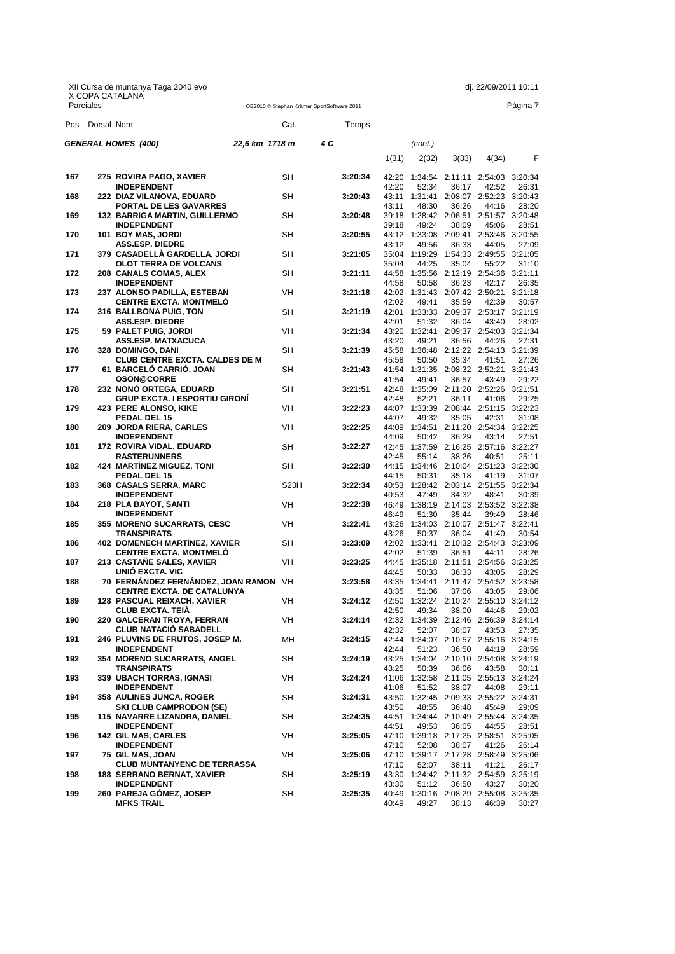|     |                | XII Cursa de muntanya Taga 2040 evo                             |                   |                                            |       |                                                |       | dj. 22/09/2011 10:11 |          |
|-----|----------------|-----------------------------------------------------------------|-------------------|--------------------------------------------|-------|------------------------------------------------|-------|----------------------|----------|
|     | Parciales      | X COPA CATALANA                                                 |                   | OE2010 © Stephan Krämer SportSoftware 2011 |       |                                                |       |                      | Página 7 |
|     | Pos Dorsal Nom |                                                                 | Cat.              | Temps                                      |       |                                                |       |                      |          |
|     |                | <b>GENERAL HOMES (400)</b><br>22,6 km 1718 m                    |                   | 4 C                                        |       | (cont.)                                        |       |                      |          |
|     |                |                                                                 |                   |                                            | 1(31) | 2(32)                                          | 3(33) | 4(34)                | F        |
| 167 |                | 275 ROVIRA PAGO, XAVIER                                         | <b>SH</b>         | 3:20:34                                    |       | 42:20 1:34:54 2:11:11 2:54:03 3:20:34          |       |                      |          |
| 168 |                | <b>INDEPENDENT</b><br>222 DIAZ VILANOVA, EDUARD                 | SH                | 3:20:43                                    | 42:20 | 52:34<br>43:11 1:31:41 2:08:07 2:52:23 3:20:43 | 36:17 | 42:52                | 26:31    |
|     |                | PORTAL DE LES GAVARRES                                          |                   |                                            | 43:11 | 48:30                                          | 36:26 | 44:16                | 28:20    |
| 169 |                | <b>132 BARRIGA MARTIN, GUILLERMO</b>                            | SH                | 3:20:48                                    |       | 39:18 1:28:42 2:06:51 2:51:57 3:20:48          |       |                      |          |
| 170 |                | <b>INDEPENDENT</b><br>101 BOY MAS, JORDI                        | <b>SH</b>         | 3:20:55                                    | 39:18 | 49:24<br>43:12 1:33:08 2:09:41 2:53:46 3:20:55 | 38:09 | 45:06                | 28:51    |
|     |                | <b>ASS.ESP. DIEDRE</b>                                          |                   |                                            | 43:12 | 49:56                                          | 36:33 | 44:05                | 27:09    |
| 171 |                | 379 CASADELLA GARDELLA, JORDI<br><b>OLOT TERRA DE VOLCANS</b>   | SH                | 3:21:05                                    | 35:04 | 35:04 1:19:29 1:54:33 2:49:55 3:21:05<br>44:25 |       | 55:22                | 31:10    |
| 172 |                | 208 CANALS COMAS, ALEX                                          | SH                | 3:21:11                                    |       | 44:58 1:35:56 2:12:19 2:54:36 3:21:11          | 35:04 |                      |          |
|     |                | <b>INDEPENDENT</b>                                              |                   |                                            | 44:58 | 50:58                                          | 36:23 | 42:17                | 26:35    |
| 173 |                | 237 ALONSO PADILLA, ESTEBAN<br><b>CENTRE EXCTA. MONTMELO</b>    | <b>VH</b>         | 3:21:18                                    | 42:02 | 42:02 1:31:43 2:07:42 2:50:21 3:21:18<br>49:41 | 35:59 | 42:39                | 30:57    |
| 174 |                | 316 BALLBONA PUIG, TON                                          | SH                | 3:21:19                                    |       | 42:01 1:33:33 2:09:37 2:53:17 3:21:19          |       |                      |          |
|     |                | <b>ASS.ESP. DIEDRE</b>                                          |                   |                                            | 42:01 | 51:32                                          | 36:04 | 43:40                | 28:02    |
| 175 |                | 59 PALET PUIG, JORDI<br>ASS.ESP. MATXACUCA                      | VH                | 3:21:34                                    | 43:20 | 43:20 1:32:41 2:09:37 2:54:03 3:21:34<br>49:21 | 36:56 | 44:26                | 27:31    |
| 176 |                | 328 DOMINGO, DANI                                               | <b>SH</b>         | 3:21:39                                    |       | 45:58 1:36:48 2:12:22 2:54:13 3:21:39          |       |                      |          |
|     |                | <b>CLUB CENTRE EXCTA. CALDES DE M</b>                           |                   |                                            | 45:58 | 50:50                                          | 35:34 | 41:51                | 27:26    |
| 177 |                | 61 BARCELO CARRIO, JOAN<br><b>OSON@CORRE</b>                    | SH                | 3:21:43                                    | 41:54 | 41:54 1:31:35 2:08:32 2:52:21 3:21:43<br>49:41 | 36:57 | 43:49                | 29:22    |
| 178 |                | 232 NONO ORTEGA, EDUARD                                         | SH                | 3:21:51                                    |       | 42:48 1:35:09 2:11:20 2:52:26 3:21:51          |       |                      |          |
|     |                | <b>GRUP EXCTA. I ESPORTIU GIRONÍ</b>                            |                   |                                            | 42:48 | 52:21                                          | 36:11 | 41:06                | 29:25    |
| 179 |                | <b>423 PERE ALONSO, KIKE</b><br>PEDAL DEL 15                    | VH                | 3:22:23                                    | 44:07 | 44:07 1:33:39 2:08:44 2:51:15 3:22:23<br>49:32 |       | 42:31                |          |
| 180 |                | 209 JORDA RIERA, CARLES                                         | <b>VH</b>         | 3:22:25                                    |       | 44:09 1:34:51 2:11:20 2:54:34 3:22:25          | 35:05 |                      | 31:08    |
|     |                | <b>INDEPENDENT</b>                                              |                   |                                            | 44:09 | 50:42                                          | 36:29 | 43:14                | 27:51    |
| 181 |                | 172 ROVIRA VIDAL, EDUARD<br><b>RASTERUNNERS</b>                 | SH                | 3:22:27                                    | 42:45 | 42:45 1:37:59 2:16:25 2:57:16 3:22:27<br>55:14 | 38:26 | 40:51                | 25:11    |
| 182 |                | <b>424 MARTÍNEZ MIGUEZ, TONI</b>                                | SH                | 3:22:30                                    |       | 44:15 1:34:46 2:10:04 2:51:23 3:22:30          |       |                      |          |
|     |                | PEDAL DEL 15                                                    |                   |                                            | 44:15 | 50:31                                          | 35:18 | 41:19                | 31:07    |
| 183 |                | <b>368 CASALS SERRA, MARC</b><br><b>INDEPENDENT</b>             | S <sub>23</sub> H | 3:22:34                                    | 40:53 | 40:53 1:28:42 2:03:14 2:51:55 3:22:34<br>47:49 | 34:32 | 48:41                | 30:39    |
| 184 |                | 218 PLA BAYOT, SANTI                                            | VH                | 3:22:38                                    |       | 46:49 1:38:19 2:14:03 2:53:52 3:22:38          |       |                      |          |
|     |                | <b>INDEPENDENT</b>                                              |                   |                                            | 46:49 | 51:30                                          | 35:44 | 39:49                | 28:46    |
| 185 |                | <b>355 MORENO SUCARRATS, CESC</b><br><b>TRANSPIRATS</b>         | <b>VH</b>         | 3:22:41                                    | 43:26 | 43:26 1:34:03 2:10:07 2:51:47 3:22:41<br>50:37 | 36:04 | 41:40                | 30:54    |
| 186 |                | <b>402 DOMENECH MARTINEZ, XAVIER</b>                            | SH                | 3:23:09                                    |       | 42:02 1:33:41 2:10:32 2:54:43 3:23:09          |       |                      |          |
|     |                | <b>CENTRE EXCTA. MONTMELO</b>                                   |                   |                                            | 42:02 | 51:39                                          | 36:51 | 44:11                | 28:26    |
| 187 |                | 213 CASTANE SALES, XAVIER<br>UNIÓ EXCTA, VIC                    | VH                | 3:23:25                                    | 44:45 | 44:45 1:35:18 2:11:51 2:54:56 3:23:25<br>50:33 | 36:33 | 43:05                | 28:29    |
| 188 |                | 70 FERNÁNDEZ FERNÁNDEZ, JOAN RAMON VH                           |                   | 3:23:58                                    |       | 43:35 1:34:41 2:11:47 2:54:52 3:23:58          |       |                      |          |
|     |                | <b>CENTRE EXCTA. DE CATALUNYA</b>                               |                   |                                            | 43:35 | 51:06                                          | 37:06 | 43:05                | 29:06    |
| 189 |                | <b>128 PASCUAL REIXACH, XAVIER</b><br><b>CLUB EXCTA. TEIA</b>   | VH                | 3:24:12                                    | 42:50 | 42:50 1:32:24 2:10:24 2:55:10 3:24:12<br>49:34 | 38:00 | 44:46                | 29:02    |
| 190 |                | 220 GALCERAN TROYA, FERRAN                                      | VH                | 3:24:14                                    |       | 42:32 1:34:39 2:12:46 2:56:39 3:24:14          |       |                      |          |
| 191 |                | <b>CLUB NATACIÓ SABADELL</b><br>246 PLUVINS DE FRUTOS, JOSEP M. | MН                | 3:24:15                                    | 42:32 | 52:07                                          | 38:07 | 43:53                | 27:35    |
|     |                | <b>INDEPENDENT</b>                                              |                   |                                            | 42:44 | 42:44 1:34:07 2:10:57 2:55:16 3:24:15<br>51:23 | 36:50 | 44:19                | 28:59    |
| 192 |                | 354 MORENO SUCARRATS, ANGEL                                     | SH                | 3:24:19                                    |       | 43:25 1:34:04 2:10:10 2:54:08 3:24:19          |       |                      |          |
| 193 |                | <b>TRANSPIRATS</b><br><b>339 UBACH TORRAS, IGNASI</b>           | VH                | 3:24:24                                    | 43:25 | 50:39<br>41:06 1:32:58 2:11:05 2:55:13 3:24:24 | 36:06 | 43:58                | 30:11    |
|     |                | <b>INDEPENDENT</b>                                              |                   |                                            | 41:06 | 51:52                                          | 38:07 | 44:08                | 29:11    |
| 194 |                | <b>358 AULINES JUNCA, ROGER</b>                                 | SH                | 3:24:31                                    |       | 43:50 1:32:45 2:09:33 2:55:22 3:24:31          |       |                      |          |
| 195 |                | <b>SKI CLUB CAMPRODON (SE)</b><br>115 NAVARRE LIZANDRA, DANIEL  | SH                | 3:24:35                                    | 43:50 | 48:55<br>44:51 1:34:44 2:10:49 2:55:44 3:24:35 | 36:48 | 45:49                | 29:09    |
|     |                | <b>INDEPENDENT</b>                                              |                   |                                            | 44:51 | 49:53                                          | 36:05 | 44:55                | 28:51    |
| 196 |                | <b>142 GIL MAS, CARLES</b>                                      | VH                | 3:25:05                                    |       | 47:10 1:39:18 2:17:25 2:58:51 3:25:05          |       |                      |          |
| 197 |                | <b>INDEPENDENT</b><br>75 GIL MAS, JOAN                          | VH                | 3:25:06                                    | 47:10 | 52:08<br>47:10 1:39:17 2:17:28 2:58:49 3:25:06 | 38:07 | 41:26                | 26:14    |
|     |                | <b>CLUB MUNTANYENC DE TERRASSA</b>                              |                   |                                            | 47:10 | 52:07                                          | 38:11 | 41:21                | 26:17    |
| 198 |                | <b>188 SERRANO BERNAT, XAVIER</b>                               | SH                | 3:25:19                                    |       | 43:30 1:34:42 2:11:32 2:54:59 3:25:19          |       |                      |          |
| 199 |                | <b>INDEPENDENT</b><br>260 PAREJA GOMEZ, JOSEP                   | SH                | 3:25:35                                    | 43:30 | 51:12<br>40:49 1:30:16 2:08:29 2:55:08 3:25:35 | 36:50 | 43:27                | 30:20    |
|     |                | <b>MFKS TRAIL</b>                                               |                   |                                            | 40:49 | 49:27                                          | 38:13 | 46:39                | 30:27    |
|     |                | $\mathbf s$                                                     |                   |                                            |       |                                                |       |                      |          |

Federació d'Entitats<br>FEEC Federació Catalana d'Alpinisme i Escalada

X Copa Catalana<br>DE CURSES DE MUNTANYA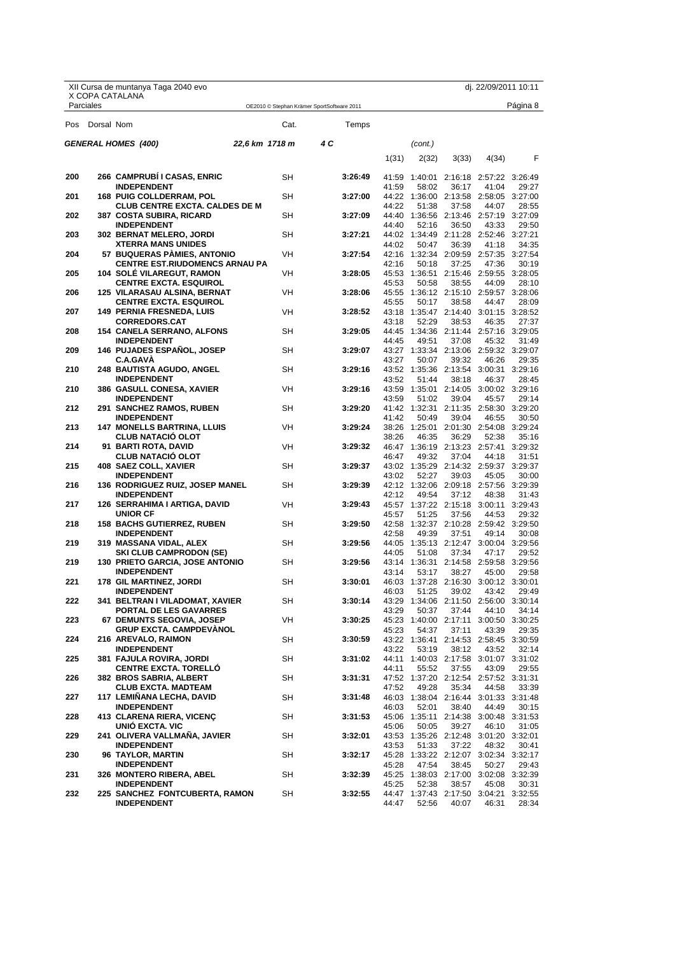|     |            | XII Cursa de muntanya Taga 2040 evo                                  |                |                                            |       |         |       | dj. 22/09/2011 10:11                           |          |
|-----|------------|----------------------------------------------------------------------|----------------|--------------------------------------------|-------|---------|-------|------------------------------------------------|----------|
|     | Parciales  | X COPA CATALANA                                                      |                | OE2010 © Stephan Krämer SportSoftware 2011 |       |         |       |                                                | Página 8 |
| Pos | Dorsal Nom |                                                                      | Cat.           | Temps                                      |       |         |       |                                                |          |
|     |            | <b>GENERAL HOMES (400)</b>                                           | 22,6 km 1718 m | 4 C                                        |       | (cont.) |       |                                                |          |
|     |            |                                                                      |                |                                            | 1(31) | 2(32)   | 3(33) | 4(34)                                          | F        |
| 200 |            | 266 CAMPRUBI I CASAS, ENRIC                                          | SH             | 3:26:49                                    |       |         |       | 41:59  1:40:01  2:16:18  2:57:22  3:26:49      |          |
| 201 |            | <b>INDEPENDENT</b><br><b>168 PUIG COLLDERRAM, POL</b>                | <b>SH</b>      | 3:27:00                                    | 41:59 | 58:02   | 36:17 | 41:04<br>44:22 1:36:00 2:13:58 2:58:05 3:27:00 | 29:27    |
| 202 |            | <b>CLUB CENTRE EXCTA. CALDES DE M</b><br>387  COSTA SUBIRA, RICARD   | SН             | 3:27:09                                    | 44:22 | 51:38   | 37:58 | 44:07<br>44:40 1:36:56 2:13:46 2:57:19 3:27:09 | 28:55    |
|     |            | <b>INDEPENDENT</b>                                                   |                |                                            | 44:40 | 52:16   | 36:50 | 43:33                                          | 29:50    |
| 203 |            | 302 BERNAT MELERO, JORDI<br><b>XTERRA MANS UNIDES</b>                | SН             | 3:27:21                                    | 44:02 | 50:47   | 36:39 | 44:02 1:34:49 2:11:28 2:52:46 3:27:21<br>41:18 | 34:35    |
| 204 |            | 57 BUQUERAS PAMIES, ANTONIO<br><b>CENTRE EST.RIUDOMENCS ARNAU PA</b> | <b>VH</b>      | 3:27:54                                    | 42:16 | 50:18   | 37:25 | 42:16 1:32:34 2:09:59 2:57:35 3:27:54<br>47:36 | 30:19    |
| 205 |            | <b>104 SOLE VILAREGUT, RAMON</b>                                     | VH             | 3:28:05                                    | 45:53 |         |       | 45:53 1:36:51 2:15:46 2:59:55 3:28:05<br>44:09 | 28:10    |
| 206 |            | <b>CENTRE EXCTA. ESQUIROL</b><br>125 VILARASAU ALSINA, BERNAT        | VH             | 3:28:06                                    |       | 50:58   | 38:55 | 45:55 1:36:12 2:15:10 2:59:57 3:28:06          |          |
| 207 |            | <b>CENTRE EXCTA. ESQUIROL</b><br><b>149 PERNIA FRESNEDA, LUIS</b>    | <b>VH</b>      | 3:28:52                                    | 45:55 | 50:17   | 38:58 | 44:47<br>43:18 1:35:47 2:14:40 3:01:15 3:28:52 | 28:09    |
|     |            | <b>CORREDORS.CAT</b>                                                 |                |                                            | 43:18 | 52:29   | 38:53 | 46:35                                          | 27:37    |
| 208 |            | 154 CANELA SERRANO, ALFONS<br><b>INDEPENDENT</b>                     | SН             | 3:29:05                                    | 44:45 | 49:51   | 37:08 | 44:45 1:34:36 2:11:44 2:57:16 3:29:05<br>45:32 | 31:49    |
| 209 |            | <b>146 PUJADES ESPANOL, JOSEP</b><br><b>C.A.GAVA</b>                 | SH             | 3:29:07                                    | 43:27 | 50:07   | 39:32 | 43:27 1:33:34 2:13:06 2:59:32 3:29:07<br>46:26 | 29:35    |
| 210 |            | 248 BAUTISTA AGUDO, ANGEL                                            | SH             | 3:29:16                                    |       |         |       | 43:52 1:35:36 2:13:54 3:00:31 3:29:16          |          |
| 210 |            | <b>INDEPENDENT</b><br>386  GASULL CONESA, XAVIER                     | VH             | 3:29:16                                    | 43:52 | 51:44   | 38:18 | 46:37<br>43:59 1:35:01 2:14:05 3:00:02 3:29:16 | 28:45    |
| 212 |            | <b>INDEPENDENT</b><br><b>291 SANCHEZ RAMOS, RUBEN</b>                | SН             | 3:29:20                                    | 43:59 | 51:02   | 39:04 | 45:57<br>41:42 1:32:31 2:11:35 2:58:30 3:29:20 | 29:14    |
|     |            | <b>INDEPENDENT</b>                                                   |                |                                            | 41:42 | 50:49   | 39:04 | 46:55                                          | 30:50    |
| 213 |            | <b>147 MONELLS BARTRINA, LLUIS</b><br><b>CLUB NATACIO OLOT</b>       | <b>VH</b>      | 3:29:24                                    | 38:26 | 46:35   | 36:29 | 38:26 1:25:01 2:01:30 2:54:08 3:29:24<br>52:38 | 35:16    |
| 214 |            | 91 BARTI ROTA, DAVID<br><b>CLUB NATACIO OLOT</b>                     | VH             | 3:29:32                                    | 46:47 | 49:32   | 37:04 | 46:47 1:36:19 2:13:23 2:57:41 3:29:32<br>44:18 | 31:51    |
| 215 |            | 408 SAEZ COLL, XAVIER                                                | SН             | 3:29:37                                    |       |         |       | 43:02 1:35:29 2:14:32 2:59:37 3:29:37          |          |
| 216 |            | <b>INDEPENDENT</b><br><b>136 RODRIGUEZ RUIZ, JOSEP MANEL</b>         | SН             | 3:29:39                                    | 43:02 | 52:27   | 39:03 | 45:05<br>42:12 1:32:06 2:09:18 2:57:56 3:29:39 | 30:00    |
| 217 |            | <b>INDEPENDENT</b><br>126 SERRAHIMA I ARTIGA, DAVID                  | VH             | 3:29:43                                    | 42:12 | 49:54   | 37:12 | 48:38<br>45:57 1:37:22 2:15:18 3:00:11 3:29:43 | 31:43    |
|     |            | <b>UNIOR CF</b>                                                      |                |                                            | 45:57 | 51:25   | 37:56 | 44:53                                          | 29:32    |
| 218 |            | <b>158 BACHS GUTIERREZ, RUBEN</b><br><b>INDEPENDENT</b>              | SН             | 3:29:50                                    | 42:58 | 49:39   | 37:51 | 42:58 1:32:37 2:10:28 2:59:42 3:29:50<br>49:14 | 30:08    |
| 219 |            | 319 MASSANA VIDAL, ALEX<br><b>SKI CLUB CAMPRODON (SE)</b>            | SН             | 3:29:56                                    | 44:05 | 51:08   | 37:34 | 44:05 1:35:13 2:12:47 3:00:04 3:29:56<br>47:17 | 29:52    |
| 219 |            | <b>130 PRIETO GARCIA, JOSE ANTONIO</b>                               | SН             | 3:29:56                                    |       |         |       | 43:14 1:36:31 2:14:58 2:59:58 3:29:56          |          |
| 221 |            | <b>INDEPENDENT</b><br>178 GIL MARTINEZ, JORDI                        | SΗ             | 3:30:01                                    | 43:14 | 53:17   | 38:27 | 45:00<br>46:03 1:37:28 2:16:30 3:00:12 3:30:01 | 29:58    |
| 222 |            | <b>INDEPENDENT</b><br>341 BELTRAN I VILADOMAT, XAVIER                | SH             | 3:30:14                                    | 46:03 | 51:25   | 39:02 | 43:42<br>43:29 1:34:06 2:11:50 2:56:00 3:30:14 | 29:49    |
|     |            | PORTAL DE LES GAVARRES                                               |                |                                            | 43:29 | 50:37   | 37:44 | 44:10                                          | 34:14    |
| 223 |            | 67 DEMUNTS SEGOVIA, JOSEP<br><b>GRUP EXCTA. CAMPDEVANOL</b>          | VH             | 3:30:25                                    | 45:23 | 54:37   | 37:11 | 45:23 1:40:00 2:17:11 3:00:50 3:30:25<br>43:39 | 29:35    |
| 224 |            | 216 AREVALO, RAIMON<br><b>INDEPENDENT</b>                            | SH             | 3:30:59                                    | 43:22 | 53:19   | 38:12 | 43:22 1:36:41 2:14:53 2:58:45 3:30:59<br>43:52 | 32:14    |
| 225 |            | 381 FAJULA ROVIRA, JORDI                                             | SН             | 3:31:02                                    |       |         |       | 44:11 1:40:03 2:17:58 3:01:07 3:31:02          |          |
| 226 |            | <b>CENTRE EXCTA. TORELLO</b><br>382 BROS SABRIA, ALBERT              | SН             | 3:31:31                                    | 44:11 | 55:52   | 37:55 | 43:09<br>47:52 1:37:20 2:12:54 2:57:52 3:31:31 | 29:55    |
| 227 |            | <b>CLUB EXCTA. MADTEAM</b><br>117 LEMIÑANA LECHA, DAVID              | SH             | 3:31:48                                    | 47:52 | 49:28   | 35:34 | 44:58<br>46:03 1:38:04 2:16:44 3:01:33 3:31:48 | 33:39    |
|     |            | <b>INDEPENDENT</b>                                                   |                |                                            | 46:03 | 52:01   | 38:40 | 44:49                                          | 30:15    |
| 228 |            | 413 CLARENA RIERA, VICENÇ<br>UNIÓ EXCTA. VIC                         | SН             | 3:31:53                                    | 45:06 | 50:05   | 39:27 | 45:06 1:35:11 2:14:38 3:00:48 3:31:53<br>46:10 | 31:05    |
| 229 |            | 241 OLIVERA VALLMAÑA, JAVIER<br><b>INDEPENDENT</b>                   | SН             | 3:32:01                                    | 43:53 | 51:33   | 37:22 | 43:53 1:35:26 2:12:48 3:01:20 3:32:01<br>48:32 | 30:41    |
| 230 |            | 96 TAYLOR, MARTIN                                                    | SH             | 3:32:17                                    |       |         |       | 45:28 1:33:22 2:12:07 3:02:34 3:32:17          |          |
| 231 |            | <b>INDEPENDENT</b><br>326 MONTERO RIBERA, ABEL                       | SН             | 3:32:39                                    | 45:28 | 47:54   | 38:45 | 50:27<br>45:25 1:38:03 2:17:00 3:02:08 3:32:39 | 29:43    |
| 232 |            | <b>INDEPENDENT</b><br>225 SANCHEZ FONTCUBERTA, RAMON                 | SН             | 3:32:55                                    | 45:25 | 52:38   | 38:57 | 45:08<br>44:47 1:37:43 2:17:50 3:04:21 3:32:55 | 30:31    |
|     |            | <b>INDEPENDENT</b>                                                   |                |                                            | 44:47 | 52:56   | 40:07 | 46:31                                          | 28:34    |

# X Copa Catalana<br>DE CURSES DE MUNTANYA Federació d'Entitats<br>FEEC Federació Catalana d'Alpinisme i Escalada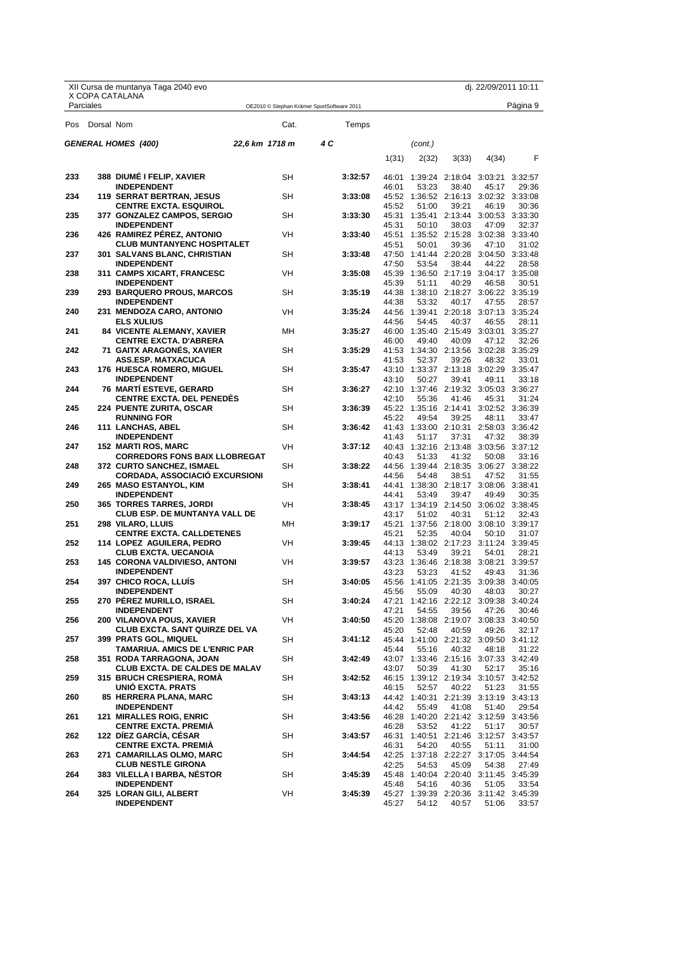|            |            | XII Cursa de muntanya Taga 2040 evo                                |                |           |                                            |         |                |         |                                                | dj. 22/09/2011 10:11 |                  |
|------------|------------|--------------------------------------------------------------------|----------------|-----------|--------------------------------------------|---------|----------------|---------|------------------------------------------------|----------------------|------------------|
|            | Parciales  | X COPA CATALANA                                                    |                |           | OE2010 © Stephan Krämer SportSoftware 2011 |         |                |         |                                                |                      | Página 9         |
| <b>Pos</b> | Dorsal Nom |                                                                    |                | Cat.      |                                            | Temps   |                |         |                                                |                      |                  |
|            |            | <b>GENERAL HOMES (400)</b>                                         | 22,6 km 1718 m |           | 4 C                                        |         |                | (cont.) |                                                |                      |                  |
|            |            |                                                                    |                |           |                                            |         | 1(31)          | 2(32)   | 3(33)                                          | 4(34)                | F                |
| 233        |            | 388 DIUME I FELIP, XAVIER                                          |                | SH        |                                            | 3:32:57 | 46:01          |         | 1:39:24 2:18:04 3:03:21                        |                      | 3:32:57          |
| 234        |            | <b>INDEPENDENT</b><br>119 SERRAT BERTRAN, JESUS                    |                | SН        |                                            | 3:33:08 | 46:01          | 53:23   | 38:40<br>45:52 1:36:52 2:16:13 3:02:32 3:33:08 | 45:17                | 29:36            |
|            |            | <b>CENTRE EXCTA. ESQUIROL</b>                                      |                |           |                                            |         | 45:52          | 51:00   | 39:21                                          | 46:19                | 30:36            |
| 235        |            | 377 GONZALEZ CAMPOS, SERGIO                                        |                | SН        |                                            | 3:33:30 |                |         | 45:31  1:35:41  2:13:44  3:00:53  3:33:30      |                      |                  |
| 236        |            | <b>INDEPENDENT</b><br><b>426 RAMIREZ PEREZ, ANTONIO</b>            |                | VH        |                                            | 3:33:40 | 45:31<br>45:51 | 50:10   | 38:03<br>1:35:52 2:15:28 3:02:38 3:33:40       | 47:09                | 32:37            |
|            |            | <b>CLUB MUNTANYENC HOSPITALET</b>                                  |                |           |                                            |         | 45:51          | 50:01   | 39:36                                          | 47:10                | 31:02            |
| 237        |            | 301 SALVANS BLANC, CHRISTIAN<br><b>INDEPENDENT</b>                 |                | SН        |                                            | 3:33:48 | 47:50          | 53:54   | 47:50 1:41:44 2:20:28 3:04:50 3:33:48<br>38:44 | 44:22                | 28:58            |
| 238        |            | 311 CAMPS XICART, FRANCESC                                         |                | VH        |                                            | 3:35:08 |                |         | 45:39 1:36:50 2:17:19 3:04:17 3:35:08          |                      |                  |
|            |            | <b>INDEPENDENT</b>                                                 |                |           |                                            |         | 45:39          | 51:11   | 40:29                                          | 46:58                | 30:51            |
| 239        |            | 293 BARQUERO PROUS, MARCOS<br><b>INDEPENDENT</b>                   |                | SН        |                                            | 3:35:19 | 44:38          | 53:32   | 44:38 1:38:10 2:18:27 3:06:22 3:35:19<br>40:17 | 47:55                | 28:57            |
| 240        |            | 231 MENDOZA CARO, ANTONIO                                          |                | <b>VH</b> |                                            | 3:35:24 |                |         | 44:56 1:39:41 2:20:18 3:07:13 3:35:24          |                      |                  |
|            |            | <b>ELS XULIUS</b>                                                  |                |           |                                            |         | 44:56          | 54:45   | 40:37                                          | 46:55                | 28:11            |
| 241        |            | <b>84 VICENTE ALEMANY, XAVIER</b><br><b>CENTRE EXCTA. D'ABRERA</b> |                | MН        |                                            | 3:35:27 | 46:00          | 49:40   | 46:00 1:35:40 2:15:49 3:03:01 3:35:27<br>40:09 | 47:12                | 32:26            |
| 242        |            | 71 GAITX ARAGONES, XAVIER                                          |                | SH        |                                            | 3:35:29 |                |         | 41:53 1:34:30 2:13:56 3:02:28 3:35:29          |                      |                  |
|            |            | <b>ASS.ESP. MATXACUCA</b>                                          |                |           |                                            |         | 41:53          | 52:37   | 39:26                                          | 48:32                | 33:01            |
| 243        |            | 176 HUESCA ROMERO, MIGUEL<br><b>INDEPENDENT</b>                    |                | SH        |                                            | 3:35:47 | 43:10          | 50:27   | 43:10 1:33:37 2:13:18 3:02:29<br>39:41         | 49:11                | 3:35:47<br>33:18 |
| 244        |            | <b>76 MARTI ESTEVE, GERARD</b>                                     |                | SН        |                                            | 3:36:27 |                |         | 42:10 1:37:46 2:19:32 3:05:03 3:36:27          |                      |                  |
| 245        |            | <b>CENTRE EXCTA. DEL PENEDES</b>                                   |                | SН        |                                            |         | 42:10          | 55:36   | 41:46<br>45:22 1:35:16 2:14:41 3:02:52 3:36:39 | 45:31                | 31:24            |
|            |            | 224 PUENTE ZURITA, OSCAR<br><b>RUNNING FOR</b>                     |                |           |                                            | 3:36:39 | 45:22          | 49:54   | 39:25                                          | 48:11                | 33:47            |
| 246        |            | 111 LANCHAS, ABEL                                                  |                | SН        |                                            | 3:36:42 |                |         | 41:43 1:33:00 2:10:31 2:58:03 3:36:42          |                      |                  |
| 247        |            | <b>INDEPENDENT</b><br><b>152 MARTI ROS, MARC</b>                   |                | VH        |                                            | 3:37:12 | 41:43          | 51:17   | 37:31<br>40:43 1:32:16 2:13:48 3:03:56 3:37:12 | 47:32                | 38:39            |
|            |            | <b>CORREDORS FONS BAIX LLOBREGAT</b>                               |                |           |                                            |         | 40:43          | 51:33   | 41:32                                          | 50:08                | 33:16            |
| 248        |            | 372 CURTO SANCHEZ, ISMAEL                                          |                | SН        |                                            | 3:38:22 |                |         | 44:56 1:39:44 2:18:35 3:06:27 3:38:22          |                      |                  |
| 249        |            | <b>CORDADA, ASSOCIACIO EXCURSIONI</b><br>265 MASO ESTANYOL, KIM    |                | SН        |                                            | 3:38:41 | 44:56          | 54:48   | 38:51<br>44:41 1:38:30 2:18:17 3:08:06         | 47:52                | 31:55<br>3:38:41 |
|            |            | <b>INDEPENDENT</b>                                                 |                |           |                                            |         | 44:41          | 53:49   | 39:47                                          | 49:49                | 30:35            |
| 250        |            | 365 TORRES TARRES, JORDI<br><b>CLUB ESP. DE MUNTANYA VALL DE</b>   |                | VH        |                                            | 3:38:45 | 43:17          | 51:02   | 43:17 1:34:19 2:14:50 3:06:02 3:38:45<br>40:31 | 51:12                | 32:43            |
| 251        |            | 298 VILARO, LLUIS                                                  |                | MН        |                                            | 3:39:17 |                |         | 45:21 1:37:56 2:18:00 3:08:10 3:39:17          |                      |                  |
|            |            | <b>CENTRE EXCTA. CALLDETENES</b>                                   |                |           |                                            |         | 45:21          | 52:35   | 40:04                                          | 50:10                | 31:07            |
| 252        |            | 114 LOPEZ AGUILERA, PEDRO<br><b>CLUB EXCTA. UECANOIA</b>           |                | VH        |                                            | 3:39:45 | 44:13          | 53:49   | 44:13 1:38:02 2:17:23 3:11:24 3:39:45<br>39:21 | 54:01                | 28:21            |
| 253        |            | 145 CORONA VALDIVIESO, ANTONI                                      |                | VH        |                                            | 3:39:57 |                |         | 43:23 1:36:46 2:18:38 3:08:21 3:39:57          |                      |                  |
| 254        |            | <b>INDEPENDENT</b>                                                 |                | <b>SH</b> |                                            |         | 43:23          | 53:23   | 41:52                                          | 49:43                | 31:36            |
|            |            | 397 CHICO ROCA, LLUIS<br><b>INDEPENDENT</b>                        |                |           |                                            | 3:40:05 | 45:56          | 55:09   | 45:56 1:41:05 2:21:35 3:09:38 3:40:05<br>40:30 | 48:03                | 30:27            |
| 255        |            | 270 PÉREZ MURILLO, ISRAEL                                          |                | SН        |                                            | 3:40:24 |                |         | 47:21 1:42:16 2:22:12 3:09:38 3:40:24          |                      |                  |
| 256        |            | <b>INDEPENDENT</b><br><b>200 VILANOVA POUS, XAVIER</b>             |                | VH        |                                            | 3:40:50 | 47:21          | 54:55   | 39:56<br>45:20 1:38:08 2:19:07 3:08:33 3:40:50 | 47:26                | 30:46            |
|            |            | CLUB EXCTA. SANT QUIRZE DEL VA                                     |                |           |                                            |         | 45:20          | 52:48   | 40:59                                          | 49:26                | 32:17            |
| 257        |            | <b>399 PRATS GOL, MIQUEL</b>                                       |                | SН        |                                            | 3:41:12 |                |         | 45:44 1:41:00 2:21:32 3:09:50 3:41:12          |                      |                  |
| 258        |            | TAMARIUA. AMICS DE L'ENRIC PAR<br>351 RODA TARRAGONA, JOAN         |                | SН        |                                            | 3:42:49 | 45:44          | 55:16   | 40:32<br>43:07 1:33:46 2:15:16 3:07:33 3:42:49 | 48:18                | 31:22            |
|            |            | <b>CLUB EXCTA. DE CALDES DE MALAV</b>                              |                |           |                                            |         | 43:07          | 50:39   | 41:30                                          | 52:17                | 35:16            |
| 259        |            | 315 BRUCH CRESPIERA, ROMA<br><b>UNIO EXCTA. PRATS</b>              |                | SН        |                                            | 3:42:52 |                |         | 46:15 1:39:12 2:19:34 3:10:57 3:42:52          |                      |                  |
| 260        |            | 85 HERRERA PLANA, MARC                                             |                | SH        |                                            | 3:43:13 | 46:15          | 52:57   | 40:22<br>44:42 1:40:31 2:21:39 3:13:19 3:43:13 | 51:23                | 31:55            |
|            |            | <b>INDEPENDENT</b>                                                 |                |           |                                            |         | 44:42          | 55:49   | 41:08                                          | 51:40                | 29:54            |
| 261        |            | <b>121 MIRALLES ROIG, ENRIC</b><br><b>CENTRE EXCTA. PREMIÀ</b>     |                | SН        |                                            | 3:43:56 | 46:28          | 53:52   | 46:28 1:40:20 2:21:42 3:12:59 3:43:56<br>41:22 | 51:17                | 30:57            |
| 262        |            | 122 DIEZ GARCIA, CESAR                                             |                | SН        |                                            | 3:43:57 |                |         | 46:31 1:40:51 2:21:46 3:12:57 3:43:57          |                      |                  |
|            |            | <b>CENTRE EXCTA. PREMIA</b>                                        |                |           |                                            |         | 46:31          | 54:20   | 40:55                                          | 51:11                | 31:00            |
| 263        |            | 271 CAMARILLAS OLMO, MARC<br><b>CLUB NESTLE GIRONA</b>             |                | SН        |                                            | 3:44:54 | 42:25          | 54:53   | 42:25 1:37:18 2:22:27 3:17:05 3:44:54<br>45:09 | 54:38                | 27:49            |
| 264        |            | 383 VILELLA I BARBA, NÉSTOR                                        |                | SН        |                                            | 3:45:39 |                |         | 45:48 1:40:04 2:20:40 3:11:45 3:45:39          |                      |                  |
| 264        |            | <b>INDEPENDENT</b><br>325 LORAN GILI, ALBERT                       |                | VH        |                                            | 3:45:39 | 45:48          | 54:16   | 40:36<br>45:27 1:39:39 2:20:36 3:11:42 3:45:39 | 51:05                | 33:54            |
|            |            | <b>INDEPENDENT</b>                                                 |                |           |                                            |         | 45:27          | 54:12   | 40:57                                          | 51:06                | 33:57            |
|            |            |                                                                    |                |           |                                            |         |                |         |                                                |                      |                  |

X Copa Catalana<br>DE CURSES DE MUNTANYA Federació d'Entitats<br>FEEC Federació Catalana d'Alpinisme i Escalada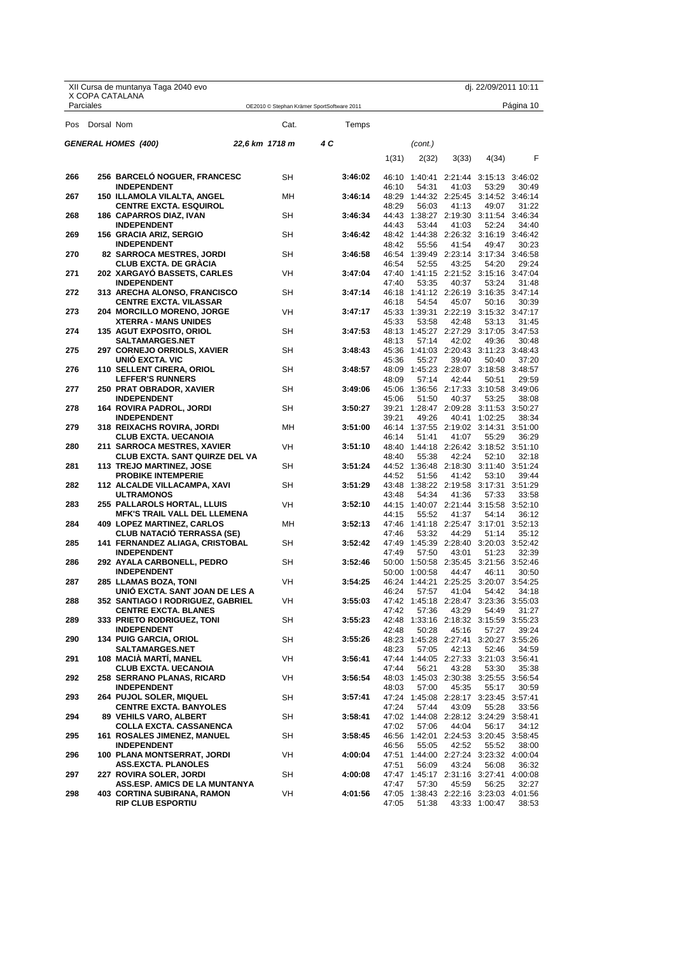|            |            | XII Cursa de muntanya Taga 2040 evo                                  |                                            |           |     |         |                |               |                                                | dj. 22/09/2011 10:11 |           |
|------------|------------|----------------------------------------------------------------------|--------------------------------------------|-----------|-----|---------|----------------|---------------|------------------------------------------------|----------------------|-----------|
| Parciales  |            | X COPA CATALANA                                                      | OE2010 © Stephan Krämer SportSoftware 2011 |           |     |         |                |               |                                                |                      | Página 10 |
| <b>Pos</b> | Dorsal Nom |                                                                      |                                            | Cat.      |     | Temps   |                |               |                                                |                      |           |
|            |            | <b>GENERAL HOMES (400)</b>                                           | 22,6 km 1718 m                             |           | 4 C |         |                | (cont.)       |                                                |                      |           |
|            |            |                                                                      |                                            |           |     |         | 1(31)          | 2(32)         | 3(33)                                          | 4(34)                | F         |
| 266        |            | 256 BARCELO NOGUER, FRANCESC                                         |                                            | SH        |     | 3:46:02 |                |               | 46:10 1:40:41 2:21:44 3:15:13 3:46:02          |                      |           |
| 267        |            | <b>INDEPENDENT</b><br>150 ILLAMOLA VILALTA, ANGEL                    |                                            | MН        |     | 3:46:14 | 46:10          | 54:31         | 41:03<br>48:29 1:44:32 2:25:45 3:14:52 3:46:14 | 53:29                | 30:49     |
|            |            | <b>CENTRE EXCTA. ESQUIROL</b>                                        |                                            |           |     |         | 48:29          | 56:03         | 41:13                                          | 49:07                | 31:22     |
| 268        |            | <b>186 CAPARROS DIAZ, IVAN</b><br><b>INDEPENDENT</b>                 |                                            | <b>SH</b> |     | 3:46:34 | 44:43          | 53:44         | 44:43 1:38:27 2:19:30 3:11:54 3:46:34<br>41:03 | 52:24                | 34:40     |
| 269        |            | 156 GRACIA ARIZ, SERGIO                                              | SН                                         |           |     | 3:46:42 |                |               | 48:42 1:44:38 2:26:32 3:16:19 3:46:42          |                      |           |
| 270        |            | <b>INDEPENDENT</b><br><b>82 SARROCA MESTRES, JORDI</b>               |                                            | SH        |     | 3:46:58 | 48:42          | 55:56         | 41:54<br>46:54 1:39:49 2:23:14 3:17:34 3:46:58 | 49:47                | 30:23     |
|            |            | <b>CLUB EXCTA. DE GRACIA</b>                                         |                                            |           |     |         | 46:54          | 52:55         | 43:25                                          | 54:20                | 29:24     |
| 271        |            | 202 XARGAYO BASSETS, CARLES<br><b>INDEPENDENT</b>                    |                                            | <b>VH</b> |     | 3:47:04 | 47:40<br>47:40 | 53:35         | 1:41:15 2:21:52 3:15:16 3:47:04<br>40:37       | 53:24                | 31:48     |
| 272        |            | <b>313 ARECHA ALONSO, FRANCISCO</b>                                  |                                            | SН        |     | 3:47:14 |                |               | 46:18 1:41:12 2:26:19 3:16:35 3:47:14          |                      |           |
|            |            | <b>CENTRE EXCTA. VILASSAR</b>                                        |                                            |           |     |         | 46:18          | 54:54         | 45:07                                          | 50:16                | 30:39     |
| 273        |            | 204 MORCILLO MORENO, JORGE<br><b>XTERRA - MANS UNIDES</b>            |                                            | VH        |     | 3:47:17 | 45:33          | 53:58         | 45:33 1:39:31 2:22:19 3:15:32 3:47:17<br>42:48 | 53:13                | 31:45     |
| 274        |            | <b>135 AGUT EXPOSITO, ORIOL</b>                                      | SΗ                                         |           |     | 3:47:53 |                |               | 48:13 1:45:27 2:27:29 3:17:05 3:47:53          |                      |           |
| 275        |            | <b>SALTAMARGES.NET</b><br>297 CORNEJO ORRIOLS, XAVIER                |                                            | SН        |     | 3:48:43 | 48:13          | 57:14         | 42:02<br>45:36 1:41:03 2:20:43 3:11:23 3:48:43 | 49:36                | 30:48     |
|            |            | UNIÓ EXCTA. VIC                                                      |                                            |           |     |         | 45:36          | 55:27         | 39:40                                          | 50:40                | 37:20     |
| 276        |            | 110 SELLENT CIRERA, ORIOL                                            |                                            | SН        |     | 3:48:57 |                |               | 48:09 1:45:23 2:28:07 3:18:58 3:48:57          |                      |           |
| 277        |            | <b>LEFFER'S RUNNERS</b><br>250 PRAT OBRADOR, XAVIER                  |                                            | SH        |     | 3:49:06 | 48:09          | 57:14         | 42:44<br>45:06 1:36:56 2:17:33 3:10:58 3:49:06 | 50:51                | 29:59     |
|            |            | <b>INDEPENDENT</b>                                                   |                                            |           |     |         | 45:06          | 51:50         | 40:37                                          | 53:25                | 38:08     |
| 278        |            | 164   ROVIRA PADROL, JORDI<br><b>INDEPENDENT</b>                     |                                            | SН        |     | 3:50:27 | 39:21          | 49:26         | 39:21 1:28:47 2:09:28 3:11:53 3:50:27          | 40:41 1:02:25        | 38:34     |
| 279        |            | <b>318 REIXACHS ROVIRA, JORDI</b>                                    |                                            | MН        |     | 3:51:00 |                |               | 46:14 1:37:55 2:19:02 3:14:31 3:51:00          |                      |           |
| 280        |            | <b>CLUB EXCTA. UECANOIA</b><br>211 SARROCA MESTRES, XAVIER           |                                            | <b>VH</b> |     | 3:51:10 | 46:14          | 51:41         | 41:07<br>48:40 1:44:18 2:26:42 3:18:52 3:51:10 | 55:29                | 36:29     |
|            |            | <b>CLUB EXCTA. SANT QUIRZE DEL VA</b>                                |                                            |           |     |         | 48:40          | 55:38         | 42:24                                          | 52:10                | 32:18     |
| 281        |            | 113 TREJO MARTINEZ, JOSE                                             |                                            | SН        |     | 3:51:24 |                |               | 44:52 1:36:48 2:18:30 3:11:40 3:51:24          |                      |           |
| 282        |            | <b>PROBIKE INTEMPERIE</b><br>112 ALCALDE VILLACAMPA, XAVI            |                                            | SН        |     | 3:51:29 | 44:52          | 51:56         | 41:42<br>43:48 1:38:22 2:19:58 3:17:31 3:51:29 | 53:10                | 39:44     |
|            |            | <b>ULTRAMONOS</b>                                                    |                                            |           |     |         | 43:48          | 54:34         | 41:36                                          | 57:33                | 33:58     |
| 283        |            | 255 PALLAROLS HORTAL, LLUIS<br><b>MFK'S TRAIL VALL DEL LLEMENA</b>   |                                            | VH        |     | 3:52:10 | 44:15          | 55:52         | 44:15 1:40:07 2:21:44 3:15:58 3:52:10<br>41:37 | 54:14                | 36:12     |
| 284        |            | <b>409 LOPEZ MARTINEZ, CARLOS</b>                                    |                                            | MН        |     | 3:52:13 |                |               | 47:46 1:41:18 2:25:47 3:17:01 3:52:13          |                      |           |
| 285        |            | <b>CLUB NATACIO TERRASSA (SE)</b><br>141 FERNANDEZ ALIAGA, CRISTOBAL |                                            | SН        |     | 3:52:42 | 47:46          | 53:32         | 44:29<br>47:49 1:45:39 2:28:40 3:20:03 3:52:42 | 51:14                | 35:12     |
|            |            | <b>INDEPENDENT</b>                                                   |                                            |           |     |         | 47:49          | 57:50         | 43:01                                          | 51:23                | 32:39     |
| 286        |            | 292 AYALA CARBONELL, PEDRO                                           | SΗ                                         |           |     | 3:52:46 |                |               | 50:00 1:50:58 2:35:45 3:21:56 3:52:46          |                      |           |
| 287        |            | <b>INDEPENDENT</b><br>285 LLAMAS BOZA, TONI                          | VH                                         |           |     | 3:54:25 |                | 50:00 1:00:58 | 44:47<br>46:24 1:44:21 2:25:25 3:20:07 3:54:25 | 46:11                | 30:50     |
|            |            | UNIÓ EXCTA. SANT JOAN DE LES A                                       |                                            |           |     |         | 46:24          | 57:57         | 41:04                                          | 54:42                | 34:18     |
| 288        |            | 352 SANTIAGO I RODRIGUEZ, GABRIEL<br><b>CENTRE EXCTA. BLANES</b>     |                                            | VH        |     | 3:55:03 | 47:42          | 57:36         | 47:42 1:45:18 2:28:47 3:23:36 3:55:03<br>43:29 | 54:49                | 31:27     |
| 289        |            | 333 PRIETO RODRIGUEZ, TONI                                           |                                            | SH        |     | 3:55:23 |                |               | 42:48 1:33:16 2:18:32 3:15:59 3:55:23          |                      |           |
| 290        |            | <b>INDEPENDENT</b><br><b>134 PUIG GARCIA, ORIOL</b>                  |                                            | SН        |     | 3:55:26 | 42:48          | 50:28         | 45:16<br>48:23 1:45:28 2:27:41 3:20:27 3:55:26 | 57:27                | 39:24     |
|            |            | <b>SALTAMARGES.NET</b>                                               |                                            |           |     |         | 48:23          | 57:05         | 42:13                                          | 52:46                | 34:59     |
| 291        |            | 108 MACIA MARTI, MANEL                                               |                                            | VH        |     | 3:56:41 |                |               | 47:44 1:44:05 2:27:33 3:21:03 3:56:41          |                      |           |
| 292        |            | <b>CLUB EXCTA. UECANOIA</b><br>258 SERRANO PLANAS, RICARD            |                                            | VH        |     | 3:56:54 | 47:44          | 56:21         | 43:28<br>48:03 1:45:03 2:30:38 3:25:55 3:56:54 | 53:30                | 35:38     |
|            |            | <b>INDEPENDENT</b>                                                   |                                            |           |     |         | 48:03          | 57:00         | 45:35                                          | 55:17                | 30:59     |
| 293        |            | <b>264 PUJOL SOLER, MIQUEL</b><br><b>CENTRE EXCTA. BANYOLES</b>      |                                            | SН        |     | 3:57:41 | 47:24          | 57:44         | 47:24 1:45:08 2:28:17 3:23:45 3:57:41<br>43:09 | 55:28                | 33:56     |
| 294        |            | <b>89 VEHILS VARO, ALBERT</b>                                        |                                            | SН        |     | 3:58:41 |                |               | 47:02 1:44:08 2:28:12 3:24:29 3:58:41          |                      |           |
| 295        |            | <b>COLLA EXCTA. CASSANENCA</b><br><b>161 ROSALES JIMENEZ, MANUEL</b> |                                            | SН        |     | 3:58:45 | 47:02          | 57:06         | 44:04<br>46:56 1:42:01 2:24:53 3:20:45 3:58:45 | 56:17                | 34:12     |
|            |            | <b>INDEPENDENT</b>                                                   |                                            |           |     |         | 46:56          | 55:05         | 42:52                                          | 55:52                | 38:00     |
| 296        |            | 100 PLANA MONTSERRAT, JORDI                                          |                                            | VH        |     | 4:00:04 |                |               | 47:51 1:44:00 2:27:24 3:23:32 4:00:04          |                      |           |
| 297        |            | <b>ASS.EXCTA. PLANOLES</b><br>227 ROVIRA SOLER, JORDI                |                                            | SН        |     | 4:00:08 | 47:51          | 56:09         | 43:24<br>47:47 1:45:17 2:31:16 3:27:41 4:00:08 | 56:08                | 36:32     |
|            |            | ASS.ESP. AMICS DE LA MUNTANYA                                        |                                            |           |     |         | 47:47          | 57:30         | 45:59                                          | 56:25                | 32:27     |
| 298        |            | <b>403 CORTINA SUBIRANA, RAMON</b>                                   |                                            | VH        |     | 4:01:56 |                |               | 47:05 1:38:43 2:22:16 3:23:03 4:01:56          |                      |           |

X Copa Catalana<br>DE CURSES DE MUNTANYA Federació d'Entitats<br>FEEC Federació Catalana d'Alpinisme i Escalada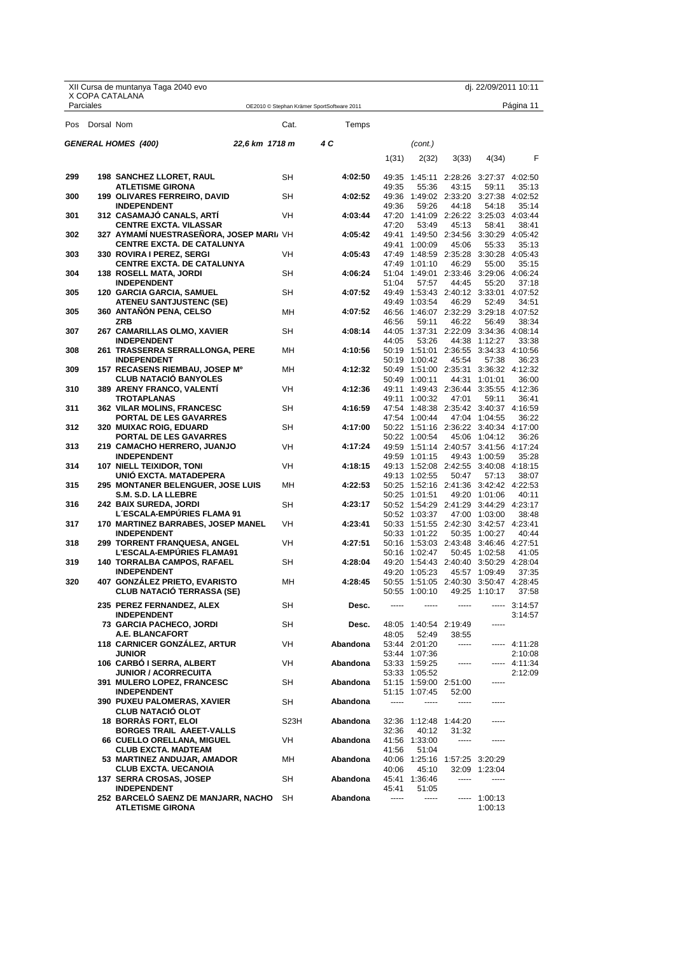|     |            | XII Cursa de muntanya Taga 2040 evo                              |                |           |                                            |       |                                                        |                                 | dj. 22/09/2011 10:11 |                          |
|-----|------------|------------------------------------------------------------------|----------------|-----------|--------------------------------------------|-------|--------------------------------------------------------|---------------------------------|----------------------|--------------------------|
|     | Parciales  | X COPA CATALANA                                                  |                |           | OE2010 © Stephan Krämer SportSoftware 2011 |       |                                                        |                                 |                      | Página 11                |
| Pos | Dorsal Nom |                                                                  |                | Cat.      | Temps                                      |       |                                                        |                                 |                      |                          |
|     |            | <b>GENERAL HOMES (400)</b>                                       | 22,6 km 1718 m |           | 4 C                                        |       | (cont.)                                                |                                 |                      |                          |
|     |            |                                                                  |                |           |                                            | 1(31) | 2(32)                                                  | 3(33)                           | 4(34)                | F                        |
| 299 |            | <b>198 SANCHEZ LLORET, RAUL</b>                                  |                | <b>SH</b> | 4:02:50                                    | 49:35 |                                                        | 1:45:11 2:28:26 3:27:37 4:02:50 |                      |                          |
|     |            | <b>ATLETISME GIRONA</b>                                          |                |           |                                            | 49:35 | 55:36                                                  | 43:15                           | 59:11                | 35:13                    |
| 300 |            | <b>199 OLIVARES FERREIRO, DAVID</b>                              |                | SН        | 4:02:52                                    |       | 49:36 1:49:02 2:33:20 3:27:38 4:02:52                  |                                 |                      |                          |
| 301 |            | <b>INDEPENDENT</b><br>312 CASAMAJO CANALS, ARTI                  |                | <b>VH</b> | 4:03:44                                    | 49:36 | 59:26<br>47:20 1:41:09 2:26:22 3:25:03 4:03:44         | 44:18                           | 54:18                | 35:14                    |
|     |            | <b>CENTRE EXCTA. VILASSAR</b>                                    |                |           |                                            | 47:20 | 53:49                                                  | 45:13                           | 58:41                | 38:41                    |
| 302 |            | 327 AYMAMI NUESTRASENORA, JOSEP MARI, VH                         |                |           | 4:05:42                                    |       | 49:41 1:49:50 2:34:56 3:30:29 4:05:42                  |                                 |                      |                          |
|     |            | <b>CENTRE EXCTA. DE CATALUNYA</b>                                |                |           |                                            |       | 49:41 1:00:09                                          | 45:06                           | 55:33                | 35:13                    |
| 303 |            | 330 ROVIRA I PEREZ, SERGI<br><b>CENTRE EXCTA. DE CATALUNYA</b>   |                | VH        | 4:05:43                                    |       | 47:49 1:48:59 2:35:28 3:30:28 4:05:43<br>47:49 1:01:10 | 46:29                           | 55:00                | 35:15                    |
| 304 |            | <b>138 ROSELL MATA, JORDI</b>                                    |                | SН        | 4:06:24                                    |       | 51:04 1:49:01 2:33:46 3:29:06 4:06:24                  |                                 |                      |                          |
|     |            | <b>INDEPENDENT</b>                                               |                |           |                                            | 51:04 | 57:57                                                  | 44:45                           | 55:20                | 37:18                    |
| 305 |            | <b>120 GARCIA GARCIA, SAMUEL</b>                                 |                | SН        | 4:07:52                                    |       | 49:49 1:53:43 2:40:12 3:33:01 4:07:52                  |                                 |                      |                          |
|     |            | <b>ATENEU SANTJUSTENC (SE)</b>                                   |                |           |                                            |       | 49:49 1:03:54                                          | 46:29                           | 52:49                | 34:51                    |
| 305 |            | 360 ANTANON PENA, CELSO<br><b>ZRB</b>                            |                | MН        | 4:07:52                                    | 46:56 | 46:56 1:46:07 2:32:29 3:29:18 4:07:52<br>59:11         | 46:22                           | 56:49                | 38:34                    |
| 307 |            | 267 CAMARILLAS OLMO, XAVIER                                      |                | SН        | 4:08:14                                    |       | 44:05 1:37:31 2:22:09 3:34:36 4:08:14                  |                                 |                      |                          |
|     |            | <b>INDEPENDENT</b>                                               |                |           |                                            | 44:05 | 53:26                                                  |                                 | 44:38 1:12:27        | 33:38                    |
| 308 |            | 261 TRASSERRA SERRALLONGA, PERE                                  |                | MН        | 4:10:56                                    |       | 50:19 1:51:01 2:36:55 3:34:33 4:10:56                  |                                 |                      |                          |
| 309 |            | <b>INDEPENDENT</b><br>157 RECASENS RIEMBAU, JOSEP Mº             |                | MН        | 4:12:32                                    |       | 50:19 1:00:42<br>50:49 1:51:00 2:35:31 3:36:32 4:12:32 | 45:54                           | 57:38                | 36:23                    |
|     |            | <b>CLUB NATACIO BANYOLES</b>                                     |                |           |                                            |       | 50:49 1:00:11                                          |                                 | 44:31 1:01:01        | 36:00                    |
| 310 |            | 389 ARENY FRANCO, VALENTI                                        |                | VH        | 4:12:36                                    |       | 49:11 1:49:43 2:36:44 3:35:55 4:12:36                  |                                 |                      |                          |
|     |            | <b>TROTAPLANAS</b>                                               |                |           |                                            |       | 49:11 1:00:32                                          | 47:01                           | 59:11                | 36:41                    |
| 311 |            | <b>362 VILAR MOLINS, FRANCESC</b>                                |                | SН        | 4:16:59                                    |       | 47:54 1:48:38 2:35:42 3:40:37 4:16:59                  |                                 |                      |                          |
| 312 |            | PORTAL DE LES GAVARRES<br><b>320 MUIXAC ROIG, EDUARD</b>         |                | SН        | 4:17:00                                    |       | 47:54 1:00:44<br>50:22 1:51:16 2:36:22 3:40:34 4:17:00 |                                 | 47:04 1:04:55        | 36:22                    |
|     |            | PORTAL DE LES GAVARRES                                           |                |           |                                            |       | 50:22 1:00:54                                          |                                 | 45:06 1:04:12        | 36:26                    |
| 313 |            | 219 CAMACHO HERRERO, JUANJO                                      |                | VH        | 4:17:24                                    |       | 49:59 1:51:14 2:40:57 3:41:56 4:17:24                  |                                 |                      |                          |
|     |            | <b>INDEPENDENT</b>                                               |                |           |                                            |       | 49:59 1:01:15                                          |                                 | 49:43 1:00:59        | 35:28                    |
| 314 |            | 107 NIELL TEIXIDOR, TONI<br>UNIO EXCTA. MATADEPERA               |                | VH        | 4:18:15                                    |       | 49:13 1:52:08 2:42:55 3:40:08 4:18:15<br>49:13 1:02:55 | 50:47                           | 57:13                | 38:07                    |
| 315 |            | <b>295 MONTANER BELENGUER, JOSE LUIS</b>                         |                | MН        | 4:22:53                                    |       | 50:25 1:52:16 2:41:36 3:42:42 4:22:53                  |                                 |                      |                          |
|     |            | S.M. S.D. LA LLEBRE                                              |                |           |                                            |       | 50:25 1:01:51                                          |                                 | 49:20 1:01:06        | 40:11                    |
| 316 |            | 242 BAIX SUREDA, JORDI                                           |                | SН        | 4:23:17                                    |       | 50:52 1:54:29 2:41:29 3:44:29 4:23:17                  |                                 |                      |                          |
| 317 |            | L'ESCALA-EMPURIES FLAMA 91<br>170 MARTINEZ BARRABES, JOSEP MANEL |                | VH        | 4:23:41                                    |       | 50:52 1:03:37<br>50:33 1:51:55 2:42:30 3:42:57 4:23:41 |                                 | 47:00 1:03:00        | 38:48                    |
|     |            | <b>INDEPENDENT</b>                                               |                |           |                                            |       | 50:33 1:01:22                                          |                                 | 50:35 1:00:27        | 40:44                    |
| 318 |            | 299 TORRENT FRANQUESA, ANGEL                                     |                | VH        | 4:27:51                                    |       | 50:16 1:53:03 2:43:48 3:46:46 4:27:51                  |                                 |                      |                          |
|     |            | <b>L'ESCALA-EMPURIES FLAMA91</b>                                 |                |           |                                            |       | 50:16 1:02:47                                          |                                 | 50:45 1:02:58        | 41:05                    |
| 319 |            | <b>140 TORRALBA CAMPOS, RAFAEL</b>                               |                | SН        | 4:28:04                                    |       | 49:20 1:54:43 2:40:40 3:50:29 4:28:04                  |                                 |                      |                          |
| 320 |            | <b>INDEPENDENT</b><br><b>407 GONZALEZ PRIETO, EVARISTO</b>       |                | MН        | 4:28:45                                    |       | 49:20 1:05:23<br>50:55 1:51:05 2:40:30 3:50:47 4:28:45 |                                 | 45:57 1:09:49        | 37:35                    |
|     |            | <b>CLUB NATACIO TERRASSA (SE)</b>                                |                |           |                                            |       | 50:55 1:00:10                                          |                                 | 49:25 1:10:17        | 37:58                    |
|     |            | 235 PEREZ FERNANDEZ, ALEX                                        |                | SH        | Desc.                                      |       |                                                        |                                 |                      | $-- 3:14:57$             |
|     |            | <b>INDEPENDENT</b>                                               |                |           |                                            |       |                                                        |                                 |                      | 3:14:57                  |
|     |            | <b>73 GARCIA PACHECO, JORDI</b>                                  |                | SH        | Desc.                                      |       | 48:05 1:40:54 2:19:49                                  |                                 | -----                |                          |
|     |            | A.E. BLANCAFORT                                                  |                |           |                                            | 48:05 | 52:49                                                  | 38:55                           |                      |                          |
|     |            | <b>118 CARNICER GONZALEZ, ARTUR</b>                              |                | VH        | Abandona                                   |       | 53:44 2:01:20                                          | -----                           |                      | ----- 4:11:28            |
|     |            | <b>JUNIOR</b><br>106 CARBO I SERRA, ALBERT                       |                | <b>VH</b> | Abandona                                   |       | 53:44 1:07:36<br>53:33 1:59:25                         | -----                           |                      | 2:10:08<br>----- 4:11:34 |
|     |            | <b>JUNIOR / ACORRECUITA</b>                                      |                |           |                                            |       | 53:33 1:05:52                                          |                                 |                      | 2:12:09                  |
|     |            | 391 MULERO LOPEZ, FRANCESC                                       |                | SH        | Abandona                                   |       | 51:15 1:59:00 2:51:00                                  |                                 | -----                |                          |
|     |            | <b>INDEPENDENT</b>                                               |                |           |                                            |       | 51:15 1:07:45                                          | 52:00                           |                      |                          |
|     |            | <b>390 PUXEU PALOMERAS, XAVIER</b><br><b>CLUB NATACIO OLOT</b>   |                | SH        | Abandona                                   | ----- | -----                                                  | -----                           |                      |                          |
|     |            | <b>18 BORRAS FORT, ELOI</b>                                      |                | S23H      | Abandona                                   |       | 32:36 1:12:48 1:44:20                                  |                                 |                      |                          |
|     |            | BORGES TRAIL AAEET-VALLS                                         |                |           |                                            | 32:36 | 40:12                                                  | 31:32                           |                      |                          |
|     |            | 66 CUELLO ORELLANA, MIGUEL                                       |                | VH        | Abandona                                   |       | 41:56 1:33:00                                          | -----                           | -----                |                          |
|     |            | <b>CLUB EXCTA. MADTEAM</b><br>53 MARTINEZ ANDUJAR, AMADOR        |                | MН        | Abandona                                   | 41:56 | 51:04<br>40:06 1:25:16 1:57:25 3:20:29                 |                                 |                      |                          |
|     |            | <b>CLUB EXCTA. UECANOIA</b>                                      |                |           |                                            | 40:06 | 45:10                                                  |                                 | 32:09 1:23:04        |                          |
|     |            | 137 SERRA CROSAS, JOSEP                                          |                | SH        | Abandona                                   |       | 45:41 1:36:46                                          |                                 |                      |                          |
|     |            | <b>INDEPENDENT</b>                                               |                |           |                                            | 45:41 | 51:05                                                  |                                 |                      |                          |
|     |            | 252 BARCELO SAENZ DE MANJARR, NACHO<br><b>ATLETISME GIRONA</b>   |                | SH        | Abandona                                   | ----- | -----                                                  |                                 | $--- 1:00:13$        |                          |
|     |            |                                                                  |                |           |                                            |       |                                                        |                                 | 1:00:13              |                          |

X Copa Catalana<br>DE CURSES DE MUNTANYA Federació d'Entitats<br>FEEC Federació Catalana d'Alpinisme i Escalada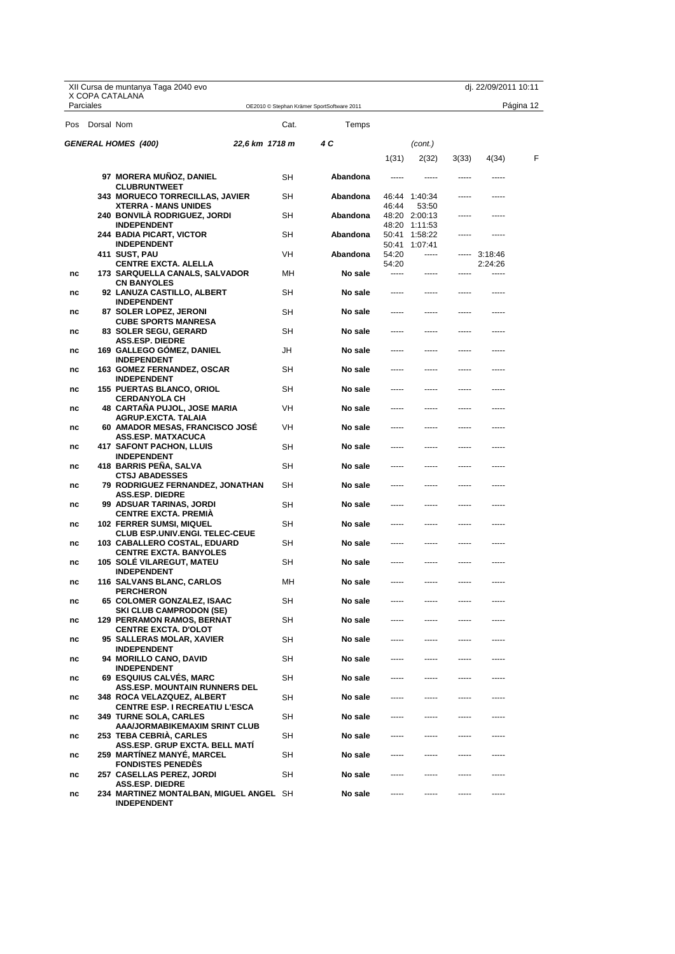|     |            | XII Cursa de muntanya Taga 2040 evo                                      |                |                                            |                |                          |       | dj. 22/09/2011 10:11     |           |
|-----|------------|--------------------------------------------------------------------------|----------------|--------------------------------------------|----------------|--------------------------|-------|--------------------------|-----------|
|     | Parciales  | X COPA CATALANA                                                          |                | OE2010 © Stephan Krämer SportSoftware 2011 |                |                          |       |                          | Página 12 |
| Pos | Dorsal Nom |                                                                          | Cat.           | Temps                                      |                |                          |       |                          |           |
|     |            | <b>GENERAL HOMES (400)</b>                                               | 22,6 km 1718 m | 4 C                                        |                | (cont.)                  |       |                          |           |
|     |            |                                                                          |                |                                            | 1(31)          | 2(32)                    | 3(33) | 4(34)                    | F         |
|     |            | 97 MORERA MUÑOZ, DANIEL                                                  | SН             | Abandona                                   | -----          |                          |       |                          |           |
|     |            | <b>CLUBRUNTWEET</b>                                                      |                |                                            |                |                          |       |                          |           |
|     |            | <b>343 MORUECO TORRECILLAS, JAVIER</b><br><b>XTERRA - MANS UNIDES</b>    | SН             | Abandona                                   | 46:44          | 46:44 1:40:34<br>53:50   |       |                          |           |
|     |            | <b>240 BONVILA RODRIGUEZ, JORDI</b>                                      | SН             | Abandona                                   |                | 48:20 2:00:13            |       | $- - - - -$              |           |
|     |            | <b>INDEPENDENT</b><br>244 BADIA PICART, VICTOR                           | SН             | Abandona                                   | 50:41          | 48:20 1:11:53<br>1:58:22 | ----- | -----                    |           |
|     |            | <b>INDEPENDENT</b>                                                       |                |                                            | 50:41          | 1:07:41                  |       |                          |           |
|     |            | 411 SUST, PAU<br><b>CENTRE EXCTA. ALELLA</b>                             | VH             | Abandona                                   | 54:20<br>54:20 |                          |       | ----- 3:18:46<br>2:24:26 |           |
| nc  |            | 173 SARQUELLA CANALS, SALVADOR                                           | MН             | No sale                                    | -----          | -----                    |       |                          |           |
| nc  |            | <b>CN BANYOLES</b><br>92 LANUZA CASTILLO, ALBERT                         | SН             | No sale                                    |                |                          |       |                          |           |
| nc  |            | <b>INDEPENDENT</b><br>87 SOLER LOPEZ, JERONI                             | SΗ             | No sale                                    |                |                          |       |                          |           |
| nc  |            | <b>CUBE SPORTS MANRESA</b><br>83 SOLER SEGU, GERARD                      | SН             | No sale                                    | -----          |                          |       | -----                    |           |
| nc  |            | <b>ASS.ESP. DIEDRE</b><br>169 GALLEGO GOMEZ, DANIEL                      | JH             | No sale                                    |                |                          |       | -----                    |           |
| nc  |            | <b>INDEPENDENT</b><br><b>163 GOMEZ FERNANDEZ, OSCAR</b>                  | SΗ             | No sale                                    |                |                          |       |                          |           |
|     |            | INDEPENDENT                                                              |                |                                            |                |                          |       |                          |           |
| nc  |            | <b>155 PUERTAS BLANCO, ORIOL</b><br><b>CERDANYOLA CH</b>                 | SН             | No sale                                    | -----          | -----                    | ----- | -----                    |           |
| nc  |            | <b>48 CARTANA PUJOL, JOSE MARIA</b><br>AGRUP.EXCTA. TALAIA               | VH             | No sale                                    | -----          |                          | ----- | -----                    |           |
| nc  |            | 60 AMADOR MESAS, FRANCISCO JOSE<br>ASS.ESP. MATXACUCA                    | VH             | No sale                                    |                |                          |       |                          |           |
| nc  |            | 417 SAFONT PACHON, LLUIS<br><b>INDEPENDENT</b>                           | SН             | No sale                                    | -----          | -----                    | ----- | -----                    |           |
| nc  |            | 418 BARRIS PENA, SALVA<br><b>CTSJ ABADESSES</b>                          | SН             | No sale                                    |                |                          |       | -----                    |           |
| nc  |            | 79 RODRIGUEZ FERNANDEZ, JONATHAN<br><b>ASS.ESP. DIEDRE</b>               | SH             | No sale                                    |                |                          |       |                          |           |
| nc  |            | 99 ADSUAR TARINAS, JORDI<br><b>CENTRE EXCTA. PREMIA</b>                  | SН             | No sale                                    | -----          | -----                    | ----- | -----                    |           |
| nc  |            | <b>102 FERRER SUMSI, MIQUEL</b><br><b>CLUB ESP.UNIV.ENGI. TELEC-CEUE</b> | SН             | No sale                                    | -----          | -----                    |       | -----                    |           |
| nc  |            | 103 CABALLERO COSTAL, EDUARD<br><b>CENTRE EXCTA. BANYOLES</b>            | SН             | No sale                                    | -----          |                          | ----- | -----                    |           |
| nc  |            | 105 SOLE VILAREGUT, MATEU<br><b>INDEPENDENT</b>                          | SН             | No sale                                    |                |                          |       |                          |           |
| nc  |            | <b>116 SALVANS BLANC, CARLOS</b><br><b>PERCHERON</b>                     | МH             | No sale                                    | -----          | -----                    | ----- | -----                    |           |
| nc  |            | 65 COLOMER GONZALEZ, ISAAC<br>SKI CLUB CAMPRODON (SE)                    | SН             | No sale                                    |                |                          |       |                          |           |
| nc  |            | <b>129 PERRAMON RAMOS, BERNAT</b><br><b>CENTRE EXCTA. D'OLOT</b>         | SН             | No sale                                    |                | -----                    | ----- | -----                    |           |
| nc  |            | 95 SALLERAS MOLAR, XAVIER<br><b>INDEPENDENT</b>                          | SH             | No sale                                    |                | -----                    |       |                          |           |
| nc  |            | 94 MORILLO CANO, DAVID<br>INDEPENDENT                                    | SН             | No sale                                    |                |                          |       |                          |           |
| nc  |            | 69 ESQUIUS CALVES, MARC                                                  | SН             | No sale                                    |                | -----                    |       | -----                    |           |
| nc  |            | <b>ASS.ESP. MOUNTAIN RUNNERS DEL</b><br>348 ROCA VELAZQUEZ, ALBERT       | SН             | No sale                                    |                |                          |       |                          |           |
| nc  |            | CENTRE ESP. I RECREATIU L'ESCA<br><b>349 TURNE SOLA, CARLES</b>          | SН             | No sale                                    |                |                          |       |                          |           |
| nc  |            | AAA/JORMABIKEMAXIM SRINT CLUB<br>253 TEBA CEBRIA, CARLES                 | SН             | No sale                                    |                | -----                    | ----- |                          |           |
| nc  |            | ASS.ESP. GRUP EXCTA. BELL MATI<br>259 MARTINEZ MANYE, MARCEL             | SН             | No sale                                    | -----          |                          |       | -----                    |           |
| nc  |            | <b>FONDISTES PENEDES</b><br>257 CASELLAS PEREZ, JORDI                    | SН             | No sale                                    |                |                          |       | -----                    |           |
| nc  |            | <b>ASS.ESP. DIEDRE</b><br>234 MARTINEZ MONTALBAN, MIGUEL ANGEL SH        |                | No sale                                    |                |                          |       |                          |           |
|     |            | <b>INDEPENDENT</b>                                                       |                |                                            |                |                          |       |                          |           |

X Copa Catalana<br>DE CURSES DE MUNTANYA FEEC Federació Catalana d'Alpinisme i Escalada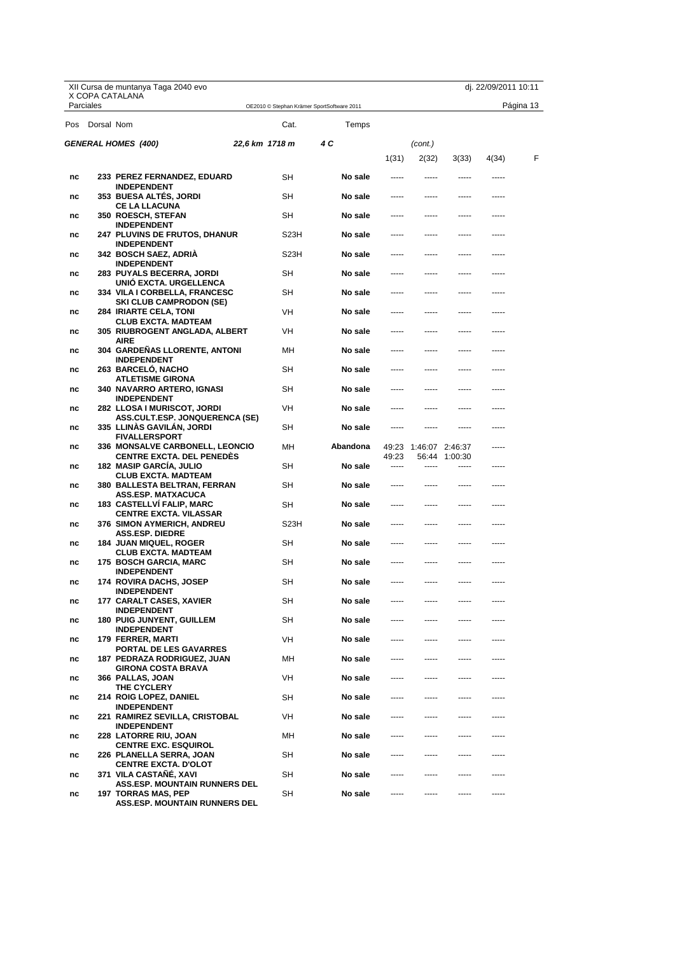|     |            | XII Cursa de muntanya Taga 2040 evo                                |                   |                                            |                |                       |               | dj. 22/09/2011 10:11 |           |
|-----|------------|--------------------------------------------------------------------|-------------------|--------------------------------------------|----------------|-----------------------|---------------|----------------------|-----------|
|     | Parciales  | X COPA CATALANA                                                    |                   | OE2010 © Stephan Krämer SportSoftware 2011 |                |                       |               |                      | Página 13 |
| Pos | Dorsal Nom |                                                                    | Cat.              | Temps                                      |                |                       |               |                      |           |
|     |            | <b>GENERAL HOMES (400)</b>                                         | 22,6 km 1718 m    | 4 C                                        |                | (cont.)               |               |                      |           |
|     |            |                                                                    |                   |                                            | 1(31)          | 2(32)                 | 3(33)         | 4(34)                | F         |
| nc  |            | 233 PEREZ FERNANDEZ, EDUARD                                        | SН                | No sale                                    |                |                       |               |                      |           |
| nc  |            | <b>INDEPENDENT</b><br>353 BUESA ALTES, JORDI                       | SН                | No sale                                    | -----          | -----                 | -----         | -----                |           |
| nc  |            | <b>CE LA LLACUNA</b><br>350 ROESCH, STEFAN                         | SН                | No sale                                    |                |                       |               |                      |           |
| nc  |            | <b>INDEPENDENT</b><br><b>247 PLUVINS DE FRUTOS, DHANUR</b>         | S23H              | No sale                                    |                |                       |               |                      |           |
| nc  |            | INDEPENDENT<br>342 BOSCH SAEZ, ADRIA                               | S <sub>23</sub> H | No sale                                    | -----          |                       | -----         | -----                |           |
| nc  |            | <b>INDEPENDENT</b><br>283 PUYALS BECERRA, JORDI                    | SН                | No sale                                    |                |                       |               |                      |           |
| nc  |            | UNIO EXCTA. URGELLENCA<br>334 VILA I CORBELLA, FRANCESC            | SН                | No sale                                    | -----          |                       | -----         | -----                |           |
| nc  |            | <b>SKI CLUB CAMPRODON (SE)</b><br><b>284 IRIARTE CELA, TONI</b>    | VH                | No sale                                    | -----          | -----                 | -----         | -----                |           |
| nc  |            | <b>CLUB EXCTA. MADTEAM</b><br>305  RIUBROGENT ANGLADA, ALBERT      | VH                | No sale                                    |                |                       |               |                      |           |
| nc  |            | AIRE<br>304  GARDENAS LLORENTE, ANTONI                             | MН                | No sale                                    |                |                       |               | -----                |           |
| nc  |            | <b>INDEPENDENT</b><br>263 BARCELO, NACHO                           | SН                | No sale                                    | -----          |                       | -----         | -----                |           |
| nc  |            | <b>ATLETISME GIRONA</b><br>340  NAVARRO ARTERO, IGNASI             | SН                | No sale                                    |                |                       |               |                      |           |
| nc  |            | INDEPENDENT<br>282 LLOSA I MURISCOT, JORDI                         | VH                | No sale                                    | -----          |                       | -----         | -----                |           |
| nc  |            | <b>ASS.CULT.ESP. JONQUERENCA (SE)</b><br>335 LLINAS GAVILAN, JORDI | SН                | No sale                                    | -----          |                       |               | -----                |           |
| nc  |            | <b>FIVALLERSPORT</b><br>336 MONSALVE CARBONELL, LEONCIO            | MН                | Abandona                                   |                | 49:23 1:46:07 2:46:37 |               |                      |           |
| nc  |            | <b>CENTRE EXCTA. DEL PENEDES</b><br><b>182 MASIP GARCIA, JULIO</b> | SН                | No sale                                    | 49:23<br>----- |                       | 56:44 1:00:30 | -----                |           |
| nc  |            | CLUB EXCTA. MADTEAM<br>380  BALLESTA BELTRAN, FERRAN               | SН                | No sale                                    | -----          |                       | -----         | -----                |           |
| nc  |            | ASS.ESP. MATXACUCA<br><b>183 CASTELLVI FALIP, MARC</b>             | SН                | No sale                                    |                |                       |               |                      |           |
| nc  |            | <b>CENTRE EXCTA. VILASSAR</b><br>376 SIMON AYMERICH, ANDREU        | S <sub>23</sub> H | No sale                                    | -----          | -----                 | -----         | -----                |           |
| nc  |            | <b>ASS.ESP. DIEDRE</b><br><b>184 JUAN MIQUEL, ROGER</b>            | SН                | No sale                                    | -----          | -----                 |               |                      |           |
| nc  |            | <b>CLUB EXCTA. MADTEAM</b><br>175 BOSCH GARCIA, MARC               | SН                | No sale                                    |                |                       |               |                      |           |
| nc  |            | <b>INDEPENDENT</b><br>174   ROVIRA DACHS, JOSEP                    | SH                | No sale                                    |                |                       |               | -----                |           |
| nc  |            | <b>INDEPENDENT</b><br>177 CARALT CASES, XAVIER                     | SH                | No sale                                    |                |                       |               |                      |           |
| nc  |            | <b>INDEPENDENT</b><br><b>180 PUIG JUNYENT, GUILLEM</b>             | SH                | No sale                                    |                |                       |               |                      |           |
| nc  |            | <b>INDEPENDENT</b><br>179 FERRER, MARTI                            | VH                | No sale                                    | -----          | -----                 | -----         | -----                |           |
| nc  |            | PORTAL DE LES GAVARRES<br><b>187 PEDRAZA RODRIGUEZ, JUAN</b>       | MН                | No sale                                    |                | -----                 |               |                      |           |
| nc  |            | <b>GIRONA COSTA BRAVA</b><br>366 PALLAS, JOAN                      | VH                | No sale                                    |                |                       |               |                      |           |
| nc  |            | THE CYCLERY<br><b>214 ROIG LOPEZ, DANIEL</b>                       | SH                | No sale                                    |                | -----                 | -----         | -----                |           |
| nc  |            | <b>INDEPENDENT</b><br>221 RAMIREZ SEVILLA, CRISTOBAL               | VH                | No sale                                    |                | -----                 |               |                      |           |
| nc  |            | <b>INDEPENDENT</b><br>228 LATORRE RIU, JOAN                        | мн                | No sale                                    |                |                       |               |                      |           |
| nc  |            | <b>CENTRE EXC. ESQUIROL</b><br>226 PLANELLA SERRA, JOAN            | SH                | No sale                                    | -----          | -----                 | -----         | -----                |           |
| nc  |            | <b>CENTRE EXCTA. D'OLOT</b><br>371 VILA CASTAÑÉ, XAVI              | SH                | No sale                                    |                |                       |               |                      |           |
| nc  |            | <b>ASS.ESP. MOUNTAIN RUNNERS DEL</b><br><b>197 TORRAS MAS, PEP</b> | SH                | No sale                                    |                |                       |               |                      |           |
|     |            | <b>ASS.ESP. MOUNTAIN RUNNERS DEL</b>                               |                   |                                            |                |                       |               |                      |           |

X Copa Catalana<br>DE CURSES DE MUNTANYA FEEC Federació Catalana d'Alpinisme i Escalada